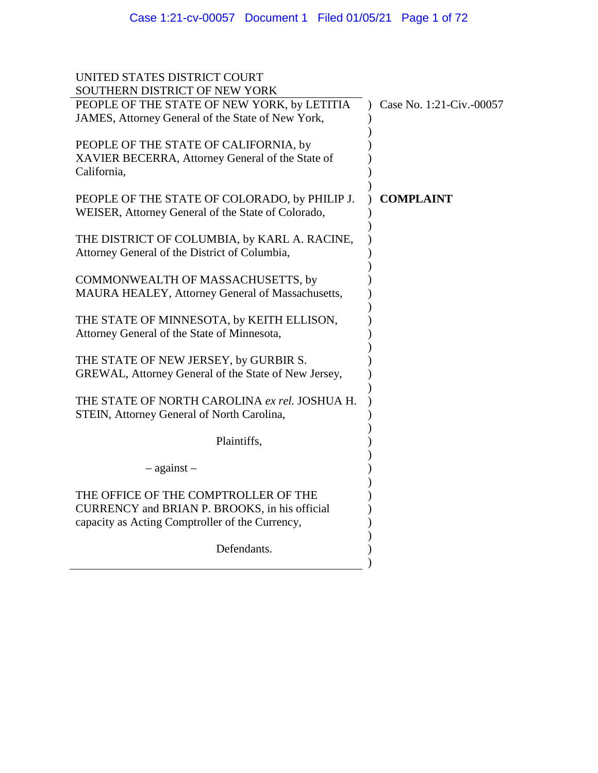| UNITED STATES DISTRICT COURT                                                                                                             |                          |
|------------------------------------------------------------------------------------------------------------------------------------------|--------------------------|
| SOUTHERN DISTRICT OF NEW YORK<br>PEOPLE OF THE STATE OF NEW YORK, by LETITIA<br>JAMES, Attorney General of the State of New York,        | Case No. 1:21-Civ.-00057 |
| PEOPLE OF THE STATE OF CALIFORNIA, by<br>XAVIER BECERRA, Attorney General of the State of<br>California,                                 |                          |
| PEOPLE OF THE STATE OF COLORADO, by PHILIP J.<br>WEISER, Attorney General of the State of Colorado,                                      | <b>COMPLAINT</b>         |
| THE DISTRICT OF COLUMBIA, by KARL A. RACINE,<br>Attorney General of the District of Columbia,                                            |                          |
| COMMONWEALTH OF MASSACHUSETTS, by<br>MAURA HEALEY, Attorney General of Massachusetts,                                                    |                          |
| THE STATE OF MINNESOTA, by KEITH ELLISON,<br>Attorney General of the State of Minnesota,                                                 |                          |
| THE STATE OF NEW JERSEY, by GURBIR S.<br>GREWAL, Attorney General of the State of New Jersey,                                            |                          |
| THE STATE OF NORTH CAROLINA ex rel. JOSHUA H.<br>STEIN, Attorney General of North Carolina,                                              |                          |
| Plaintiffs,                                                                                                                              |                          |
| $-$ against $-$                                                                                                                          |                          |
| THE OFFICE OF THE COMPTROLLER OF THE<br>CURRENCY and BRIAN P. BROOKS, in his official<br>capacity as Acting Comptroller of the Currency, |                          |
| Defendants.                                                                                                                              |                          |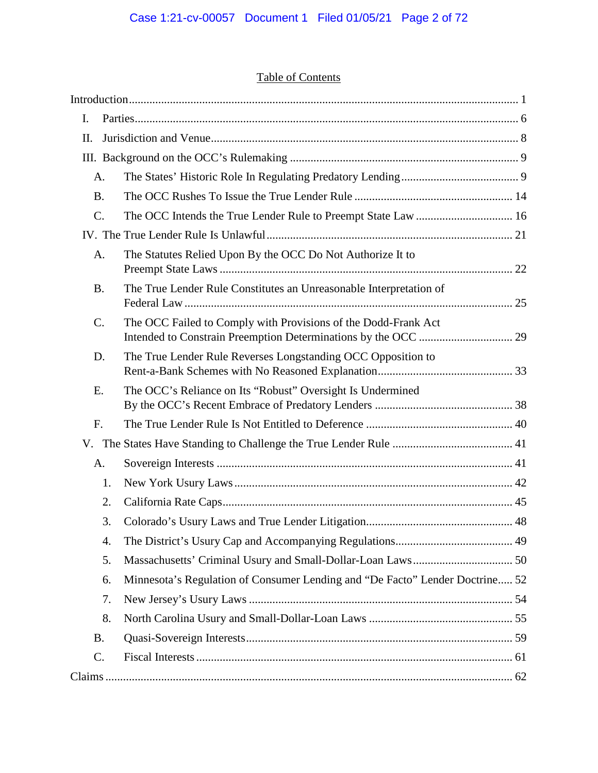# Table of Contents

| I.              |                                                                                    |  |
|-----------------|------------------------------------------------------------------------------------|--|
| Π.              |                                                                                    |  |
|                 |                                                                                    |  |
| A.              |                                                                                    |  |
| <b>B.</b>       |                                                                                    |  |
| C.              |                                                                                    |  |
|                 |                                                                                    |  |
| A.              | The Statutes Relied Upon By the OCC Do Not Authorize It to                         |  |
| <b>B.</b>       | The True Lender Rule Constitutes an Unreasonable Interpretation of                 |  |
| $\mathcal{C}$ . | The OCC Failed to Comply with Provisions of the Dodd-Frank Act                     |  |
| D.              | The True Lender Rule Reverses Longstanding OCC Opposition to                       |  |
| Ε.              | The OCC's Reliance on Its "Robust" Oversight Is Undermined                         |  |
| F.              |                                                                                    |  |
| V.              |                                                                                    |  |
| A.              |                                                                                    |  |
|                 | 1.                                                                                 |  |
|                 | 2.                                                                                 |  |
|                 | 3.                                                                                 |  |
|                 | 4.                                                                                 |  |
|                 | 5.                                                                                 |  |
|                 | Minnesota's Regulation of Consumer Lending and "De Facto" Lender Doctrine 52<br>6. |  |
|                 | 7.                                                                                 |  |
|                 | 8.                                                                                 |  |
| <b>B.</b>       |                                                                                    |  |
| C.              |                                                                                    |  |
|                 |                                                                                    |  |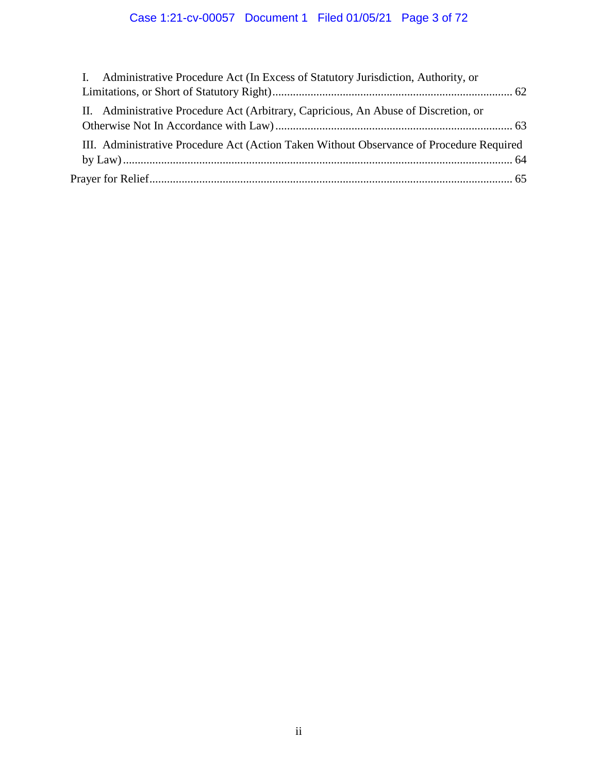# Case 1:21-cv-00057 Document 1 Filed 01/05/21 Page 3 of 72

| I. Administrative Procedure Act (In Excess of Statutory Jurisdiction, Authority, or      |  |
|------------------------------------------------------------------------------------------|--|
|                                                                                          |  |
| II. Administrative Procedure Act (Arbitrary, Capricious, An Abuse of Discretion, or      |  |
| III. Administrative Procedure Act (Action Taken Without Observance of Procedure Required |  |
|                                                                                          |  |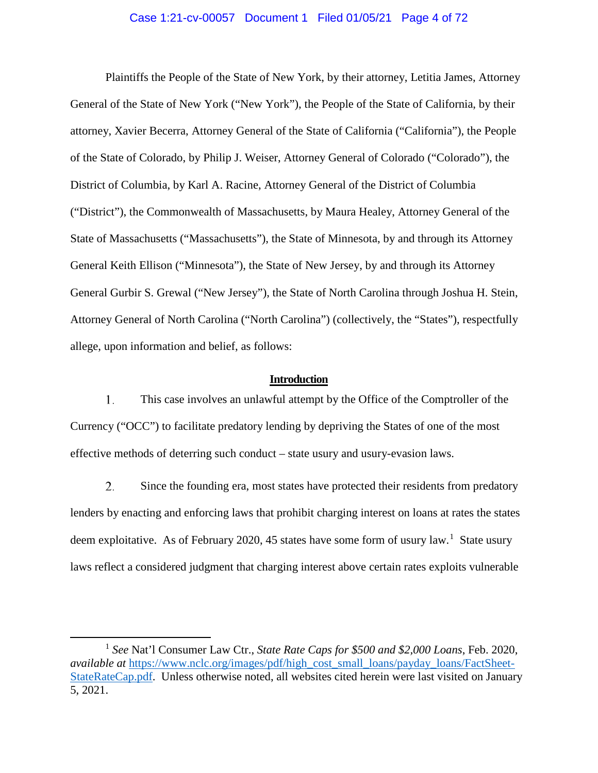#### Case 1:21-cv-00057 Document 1 Filed 01/05/21 Page 4 of 72

Plaintiffs the People of the State of New York, by their attorney, Letitia James, Attorney General of the State of New York ("New York"), the People of the State of California, by their attorney, Xavier Becerra, Attorney General of the State of California ("California"), the People of the State of Colorado, by Philip J. Weiser, Attorney General of Colorado ("Colorado"), the District of Columbia, by Karl A. Racine, Attorney General of the District of Columbia ("District"), the Commonwealth of Massachusetts, by Maura Healey, Attorney General of the State of Massachusetts ("Massachusetts"), the State of Minnesota, by and through its Attorney General Keith Ellison ("Minnesota"), the State of New Jersey, by and through its Attorney General Gurbir S. Grewal ("New Jersey"), the State of North Carolina through Joshua H. Stein, Attorney General of North Carolina ("North Carolina") (collectively, the "States"), respectfully allege, upon information and belief, as follows:

#### **Introduction**

<span id="page-3-0"></span>1. This case involves an unlawful attempt by the Office of the Comptroller of the Currency ("OCC") to facilitate predatory lending by depriving the States of one of the most effective methods of deterring such conduct – state usury and usury-evasion laws.

2. Since the founding era, most states have protected their residents from predatory lenders by enacting and enforcing laws that prohibit charging interest on loans at rates the states deem exploitative. As of February 2020, 45 states have some form of usury law.<sup>[1](#page-3-1)</sup> State usury laws reflect a considered judgment that charging interest above certain rates exploits vulnerable

<span id="page-3-1"></span> <sup>1</sup> *See* Nat'l Consumer Law Ctr., *State Rate Caps for \$500 and \$2,000 Loans*, Feb. 2020, *available at* [https://www.nclc.org/images/pdf/high\\_cost\\_small\\_loans/payday\\_loans/FactSheet-](https://www.nclc.org/images/pdf/high_cost_small_loans/payday_loans/FactSheet-StateRateCap.pdf)[StateRateCap.pdf.](https://www.nclc.org/images/pdf/high_cost_small_loans/payday_loans/FactSheet-StateRateCap.pdf) Unless otherwise noted, all websites cited herein were last visited on January 5, 2021.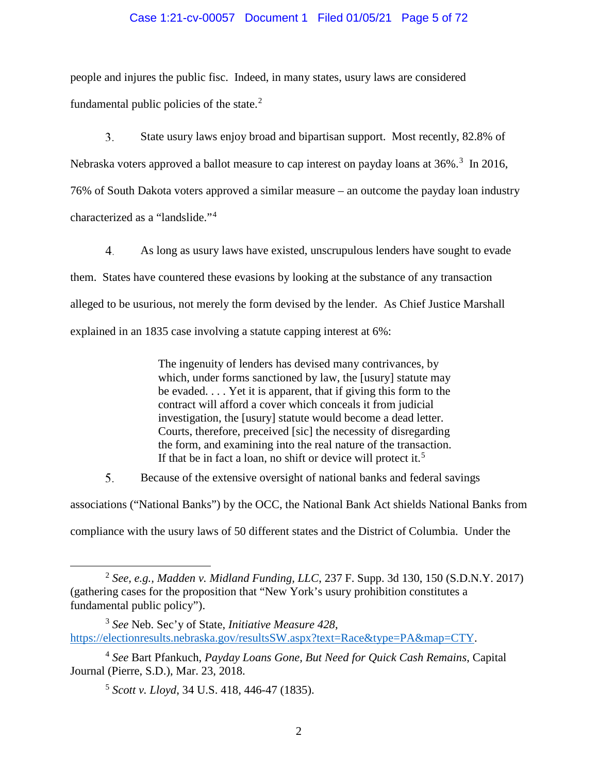#### Case 1:21-cv-00057 Document 1 Filed 01/05/21 Page 5 of 72

people and injures the public fisc. Indeed, in many states, usury laws are considered fundamental public policies of the state. $2$ 

 $3<sub>1</sub>$ State usury laws enjoy broad and bipartisan support. Most recently, 82.8% of Nebraska voters approved a ballot measure to cap interest on payday loans at [3](#page-4-1)6%.<sup>3</sup> In 2016, 76% of South Dakota voters approved a similar measure – an outcome the payday loan industry characterized as a "landslide."[4](#page-4-2)

 $4.$ As long as usury laws have existed, unscrupulous lenders have sought to evade them. States have countered these evasions by looking at the substance of any transaction alleged to be usurious, not merely the form devised by the lender. As Chief Justice Marshall explained in an 1835 case involving a statute capping interest at 6%:

> The ingenuity of lenders has devised many contrivances, by which, under forms sanctioned by law, the [usury] statute may be evaded. . . . Yet it is apparent, that if giving this form to the contract will afford a cover which conceals it from judicial investigation, the [usury] statute would become a dead letter. Courts, therefore, preceived [sic] the necessity of disregarding the form, and examining into the real nature of the transaction. If that be in fact a loan, no shift or device will protect it.<sup>[5](#page-4-3)</sup>

5. Because of the extensive oversight of national banks and federal savings

associations ("National Banks") by the OCC, the National Bank Act shields National Banks from

compliance with the usury laws of 50 different states and the District of Columbia. Under the

<span id="page-4-0"></span> <sup>2</sup> *See, e.g., Madden v. Midland Funding, LLC*, 237 F. Supp. 3d 130, 150 (S.D.N.Y. 2017) (gathering cases for the proposition that "New York's usury prohibition constitutes a fundamental public policy").

<span id="page-4-1"></span><sup>3</sup> *See* Neb. Sec'y of State, *Initiative Measure 428*, [https://electionresults.nebraska.gov/resultsSW.aspx?text=Race&type=PA&map=CTY.](https://electionresults.nebraska.gov/resultsSW.aspx?text=Race&type=PA&map=CTY)

<span id="page-4-3"></span><span id="page-4-2"></span><sup>4</sup> *See* Bart Pfankuch, *Payday Loans Gone, But Need for Quick Cash Remains*, Capital Journal (Pierre, S.D.), Mar. 23, 2018.

<sup>5</sup> *Scott v. Lloyd*, 34 U.S. 418, 446-47 (1835).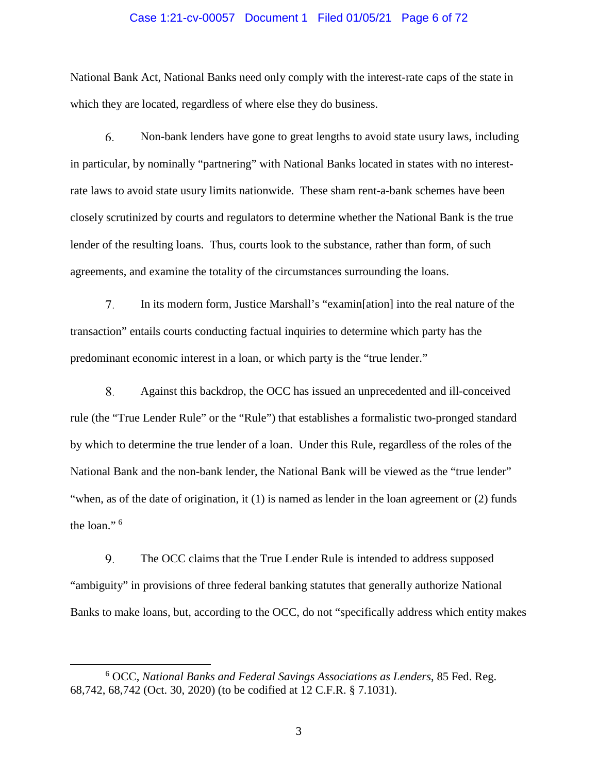#### Case 1:21-cv-00057 Document 1 Filed 01/05/21 Page 6 of 72

National Bank Act, National Banks need only comply with the interest-rate caps of the state in which they are located, regardless of where else they do business.

6. Non-bank lenders have gone to great lengths to avoid state usury laws, including in particular, by nominally "partnering" with National Banks located in states with no interestrate laws to avoid state usury limits nationwide. These sham rent-a-bank schemes have been closely scrutinized by courts and regulators to determine whether the National Bank is the true lender of the resulting loans. Thus, courts look to the substance, rather than form, of such agreements, and examine the totality of the circumstances surrounding the loans.

7. In its modern form, Justice Marshall's "examin[ation] into the real nature of the transaction" entails courts conducting factual inquiries to determine which party has the predominant economic interest in a loan, or which party is the "true lender."

8. Against this backdrop, the OCC has issued an unprecedented and ill-conceived rule (the "True Lender Rule" or the "Rule") that establishes a formalistic two-pronged standard by which to determine the true lender of a loan. Under this Rule, regardless of the roles of the National Bank and the non-bank lender, the National Bank will be viewed as the "true lender" "when, as of the date of origination, it (1) is named as lender in the loan agreement or (2) funds the loan." [6](#page-5-0)

9. The OCC claims that the True Lender Rule is intended to address supposed "ambiguity" in provisions of three federal banking statutes that generally authorize National Banks to make loans, but, according to the OCC, do not "specifically address which entity makes

<span id="page-5-0"></span> <sup>6</sup> OCC, *National Banks and Federal Savings Associations as Lenders*, 85 Fed. Reg. 68,742, 68,742 (Oct. 30, 2020) (to be codified at 12 C.F.R. § 7.1031).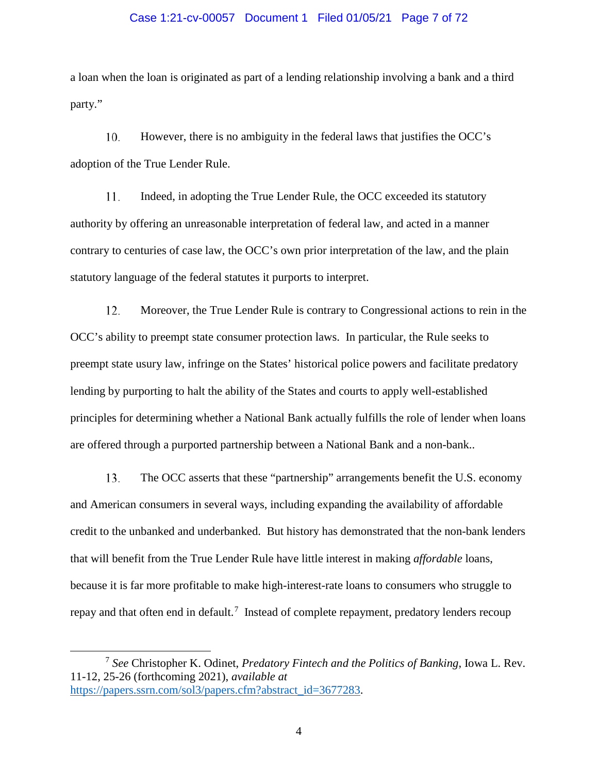#### Case 1:21-cv-00057 Document 1 Filed 01/05/21 Page 7 of 72

a loan when the loan is originated as part of a lending relationship involving a bank and a third party."

10. However, there is no ambiguity in the federal laws that justifies the OCC's adoption of the True Lender Rule.

11. Indeed, in adopting the True Lender Rule, the OCC exceeded its statutory authority by offering an unreasonable interpretation of federal law, and acted in a manner contrary to centuries of case law, the OCC's own prior interpretation of the law, and the plain statutory language of the federal statutes it purports to interpret.

12. Moreover, the True Lender Rule is contrary to Congressional actions to rein in the OCC's ability to preempt state consumer protection laws. In particular, the Rule seeks to preempt state usury law, infringe on the States' historical police powers and facilitate predatory lending by purporting to halt the ability of the States and courts to apply well-established principles for determining whether a National Bank actually fulfills the role of lender when loans are offered through a purported partnership between a National Bank and a non-bank..

13. The OCC asserts that these "partnership" arrangements benefit the U.S. economy and American consumers in several ways, including expanding the availability of affordable credit to the unbanked and underbanked. But history has demonstrated that the non-bank lenders that will benefit from the True Lender Rule have little interest in making *affordable* loans, because it is far more profitable to make high-interest-rate loans to consumers who struggle to repay and that often end in default.<sup>[7](#page-6-0)</sup> Instead of complete repayment, predatory lenders recoup

<span id="page-6-0"></span> <sup>7</sup> *See* Christopher K. Odinet, *Predatory Fintech and the Politics of Banking*, Iowa L. Rev. 11-12, 25-26 (forthcoming 2021), *available at* [https://papers.ssrn.com/sol3/papers.cfm?abstract\\_id=3677283.](https://papers.ssrn.com/sol3/papers.cfm?abstract_id=3677283)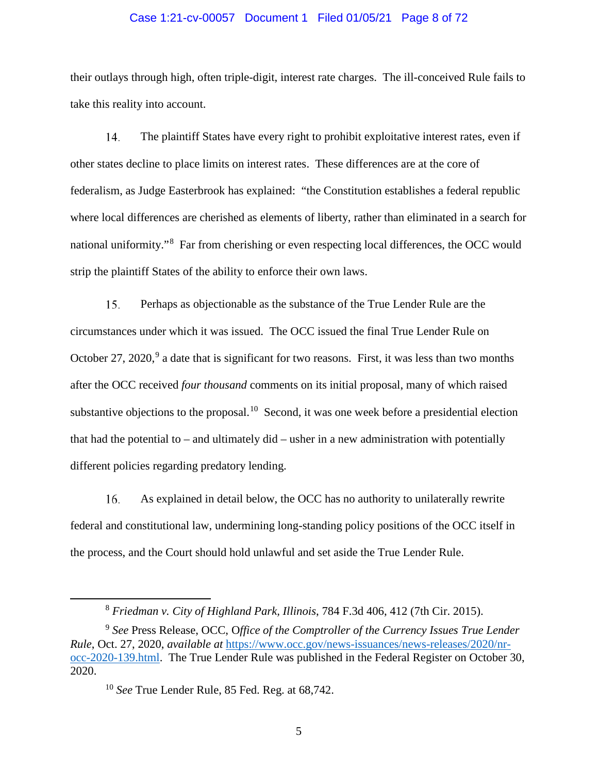#### Case 1:21-cv-00057 Document 1 Filed 01/05/21 Page 8 of 72

their outlays through high, often triple-digit, interest rate charges. The ill-conceived Rule fails to take this reality into account.

 $14$ The plaintiff States have every right to prohibit exploitative interest rates, even if other states decline to place limits on interest rates. These differences are at the core of federalism, as Judge Easterbrook has explained: "the Constitution establishes a federal republic where local differences are cherished as elements of liberty, rather than eliminated in a search for national uniformity."<sup>[8](#page-7-0)</sup> Far from cherishing or even respecting local differences, the OCC would strip the plaintiff States of the ability to enforce their own laws.

15. Perhaps as objectionable as the substance of the True Lender Rule are the circumstances under which it was issued. The OCC issued the final True Lender Rule on October 27, 2020, $9$  a date that is significant for two reasons. First, it was less than two months after the OCC received *four thousand* comments on its initial proposal, many of which raised substantive objections to the proposal.<sup>[10](#page-7-2)</sup> Second, it was one week before a presidential election that had the potential to – and ultimately did – usher in a new administration with potentially different policies regarding predatory lending.

16. As explained in detail below, the OCC has no authority to unilaterally rewrite federal and constitutional law, undermining long-standing policy positions of the OCC itself in the process, and the Court should hold unlawful and set aside the True Lender Rule.

5

 <sup>8</sup> *Friedman v. City of Highland Park, Illinois*, 784 F.3d 406, 412 (7th Cir. 2015).

<span id="page-7-2"></span><span id="page-7-1"></span><span id="page-7-0"></span><sup>9</sup> *See* Press Release, OCC, O*ffice of the Comptroller of the Currency Issues True Lender Rule*, Oct. 27, 2020, *available at* [https://www.occ.gov/news-issuances/news-releases/2020/nr](https://www.occ.gov/news-issuances/news-releases/2020/nr-occ-2020-139.html)[occ-2020-139.html.](https://www.occ.gov/news-issuances/news-releases/2020/nr-occ-2020-139.html) The True Lender Rule was published in the Federal Register on October 30, 2020.

<sup>10</sup> *See* True Lender Rule, 85 Fed. Reg. at 68,742.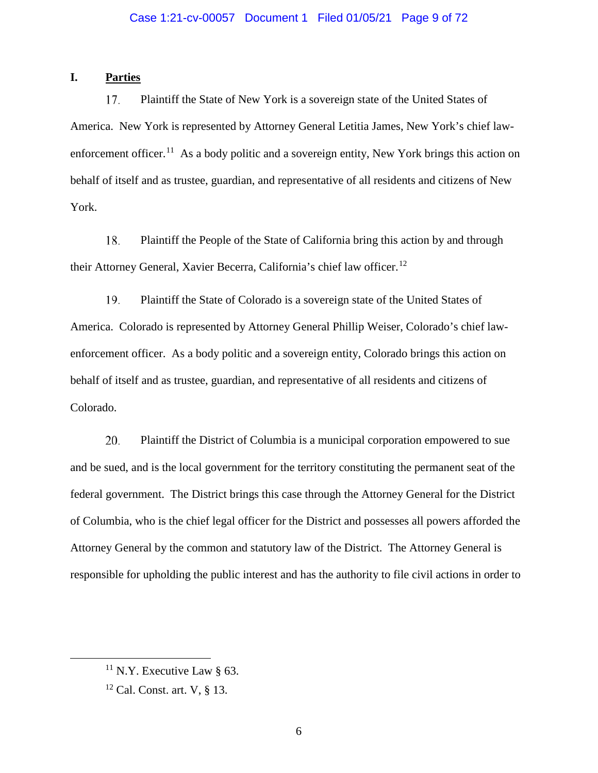# <span id="page-8-0"></span>**I. Parties**

17. Plaintiff the State of New York is a sovereign state of the United States of America. New York is represented by Attorney General Letitia James, New York's chief law-enforcement officer.<sup>[11](#page-8-1)</sup> As a body politic and a sovereign entity, New York brings this action on behalf of itself and as trustee, guardian, and representative of all residents and citizens of New York.

18. Plaintiff the People of the State of California bring this action by and through their Attorney General, Xavier Becerra, California's chief law officer.<sup>[12](#page-8-2)</sup>

19. Plaintiff the State of Colorado is a sovereign state of the United States of America. Colorado is represented by Attorney General Phillip Weiser, Colorado's chief lawenforcement officer. As a body politic and a sovereign entity, Colorado brings this action on behalf of itself and as trustee, guardian, and representative of all residents and citizens of Colorado.

20. Plaintiff the District of Columbia is a municipal corporation empowered to sue and be sued, and is the local government for the territory constituting the permanent seat of the federal government. The District brings this case through the Attorney General for the District of Columbia, who is the chief legal officer for the District and possesses all powers afforded the Attorney General by the common and statutory law of the District. The Attorney General is responsible for upholding the public interest and has the authority to file civil actions in order to

<span id="page-8-1"></span> $11$  N.Y. Executive Law § 63.

<span id="page-8-2"></span> $12$  Cal. Const. art. V, § 13.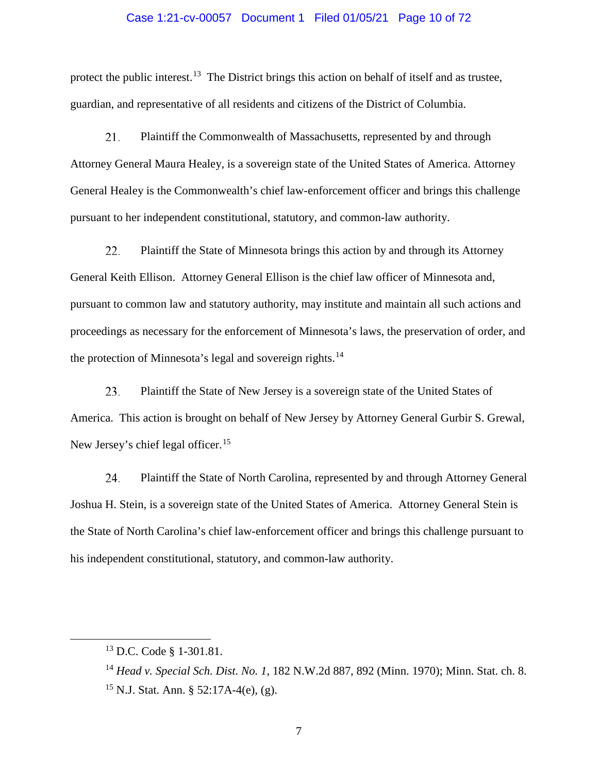#### Case 1:21-cv-00057 Document 1 Filed 01/05/21 Page 10 of 72

protect the public interest.<sup>[13](#page-9-0)</sup> The District brings this action on behalf of itself and as trustee, guardian, and representative of all residents and citizens of the District of Columbia.

21. Plaintiff the Commonwealth of Massachusetts, represented by and through Attorney General Maura Healey, is a sovereign state of the United States of America. Attorney General Healey is the Commonwealth's chief law-enforcement officer and brings this challenge pursuant to her independent constitutional, statutory, and common-law authority.

22. Plaintiff the State of Minnesota brings this action by and through its Attorney General Keith Ellison. Attorney General Ellison is the chief law officer of Minnesota and, pursuant to common law and statutory authority, may institute and maintain all such actions and proceedings as necessary for the enforcement of Minnesota's laws, the preservation of order, and the protection of Minnesota's legal and sovereign rights.<sup>[14](#page-9-1)</sup>

23. Plaintiff the State of New Jersey is a sovereign state of the United States of America. This action is brought on behalf of New Jersey by Attorney General Gurbir S. Grewal, New Jersey's chief legal officer.<sup>[15](#page-9-2)</sup>

24. Plaintiff the State of North Carolina, represented by and through Attorney General Joshua H. Stein, is a sovereign state of the United States of America. Attorney General Stein is the State of North Carolina's chief law-enforcement officer and brings this challenge pursuant to his independent constitutional, statutory, and common-law authority.

<span id="page-9-0"></span> <sup>13</sup> D.C. Code § 1-301.81.

<span id="page-9-1"></span><sup>14</sup> *Head v. Special Sch. Dist. No. 1*, 182 N.W.2d 887, 892 (Minn. 1970); Minn. Stat. ch. 8.

<span id="page-9-2"></span><sup>&</sup>lt;sup>15</sup> N.J. Stat. Ann. § 52:17A-4(e), (g).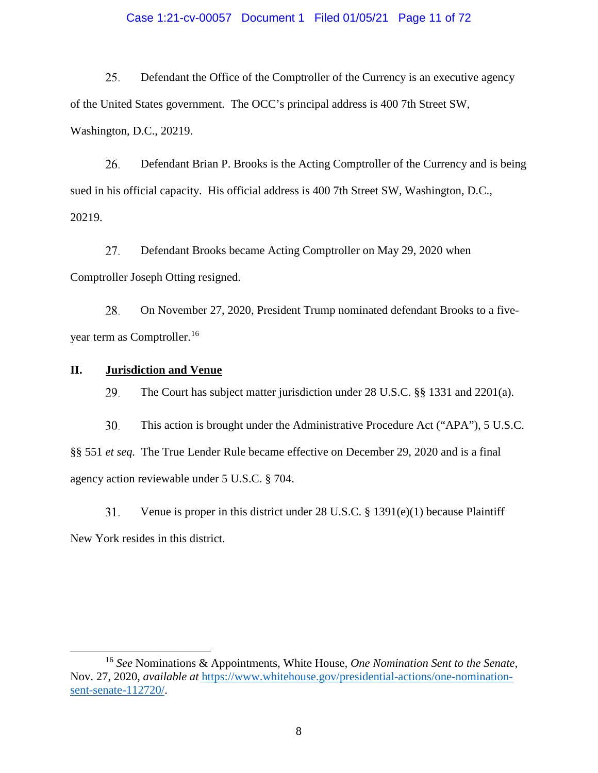#### Case 1:21-cv-00057 Document 1 Filed 01/05/21 Page 11 of 72

25. Defendant the Office of the Comptroller of the Currency is an executive agency of the United States government. The OCC's principal address is 400 7th Street SW, Washington, D.C., 20219.

26. Defendant Brian P. Brooks is the Acting Comptroller of the Currency and is being sued in his official capacity. His official address is 400 7th Street SW, Washington, D.C., 20219.

27. Defendant Brooks became Acting Comptroller on May 29, 2020 when Comptroller Joseph Otting resigned.

28. On November 27, 2020, President Trump nominated defendant Brooks to a five-year term as Comptroller.<sup>[16](#page-10-1)</sup>

# <span id="page-10-0"></span>**II. Jurisdiction and Venue**

The Court has subject matter jurisdiction under 28 U.S.C. §§ 1331 and 2201(a). 29.

30. This action is brought under the Administrative Procedure Act ("APA"), 5 U.S.C. §§ 551 *et seq.* The True Lender Rule became effective on December 29, 2020 and is a final agency action reviewable under 5 U.S.C. § 704.

 $31.$ Venue is proper in this district under 28 U.S.C. § 1391(e)(1) because Plaintiff New York resides in this district.

<span id="page-10-1"></span> <sup>16</sup> *See* Nominations & Appointments, White House, *One Nomination Sent to the Senate*, Nov. 27, 2020, *available at* [https://www.whitehouse.gov/presidential-actions/one-nomination](https://www.whitehouse.gov/presidential-actions/one-nomination-sent-senate-112720/)[sent-senate-112720/.](https://www.whitehouse.gov/presidential-actions/one-nomination-sent-senate-112720/)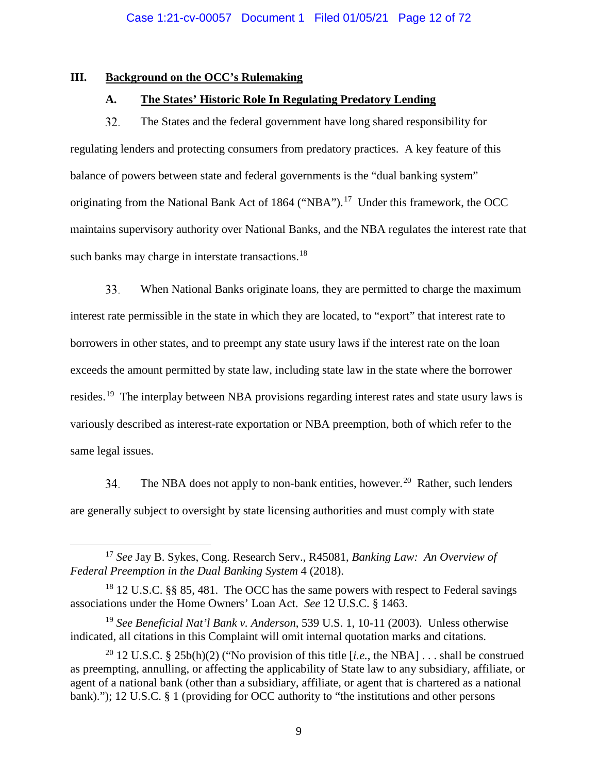### <span id="page-11-1"></span><span id="page-11-0"></span>**III. Background on the OCC's Rulemaking**

# **A. The States' Historic Role In Regulating Predatory Lending**

32. The States and the federal government have long shared responsibility for regulating lenders and protecting consumers from predatory practices. A key feature of this balance of powers between state and federal governments is the "dual banking system" originating from the National Bank Act of 1864 ("NBA").<sup>[17](#page-11-2)</sup> Under this framework, the OCC maintains supervisory authority over National Banks, and the NBA regulates the interest rate that such banks may charge in interstate transactions.<sup>18</sup>

33. When National Banks originate loans, they are permitted to charge the maximum interest rate permissible in the state in which they are located, to "export" that interest rate to borrowers in other states, and to preempt any state usury laws if the interest rate on the loan exceeds the amount permitted by state law, including state law in the state where the borrower resides.[19](#page-11-4) The interplay between NBA provisions regarding interest rates and state usury laws is variously described as interest-rate exportation or NBA preemption, both of which refer to the same legal issues.

34. The NBA does not apply to non-bank entities, however.<sup>[20](#page-11-5)</sup> Rather, such lenders are generally subject to oversight by state licensing authorities and must comply with state

<span id="page-11-2"></span> <sup>17</sup> *See* Jay B. Sykes, Cong. Research Serv., R45081, *Banking Law: An Overview of Federal Preemption in the Dual Banking System* 4 (2018).

<span id="page-11-3"></span> $18$  12 U.S.C. §§ 85, 481. The OCC has the same powers with respect to Federal savings associations under the Home Owners' Loan Act. *See* 12 U.S.C. § 1463.

<span id="page-11-4"></span><sup>19</sup> *See Beneficial Nat'l Bank v. Anderson*, 539 U.S. 1, 10-11 (2003). Unless otherwise indicated, all citations in this Complaint will omit internal quotation marks and citations.

<span id="page-11-5"></span><sup>&</sup>lt;sup>20</sup> 12 U.S.C. § 25b(h)(2) ("No provision of this title [*i.e.*, the NBA] . . . shall be construed as preempting, annulling, or affecting the applicability of State law to any subsidiary, affiliate, or agent of a national bank (other than a subsidiary, affiliate, or agent that is chartered as a national bank)."); 12 U.S.C. § 1 (providing for OCC authority to "the institutions and other persons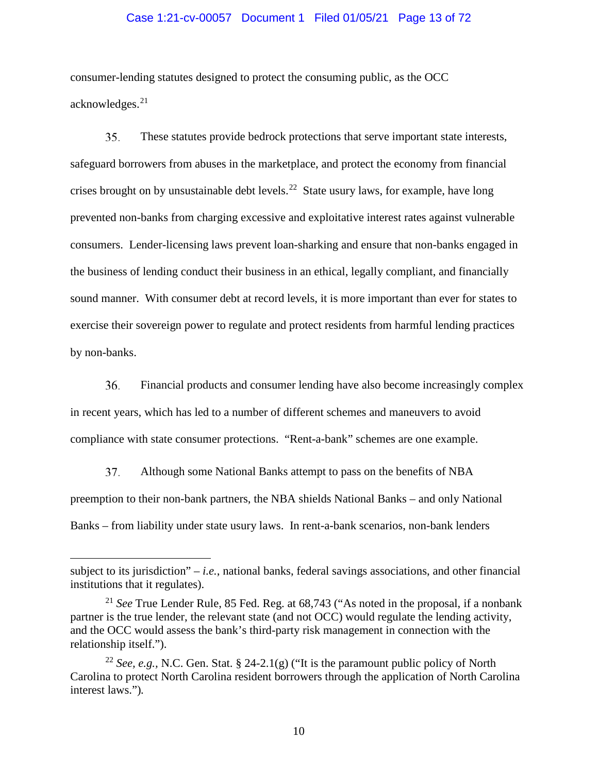#### Case 1:21-cv-00057 Document 1 Filed 01/05/21 Page 13 of 72

consumer-lending statutes designed to protect the consuming public, as the OCC acknowledges.[21](#page-12-0)

35. These statutes provide bedrock protections that serve important state interests, safeguard borrowers from abuses in the marketplace, and protect the economy from financial crises brought on by unsustainable debt levels.<sup>[22](#page-12-1)</sup> State usury laws, for example, have long prevented non-banks from charging excessive and exploitative interest rates against vulnerable consumers. Lender-licensing laws prevent loan-sharking and ensure that non-banks engaged in the business of lending conduct their business in an ethical, legally compliant, and financially sound manner. With consumer debt at record levels, it is more important than ever for states to exercise their sovereign power to regulate and protect residents from harmful lending practices by non-banks.

36. Financial products and consumer lending have also become increasingly complex in recent years, which has led to a number of different schemes and maneuvers to avoid compliance with state consumer protections. "Rent-a-bank" schemes are one example.

37. Although some National Banks attempt to pass on the benefits of NBA preemption to their non-bank partners, the NBA shields National Banks – and only National Banks – from liability under state usury laws. In rent-a-bank scenarios, non-bank lenders

 $\overline{a}$ 

subject to its jurisdiction"  $-i.e.,$  national banks, federal savings associations, and other financial institutions that it regulates).

<span id="page-12-0"></span><sup>21</sup> *See* True Lender Rule, 85 Fed. Reg. at 68,743 ("As noted in the proposal, if a nonbank partner is the true lender, the relevant state (and not OCC) would regulate the lending activity, and the OCC would assess the bank's third-party risk management in connection with the relationship itself.").

<span id="page-12-1"></span><sup>22</sup> *See, e.g.,* N.C. Gen. Stat. § 24-2.1(g) ("It is the paramount public policy of North Carolina to protect North Carolina resident borrowers through the application of North Carolina interest laws.")*.*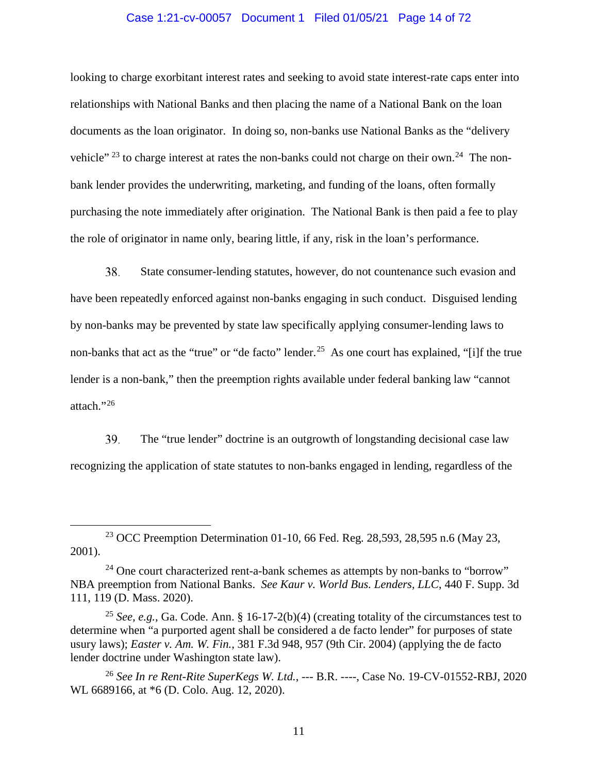#### Case 1:21-cv-00057 Document 1 Filed 01/05/21 Page 14 of 72

looking to charge exorbitant interest rates and seeking to avoid state interest-rate caps enter into relationships with National Banks and then placing the name of a National Bank on the loan documents as the loan originator. In doing so, non-banks use National Banks as the "delivery vehicle"  $^{23}$  $^{23}$  $^{23}$  to charge interest at rates the non-banks could not charge on their own.<sup>[24](#page-13-1)</sup> The nonbank lender provides the underwriting, marketing, and funding of the loans, often formally purchasing the note immediately after origination. The National Bank is then paid a fee to play the role of originator in name only, bearing little, if any, risk in the loan's performance.

38. State consumer-lending statutes, however, do not countenance such evasion and have been repeatedly enforced against non-banks engaging in such conduct. Disguised lending by non-banks may be prevented by state law specifically applying consumer-lending laws to non-banks that act as the "true" or "de facto" lender.<sup>25</sup> As one court has explained, "[i]f the true lender is a non-bank," then the preemption rights available under federal banking law "cannot attach."[26](#page-13-3)

39. The "true lender" doctrine is an outgrowth of longstanding decisional case law recognizing the application of state statutes to non-banks engaged in lending, regardless of the

<span id="page-13-0"></span><sup>&</sup>lt;sup>23</sup> OCC Preemption Determination 01-10, 66 Fed. Reg. 28,593, 28,595 n.6 (May 23, 2001).

<span id="page-13-1"></span> $24$  One court characterized rent-a-bank schemes as attempts by non-banks to "borrow" NBA preemption from National Banks. *See Kaur v. World Bus. Lenders, LLC*, 440 F. Supp. 3d 111, 119 (D. Mass. 2020).

<span id="page-13-2"></span><sup>&</sup>lt;sup>25</sup> *See, e.g.*, Ga. Code. Ann. § 16-17-2(b)(4) (creating totality of the circumstances test to determine when "a purported agent shall be considered a de facto lender" for purposes of state usury laws); *Easter v. Am. W. Fin.*, 381 F.3d 948, 957 (9th Cir. 2004) (applying the de facto lender doctrine under Washington state law).

<span id="page-13-3"></span><sup>26</sup> *See In re Rent-Rite SuperKegs W. Ltd.*, --- B.R. ----, Case No. 19-CV-01552-RBJ, 2020 WL 6689166, at \*6 (D. Colo. Aug. 12, 2020).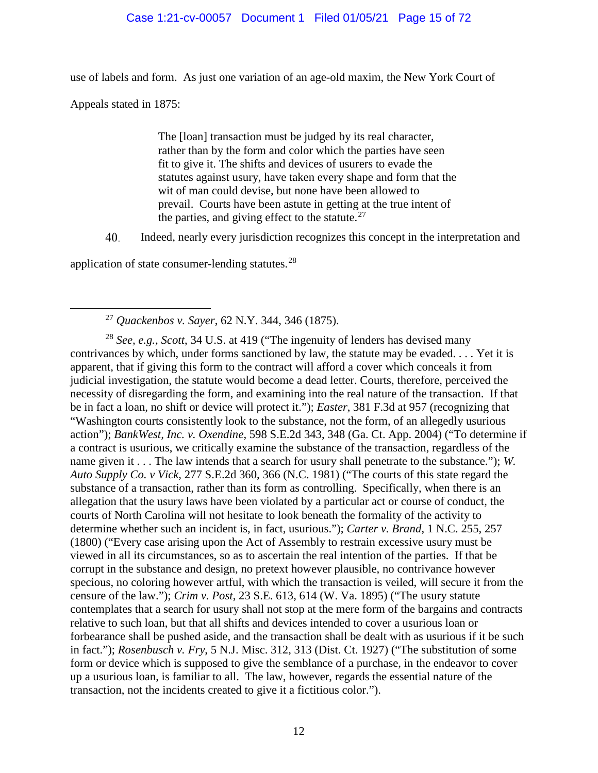## Case 1:21-cv-00057 Document 1 Filed 01/05/21 Page 15 of 72

use of labels and form. As just one variation of an age-old maxim, the New York Court of

Appeals stated in 1875:

The [loan] transaction must be judged by its real character, rather than by the form and color which the parties have seen fit to give it. The shifts and devices of usurers to evade the statutes against usury, have taken every shape and form that the wit of man could devise, but none have been allowed to prevail. Courts have been astute in getting at the true intent of the parties, and giving effect to the statute.<sup>[27](#page-14-0)</sup>

40. Indeed, nearly every jurisdiction recognizes this concept in the interpretation and

application of state consumer-lending statutes. $^{28}$  $^{28}$  $^{28}$ 

<span id="page-14-1"></span><span id="page-14-0"></span><sup>28</sup> *See, e.g., Scott*, 34 U.S. at 419 ("The ingenuity of lenders has devised many contrivances by which, under forms sanctioned by law, the statute may be evaded. . . . Yet it is apparent, that if giving this form to the contract will afford a cover which conceals it from judicial investigation, the statute would become a dead letter. Courts, therefore, perceived the necessity of disregarding the form, and examining into the real nature of the transaction. If that be in fact a loan, no shift or device will protect it."); *Easter*, 381 F.3d at 957 (recognizing that "Washington courts consistently look to the substance, not the form, of an allegedly usurious action"); *BankWest, Inc. v. Oxendine*, 598 S.E.2d 343, 348 (Ga. Ct. App. 2004) ("To determine if a contract is usurious, we critically examine the substance of the transaction, regardless of the name given it . . . The law intends that a search for usury shall penetrate to the substance."); *W. Auto Supply Co. v Vick*, 277 S.E.2d 360, 366 (N.C. 1981) ("The courts of this state regard the substance of a transaction, rather than its form as controlling. Specifically, when there is an allegation that the usury laws have been violated by a particular act or course of conduct, the courts of North Carolina will not hesitate to look beneath the formality of the activity to determine whether such an incident is, in fact, usurious."); *Carter v. Brand*, 1 N.C. 255, 257 (1800) ("Every case arising upon the Act of Assembly to restrain excessive usury must be viewed in all its circumstances, so as to ascertain the real intention of the parties. If that be corrupt in the substance and design, no pretext however plausible, no contrivance however specious, no coloring however artful, with which the transaction is veiled, will secure it from the censure of the law."); *Crim v. Post*, 23 S.E. 613, 614 (W. Va. 1895) ("The usury statute contemplates that a search for usury shall not stop at the mere form of the bargains and contracts relative to such loan, but that all shifts and devices intended to cover a usurious loan or forbearance shall be pushed aside, and the transaction shall be dealt with as usurious if it be such in fact."); *Rosenbusch v. Fry*, 5 N.J. Misc. 312, 313 (Dist. Ct. 1927) ("The substitution of some form or device which is supposed to give the semblance of a purchase, in the endeavor to cover up a usurious loan, is familiar to all. The law, however, regards the essential nature of the transaction, not the incidents created to give it a fictitious color.").

 <sup>27</sup> *Quackenbos v. Sayer*, 62 N.Y. 344, 346 (1875).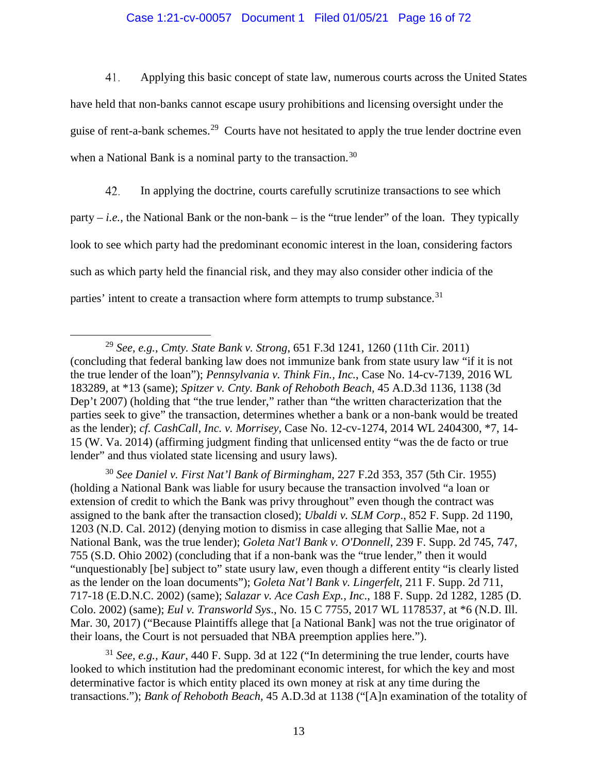#### Case 1:21-cv-00057 Document 1 Filed 01/05/21 Page 16 of 72

Applying this basic concept of state law, numerous courts across the United States 41. have held that non-banks cannot escape usury prohibitions and licensing oversight under the guise of rent-a-bank schemes.<sup>29</sup> Courts have not hesitated to apply the true lender doctrine even when a National Bank is a nominal party to the transaction.<sup>30</sup>

42. In applying the doctrine, courts carefully scrutinize transactions to see which party – *i.e.*, the National Bank or the non-bank – is the "true lender" of the loan. They typically look to see which party had the predominant economic interest in the loan, considering factors such as which party held the financial risk, and they may also consider other indicia of the parties' intent to create a transaction where form attempts to trump substance.<sup>[31](#page-15-2)</sup>

<span id="page-15-1"></span><sup>30</sup> *See Daniel v. First Nat'l Bank of Birmingham*, 227 F.2d 353, 357 (5th Cir. 1955) (holding a National Bank was liable for usury because the transaction involved "a loan or extension of credit to which the Bank was privy throughout" even though the contract was assigned to the bank after the transaction closed); *Ubaldi v. SLM Corp*., 852 F. Supp. 2d 1190, 1203 (N.D. Cal. 2012) (denying motion to dismiss in case alleging that Sallie Mae, not a National Bank, was the true lender); *Goleta Nat'l Bank v. O'Donnell*, 239 F. Supp. 2d 745, 747, 755 (S.D. Ohio 2002) (concluding that if a non-bank was the "true lender," then it would "unquestionably [be] subject to" state usury law, even though a different entity "is clearly listed as the lender on the loan documents"); *Goleta Nat'l Bank v. Lingerfelt*, 211 F. Supp. 2d 711, 717-18 (E.D.N.C. 2002) (same); *Salazar v. Ace Cash Exp., Inc*., 188 F. Supp. 2d 1282, 1285 (D. Colo. 2002) (same); *Eul v. Transworld Sys*., No. 15 C 7755, 2017 WL 1178537, at \*6 (N.D. Ill. Mar. 30, 2017) ("Because Plaintiffs allege that [a National Bank] was not the true originator of their loans, the Court is not persuaded that NBA preemption applies here.").

<span id="page-15-2"></span><sup>31</sup> *See, e.g., Kaur*, 440 F. Supp. 3d at 122 ("In determining the true lender, courts have looked to which institution had the predominant economic interest, for which the key and most determinative factor is which entity placed its own money at risk at any time during the transactions."); *Bank of Rehoboth Beach,* 45 A.D.3d at 1138 ("[A]n examination of the totality of

<span id="page-15-0"></span> <sup>29</sup> *See, e.g.*, *Cmty. State Bank v. Strong*, 651 F.3d 1241, 1260 (11th Cir. 2011) (concluding that federal banking law does not immunize bank from state usury law "if it is not the true lender of the loan"); *Pennsylvania v. Think Fin., Inc.*, Case No. 14-cv-7139, 2016 WL 183289, at \*13 (same); *Spitzer v. Cnty. Bank of Rehoboth Beach,* 45 A.D.3d 1136, 1138 (3d Dep't 2007) (holding that "the true lender," rather than "the written characterization that the parties seek to give" the transaction, determines whether a bank or a non-bank would be treated as the lender); *cf. CashCall, Inc. v. Morrisey*, Case No. 12-cv-1274, 2014 WL 2404300, \*7, 14- 15 (W. Va. 2014) (affirming judgment finding that unlicensed entity "was the de facto or true lender" and thus violated state licensing and usury laws).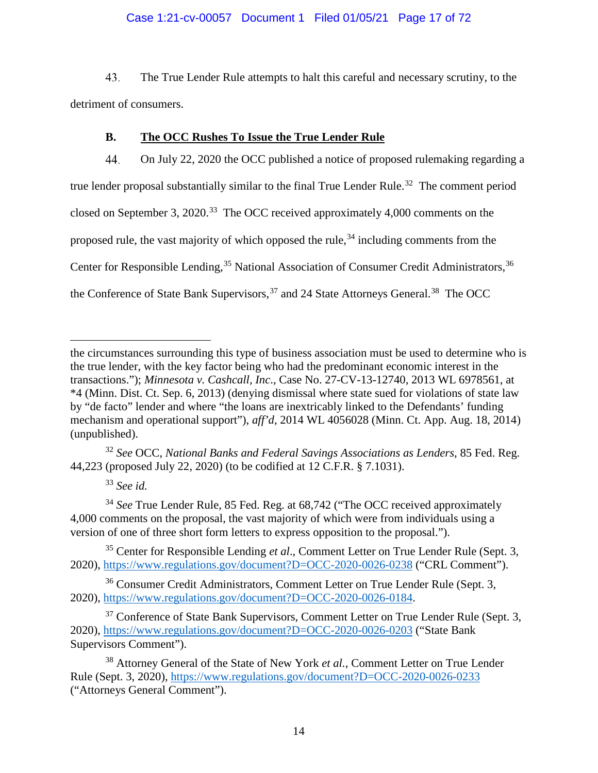# Case 1:21-cv-00057 Document 1 Filed 01/05/21 Page 17 of 72

43. The True Lender Rule attempts to halt this careful and necessary scrutiny, to the detriment of consumers.

# **B. The OCC Rushes To Issue the True Lender Rule**

<span id="page-16-0"></span>44. On July 22, 2020 the OCC published a notice of proposed rulemaking regarding a true lender proposal substantially similar to the final True Lender Rule.<sup>[32](#page-16-1)</sup> The comment period closed on September 3, 2020.<sup>33</sup> The OCC received approximately 4,000 comments on the proposed rule, the vast majority of which opposed the rule,  $34$  including comments from the Center for Responsible Lending,<sup>[35](#page-16-4)</sup> National Association of Consumer Credit Administrators.<sup>[36](#page-16-5)</sup> the Conference of State Bank Supervisors,<sup>[37](#page-16-6)</sup> and 24 State Attorneys General.<sup>38</sup> The OCC

<span id="page-16-1"></span><sup>32</sup> *See* OCC, *National Banks and Federal Savings Associations as Lenders*, 85 Fed. Reg. 44,223 (proposed July 22, 2020) (to be codified at 12 C.F.R. § 7.1031).

<sup>33</sup> *See id.*

 $\overline{a}$ 

<span id="page-16-3"></span><span id="page-16-2"></span><sup>34</sup> *See* True Lender Rule, 85 Fed. Reg. at 68,742 ("The OCC received approximately 4,000 comments on the proposal, the vast majority of which were from individuals using a version of one of three short form letters to express opposition to the proposal.").

<span id="page-16-4"></span><sup>35</sup> Center for Responsible Lending *et al*., Comment Letter on True Lender Rule (Sept. 3, 2020),<https://www.regulations.gov/document?D=OCC-2020-0026-0238> ("CRL Comment").

<span id="page-16-5"></span><sup>36</sup> Consumer Credit Administrators, Comment Letter on True Lender Rule (Sept. 3, 2020), [https://www.regulations.gov/document?D=OCC-2020-0026-0184.](https://www.regulations.gov/document?D=OCC-2020-0026-0184)

<span id="page-16-6"></span> $37$  Conference of State Bank Supervisors, Comment Letter on True Lender Rule (Sept. 3, 2020),<https://www.regulations.gov/document?D=OCC-2020-0026-0203> ("State Bank Supervisors Comment").

<span id="page-16-7"></span><sup>38</sup> Attorney General of the State of New York *et al.*, Comment Letter on True Lender Rule (Sept. 3, 2020),<https://www.regulations.gov/document?D=OCC-2020-0026-0233> ("Attorneys General Comment").

the circumstances surrounding this type of business association must be used to determine who is the true lender, with the key factor being who had the predominant economic interest in the transactions."); *Minnesota v. Cashcall, Inc*., Case No. 27-CV-13-12740, 2013 WL 6978561, at \*4 (Minn. Dist. Ct. Sep. 6, 2013) (denying dismissal where state sued for violations of state law by "de facto" lender and where "the loans are inextricably linked to the Defendants' funding mechanism and operational support"), *aff'd*, 2014 WL 4056028 (Minn. Ct. App. Aug. 18, 2014) (unpublished).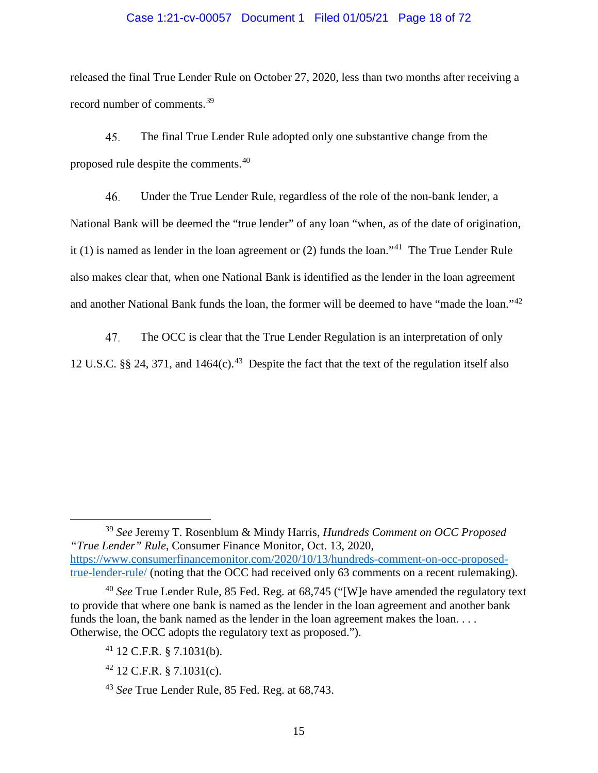#### Case 1:21-cv-00057 Document 1 Filed 01/05/21 Page 18 of 72

released the final True Lender Rule on October 27, 2020, less than two months after receiving a record number of comments.[39](#page-17-0)

45. The final True Lender Rule adopted only one substantive change from the proposed rule despite the comments.[40](#page-17-1)

46. Under the True Lender Rule, regardless of the role of the non-bank lender, a National Bank will be deemed the "true lender" of any loan "when, as of the date of origination, it (1) is named as lender in the loan agreement or (2) funds the loan."<sup>[41](#page-17-2)</sup> The True Lender Rule also makes clear that, when one National Bank is identified as the lender in the loan agreement and another National Bank funds the loan, the former will be deemed to have "made the loan."[42](#page-17-3)

47. The OCC is clear that the True Lender Regulation is an interpretation of only 12 U.S.C. §§ 24, 371, and  $1464(c)$ .<sup>43</sup> Despite the fact that the text of the regulation itself also

<span id="page-17-0"></span> <sup>39</sup> *See* Jeremy T. Rosenblum & Mindy Harris, *Hundreds Comment on OCC Proposed "True Lender" Rule*, Consumer Finance Monitor, Oct. 13, 2020, [https://www.consumerfinancemonitor.com/2020/10/13/hundreds-comment-on-occ-proposed](https://www.consumerfinancemonitor.com/2020/10/13/hundreds-comment-on-occ-proposed-true-lender-rule/)[true-lender-rule/](https://www.consumerfinancemonitor.com/2020/10/13/hundreds-comment-on-occ-proposed-true-lender-rule/) (noting that the OCC had received only 63 comments on a recent rulemaking).

<span id="page-17-2"></span><span id="page-17-1"></span><sup>40</sup> *See* True Lender Rule, 85 Fed. Reg. at 68,745 ("[W]e have amended the regulatory text to provide that where one bank is named as the lender in the loan agreement and another bank funds the loan, the bank named as the lender in the loan agreement makes the loan.... Otherwise, the OCC adopts the regulatory text as proposed.").

 $41$  12 C.F.R. § 7.1031(b).

<span id="page-17-3"></span> $42$  12 C.F.R. § 7.1031(c).

<span id="page-17-4"></span><sup>43</sup> *See* True Lender Rule, 85 Fed. Reg. at 68,743.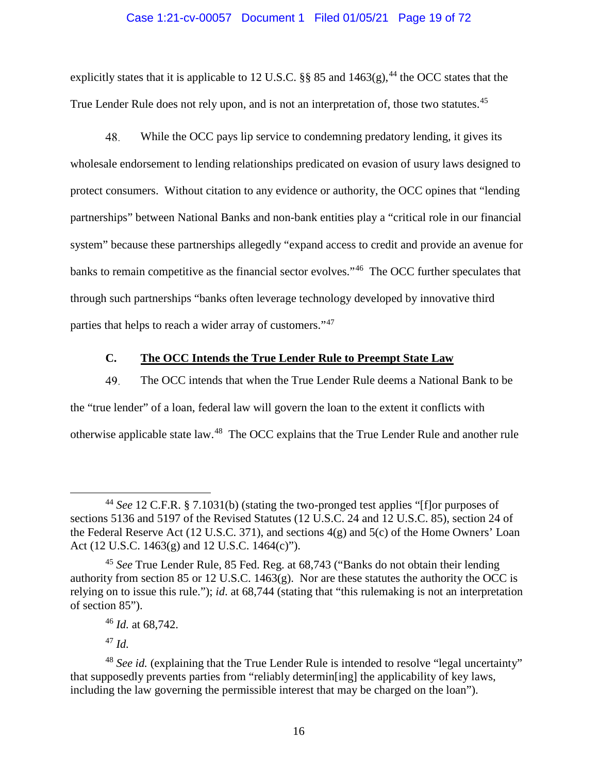#### Case 1:21-cv-00057 Document 1 Filed 01/05/21 Page 19 of 72

explicitly states that it is applicable to 12 U.S.C.  $\S$ § 85 and 1463(g),<sup>[44](#page-18-1)</sup> the OCC states that the True Lender Rule does not rely upon, and is not an interpretation of, those two statutes.<sup>[45](#page-18-2)</sup>

48. While the OCC pays lip service to condemning predatory lending, it gives its wholesale endorsement to lending relationships predicated on evasion of usury laws designed to protect consumers. Without citation to any evidence or authority, the OCC opines that "lending partnerships" between National Banks and non-bank entities play a "critical role in our financial system" because these partnerships allegedly "expand access to credit and provide an avenue for banks to remain competitive as the financial sector evolves."<sup>[46](#page-18-3)</sup> The OCC further speculates that through such partnerships "banks often leverage technology developed by innovative third parties that helps to reach a wider array of customers."[47](#page-18-4)

# **C. The OCC Intends the True Lender Rule to Preempt State Law**

<span id="page-18-0"></span>49. The OCC intends that when the True Lender Rule deems a National Bank to be the "true lender" of a loan, federal law will govern the loan to the extent it conflicts with otherwise applicable state law.[48](#page-18-5) The OCC explains that the True Lender Rule and another rule

<sup>47</sup> *Id.*

<span id="page-18-1"></span> <sup>44</sup> *See* 12 C.F.R. § 7.1031(b) (stating the two-pronged test applies "[f]or purposes of sections 5136 and 5197 of the Revised Statutes (12 U.S.C. 24 and 12 U.S.C. 85), section 24 of the Federal Reserve Act (12 U.S.C. 371), and sections 4(g) and 5(c) of the Home Owners' Loan Act (12 U.S.C. 1463(g) and 12 U.S.C. 1464(c)").

<span id="page-18-2"></span><sup>45</sup> *See* True Lender Rule, 85 Fed. Reg. at 68,743 ("Banks do not obtain their lending authority from section 85 or 12 U.S.C. 1463(g). Nor are these statutes the authority the OCC is relying on to issue this rule."); *id*. at 68,744 (stating that "this rulemaking is not an interpretation of section 85").

<sup>46</sup> *Id.* at 68,742.

<span id="page-18-5"></span><span id="page-18-4"></span><span id="page-18-3"></span><sup>48</sup> *See id.* (explaining that the True Lender Rule is intended to resolve "legal uncertainty" that supposedly prevents parties from "reliably determin[ing] the applicability of key laws, including the law governing the permissible interest that may be charged on the loan").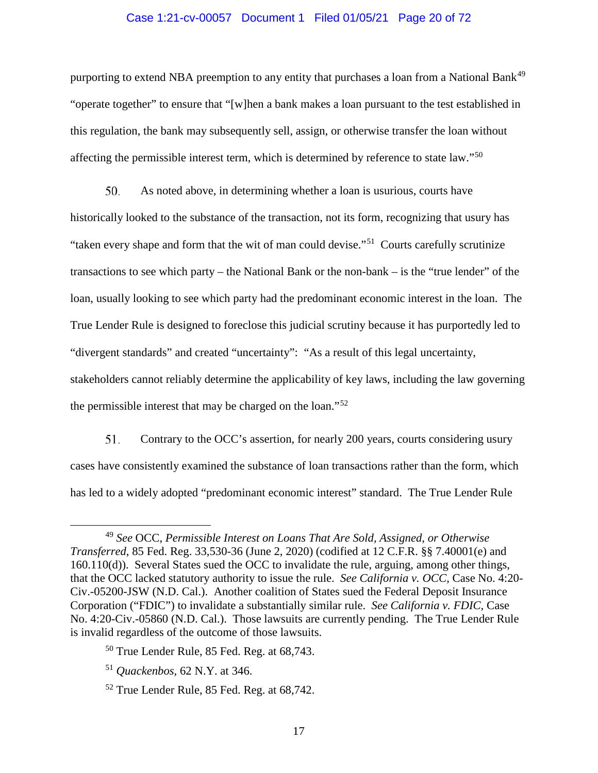#### Case 1:21-cv-00057 Document 1 Filed 01/05/21 Page 20 of 72

purporting to extend NBA preemption to any entity that purchases a loan from a National Bank<sup>[49](#page-19-0)</sup> "operate together" to ensure that "[w]hen a bank makes a loan pursuant to the test established in this regulation, the bank may subsequently sell, assign, or otherwise transfer the loan without affecting the permissible interest term, which is determined by reference to state law."[50](#page-19-1)

50. As noted above, in determining whether a loan is usurious, courts have historically looked to the substance of the transaction, not its form, recognizing that usury has "taken every shape and form that the wit of man could devise."<sup>51</sup> Courts carefully scrutinize transactions to see which party – the National Bank or the non-bank – is the "true lender" of the loan, usually looking to see which party had the predominant economic interest in the loan. The True Lender Rule is designed to foreclose this judicial scrutiny because it has purportedly led to "divergent standards" and created "uncertainty": "As a result of this legal uncertainty, stakeholders cannot reliably determine the applicability of key laws, including the law governing the permissible interest that may be charged on the loan."[52](#page-19-3)

51. Contrary to the OCC's assertion, for nearly 200 years, courts considering usury cases have consistently examined the substance of loan transactions rather than the form, which has led to a widely adopted "predominant economic interest" standard. The True Lender Rule

<span id="page-19-0"></span> <sup>49</sup> *See* OCC, *Permissible Interest on Loans That Are Sold, Assigned, or Otherwise Transferred*, 85 Fed. Reg. 33,530-36 (June 2, 2020) (codified at 12 C.F.R. §§ 7.40001(e) and 160.110(d)). Several States sued the OCC to invalidate the rule, arguing, among other things, that the OCC lacked statutory authority to issue the rule. *See California v. OCC*, Case No. 4:20- Civ.-05200-JSW (N.D. Cal.). Another coalition of States sued the Federal Deposit Insurance Corporation ("FDIC") to invalidate a substantially similar rule. *See California v. FDIC*, Case No. 4:20-Civ.-05860 (N.D. Cal.). Those lawsuits are currently pending. The True Lender Rule is invalid regardless of the outcome of those lawsuits.

<span id="page-19-1"></span><sup>50</sup> True Lender Rule, 85 Fed. Reg. at 68,743.

<span id="page-19-2"></span><sup>51</sup> *Quackenbos*, 62 N.Y. at 346.

<span id="page-19-3"></span><sup>52</sup> True Lender Rule, 85 Fed. Reg. at 68,742.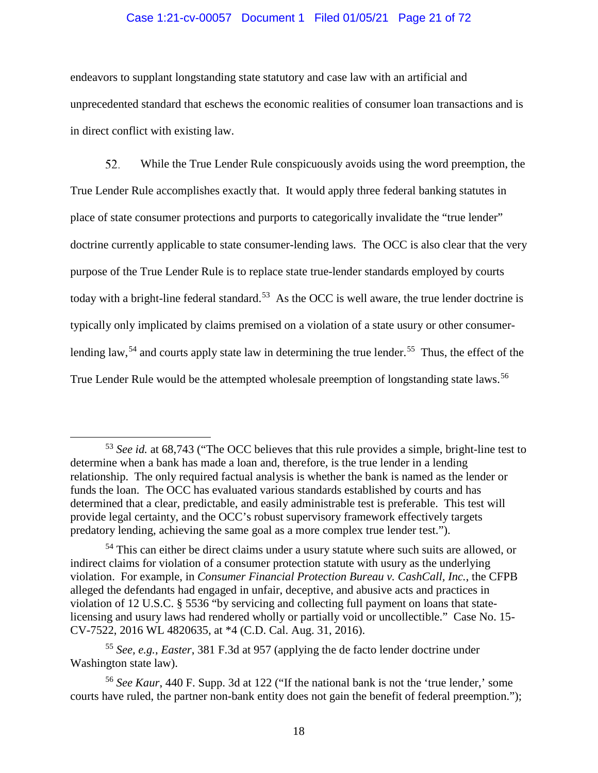#### Case 1:21-cv-00057 Document 1 Filed 01/05/21 Page 21 of 72

endeavors to supplant longstanding state statutory and case law with an artificial and unprecedented standard that eschews the economic realities of consumer loan transactions and is in direct conflict with existing law.

52. While the True Lender Rule conspicuously avoids using the word preemption, the True Lender Rule accomplishes exactly that. It would apply three federal banking statutes in place of state consumer protections and purports to categorically invalidate the "true lender" doctrine currently applicable to state consumer-lending laws. The OCC is also clear that the very purpose of the True Lender Rule is to replace state true-lender standards employed by courts today with a bright-line federal standard.<sup>53</sup> As the OCC is well aware, the true lender doctrine is typically only implicated by claims premised on a violation of a state usury or other consumer-lending law,<sup>[54](#page-20-1)</sup> and courts apply state law in determining the true lender.<sup>[55](#page-20-2)</sup> Thus, the effect of the True Lender Rule would be the attempted wholesale preemption of longstanding state laws.<sup>[56](#page-20-3)</sup>

<span id="page-20-0"></span> <sup>53</sup> *See id.* at 68,743 ("The OCC believes that this rule provides a simple, bright-line test to determine when a bank has made a loan and, therefore, is the true lender in a lending relationship. The only required factual analysis is whether the bank is named as the lender or funds the loan. The OCC has evaluated various standards established by courts and has determined that a clear, predictable, and easily administrable test is preferable. This test will provide legal certainty, and the OCC's robust supervisory framework effectively targets predatory lending, achieving the same goal as a more complex true lender test.").

<span id="page-20-1"></span><sup>&</sup>lt;sup>54</sup> This can either be direct claims under a usury statute where such suits are allowed, or indirect claims for violation of a consumer protection statute with usury as the underlying violation. For example, in *Consumer Financial Protection Bureau v. CashCall, Inc.*, the CFPB alleged the defendants had engaged in unfair, deceptive, and abusive acts and practices in violation of 12 U.S.C. § 5536 "by servicing and collecting full payment on loans that statelicensing and usury laws had rendered wholly or partially void or uncollectible." Case No. 15- CV-7522, 2016 WL 4820635, at \*4 (C.D. Cal. Aug. 31, 2016).

<span id="page-20-2"></span><sup>55</sup> *See, e.g.*, *Easter*, 381 F.3d at 957 (applying the de facto lender doctrine under Washington state law).

<span id="page-20-3"></span><sup>56</sup> *See Kaur*, 440 F. Supp. 3d at 122 ("If the national bank is not the 'true lender,' some courts have ruled, the partner non-bank entity does not gain the benefit of federal preemption.");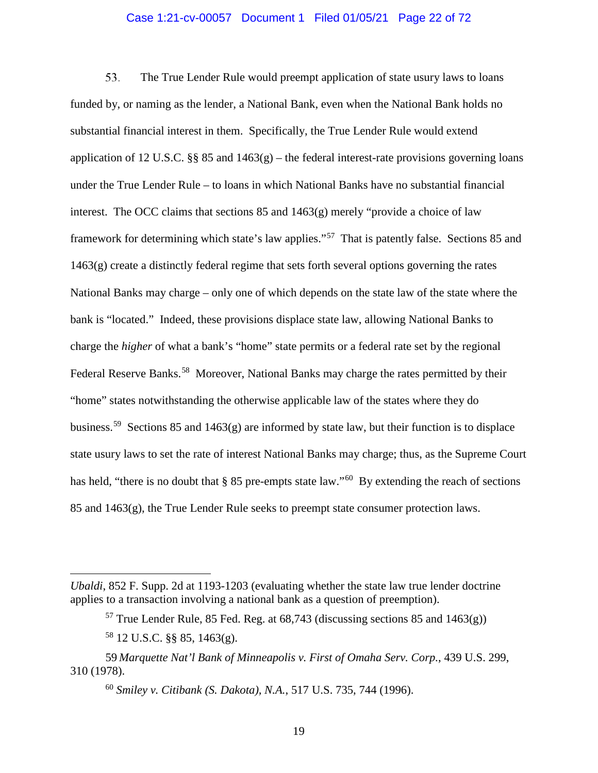#### Case 1:21-cv-00057 Document 1 Filed 01/05/21 Page 22 of 72

53. The True Lender Rule would preempt application of state usury laws to loans funded by, or naming as the lender, a National Bank, even when the National Bank holds no substantial financial interest in them. Specifically, the True Lender Rule would extend application of 12 U.S.C. §§ 85 and  $1463(g)$  – the federal interest-rate provisions governing loans under the True Lender Rule – to loans in which National Banks have no substantial financial interest. The OCC claims that sections 85 and 1463(g) merely "provide a choice of law framework for determining which state's law applies."[57](#page-21-0) That is patently false. Sections 85 and 1463(g) create a distinctly federal regime that sets forth several options governing the rates National Banks may charge – only one of which depends on the state law of the state where the bank is "located." Indeed, these provisions displace state law, allowing National Banks to charge the *higher* of what a bank's "home" state permits or a federal rate set by the regional Federal Reserve Banks.<sup>[58](#page-21-1)</sup> Moreover, National Banks may charge the rates permitted by their "home" states notwithstanding the otherwise applicable law of the states where they do business.<sup>[59](#page-21-2)</sup> Sections 85 and 1463(g) are informed by state law, but their function is to displace state usury laws to set the rate of interest National Banks may charge; thus, as the Supreme Court has held, "there is no doubt that § 85 pre-empts state law."<sup>60</sup> By extending the reach of sections 85 and  $1463(g)$ , the True Lender Rule seeks to preempt state consumer protection laws.

 $\overline{a}$ 

<span id="page-21-0"></span>*Ubaldi*, 852 F. Supp. 2d at 1193-1203 (evaluating whether the state law true lender doctrine applies to a transaction involving a national bank as a question of preemption).

 $57$  True Lender Rule, 85 Fed. Reg. at 68,743 (discussing sections 85 and 1463(g))

<sup>58</sup> 12 U.S.C. §§ 85, 1463(g).

<span id="page-21-3"></span><span id="page-21-2"></span><span id="page-21-1"></span><sup>59</sup> *Marquette Nat'l Bank of Minneapolis v. First of Omaha Serv. Corp.*, 439 U.S. 299, 310 (1978).

<sup>60</sup> *Smiley v. Citibank (S. Dakota), N.A.*, 517 U.S. 735, 744 (1996).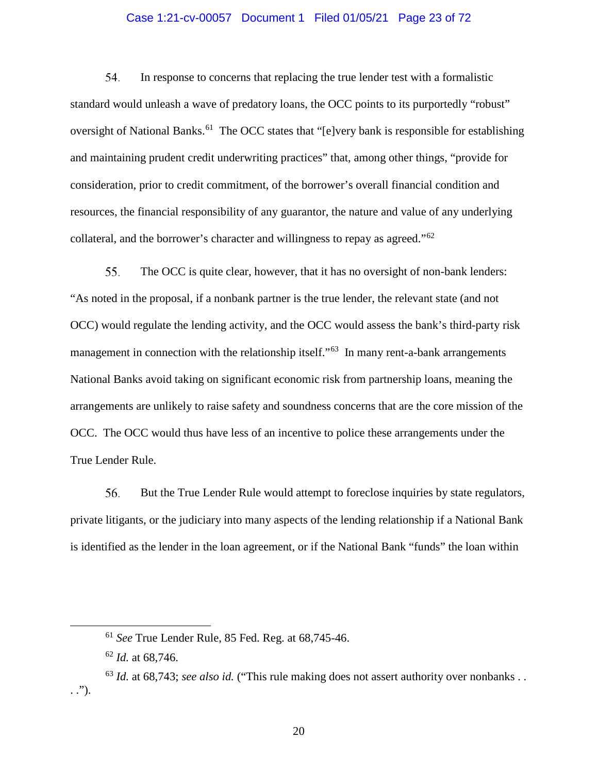#### Case 1:21-cv-00057 Document 1 Filed 01/05/21 Page 23 of 72

54. In response to concerns that replacing the true lender test with a formalistic standard would unleash a wave of predatory loans, the OCC points to its purportedly "robust" oversight of National Banks.<sup>61</sup> The OCC states that "[e]very bank is responsible for establishing and maintaining prudent credit underwriting practices" that, among other things, "provide for consideration, prior to credit commitment, of the borrower's overall financial condition and resources, the financial responsibility of any guarantor, the nature and value of any underlying collateral, and the borrower's character and willingness to repay as agreed."[62](#page-22-1)

55. The OCC is quite clear, however, that it has no oversight of non-bank lenders: "As noted in the proposal, if a nonbank partner is the true lender, the relevant state (and not OCC) would regulate the lending activity, and the OCC would assess the bank's third-party risk management in connection with the relationship itself."<sup>[63](#page-22-2)</sup> In many rent-a-bank arrangements National Banks avoid taking on significant economic risk from partnership loans, meaning the arrangements are unlikely to raise safety and soundness concerns that are the core mission of the OCC. The OCC would thus have less of an incentive to police these arrangements under the True Lender Rule.

56. But the True Lender Rule would attempt to foreclose inquiries by state regulators, private litigants, or the judiciary into many aspects of the lending relationship if a National Bank is identified as the lender in the loan agreement, or if the National Bank "funds" the loan within

20

 <sup>61</sup> *See* True Lender Rule, 85 Fed. Reg. at 68,745-46.

<sup>62</sup> *Id.* at 68,746.

<span id="page-22-2"></span><span id="page-22-1"></span><span id="page-22-0"></span><sup>63</sup> *Id.* at 68,743; *see also id.* ("This rule making does not assert authority over nonbanks . . . .").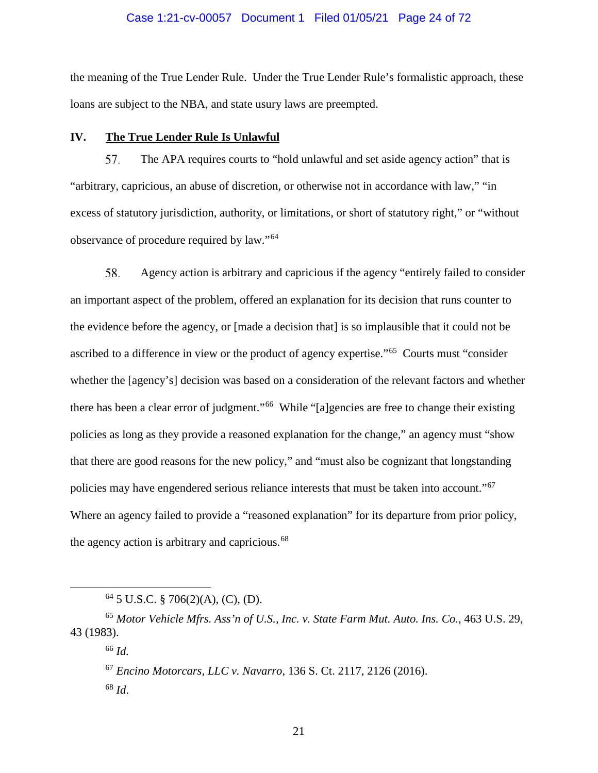#### Case 1:21-cv-00057 Document 1 Filed 01/05/21 Page 24 of 72

the meaning of the True Lender Rule. Under the True Lender Rule's formalistic approach, these loans are subject to the NBA, and state usury laws are preempted.

#### <span id="page-23-0"></span>**IV. The True Lender Rule Is Unlawful**

57. The APA requires courts to "hold unlawful and set aside agency action" that is "arbitrary, capricious, an abuse of discretion, or otherwise not in accordance with law," "in excess of statutory jurisdiction, authority, or limitations, or short of statutory right," or "without observance of procedure required by law."[64](#page-23-1)

58. Agency action is arbitrary and capricious if the agency "entirely failed to consider an important aspect of the problem, offered an explanation for its decision that runs counter to the evidence before the agency, or [made a decision that] is so implausible that it could not be ascribed to a difference in view or the product of agency expertise."[65](#page-23-2) Courts must "consider whether the [agency's] decision was based on a consideration of the relevant factors and whether there has been a clear error of judgment."[66](#page-23-3) While "[a]gencies are free to change their existing policies as long as they provide a reasoned explanation for the change," an agency must "show that there are good reasons for the new policy," and "must also be cognizant that longstanding policies may have engendered serious reliance interests that must be taken into account."[67](#page-23-4) Where an agency failed to provide a "reasoned explanation" for its departure from prior policy, the agency action is arbitrary and capricious.<sup>[68](#page-23-5)</sup>

<sup>67</sup> *Encino Motorcars, LLC v. Navarro*, 136 S. Ct. 2117, 2126 (2016). <sup>68</sup> *Id*.

 $64$  5 U.S.C. § 706(2)(A), (C), (D).

<span id="page-23-5"></span><span id="page-23-4"></span><span id="page-23-3"></span><span id="page-23-2"></span><span id="page-23-1"></span><sup>65</sup> *Motor Vehicle Mfrs. Ass'n of U.S., Inc. v. State Farm Mut. Auto. Ins. Co.*, 463 U.S. 29, 43 (1983).

<sup>66</sup> *Id.*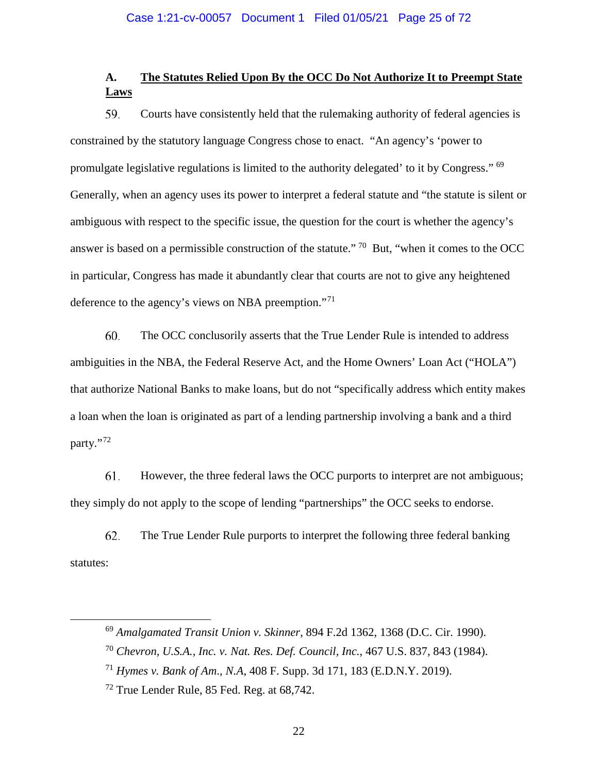# <span id="page-24-0"></span>**A. The Statutes Relied Upon By the OCC Do Not Authorize It to Preempt State Laws**

59. Courts have consistently held that the rulemaking authority of federal agencies is constrained by the statutory language Congress chose to enact. "An agency's 'power to promulgate legislative regulations is limited to the authority delegated' to it by Congress." [69](#page-24-1) Generally, when an agency uses its power to interpret a federal statute and "the statute is silent or ambiguous with respect to the specific issue, the question for the court is whether the agency's answer is based on a permissible construction of the statute." [70](#page-24-2) But, "when it comes to the OCC in particular, Congress has made it abundantly clear that courts are not to give any heightened deference to the agency's views on NBA preemption."[71](#page-24-3)

60. The OCC conclusorily asserts that the True Lender Rule is intended to address ambiguities in the NBA, the Federal Reserve Act, and the Home Owners' Loan Act ("HOLA") that authorize National Banks to make loans, but do not "specifically address which entity makes a loan when the loan is originated as part of a lending partnership involving a bank and a third party."?

61. However, the three federal laws the OCC purports to interpret are not ambiguous; they simply do not apply to the scope of lending "partnerships" the OCC seeks to endorse.

62. The True Lender Rule purports to interpret the following three federal banking statutes:

<span id="page-24-1"></span> <sup>69</sup> *Amalgamated Transit Union v. Skinner*, 894 F.2d 1362, 1368 (D.C. Cir. 1990).

<span id="page-24-2"></span><sup>70</sup> *Chevron, U.S.A., Inc. v. Nat. Res. Def. Council, Inc.*, 467 U.S. 837, 843 (1984).

<span id="page-24-3"></span><sup>71</sup> *Hymes v. Bank of Am*.*, N.A*, 408 F. Supp. 3d 171, 183 (E.D.N.Y. 2019).

<span id="page-24-4"></span><sup>72</sup> True Lender Rule, 85 Fed. Reg. at 68,742.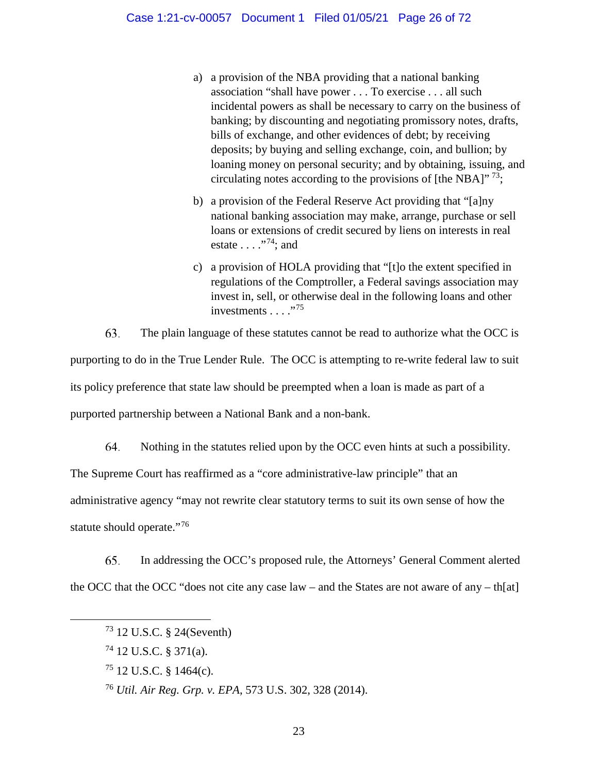- a) a provision of the NBA providing that a national banking association "shall have power . . . To exercise . . . all such incidental powers as shall be necessary to carry on the business of banking; by discounting and negotiating promissory notes, drafts, bills of exchange, and other evidences of debt; by receiving deposits; by buying and selling exchange, coin, and bullion; by loaning money on personal security; and by obtaining, issuing, and circulating notes according to the provisions of [the NBA]"  $^{73}$ ;
- b) a provision of the Federal Reserve Act providing that "[a]ny national banking association may make, arrange, purchase or sell loans or extensions of credit secured by liens on interests in real estate . . . ."[74](#page-25-1); and
- c) a provision of HOLA providing that "[t]o the extent specified in regulations of the Comptroller, a Federal savings association may invest in, sell, or otherwise deal in the following loans and other investments  $\ldots$  ."<sup>[75](#page-25-2)</sup>

63. The plain language of these statutes cannot be read to authorize what the OCC is purporting to do in the True Lender Rule. The OCC is attempting to re-write federal law to suit its policy preference that state law should be preempted when a loan is made as part of a purported partnership between a National Bank and a non-bank.

64. Nothing in the statutes relied upon by the OCC even hints at such a possibility. The Supreme Court has reaffirmed as a "core administrative-law principle" that an administrative agency "may not rewrite clear statutory terms to suit its own sense of how the statute should operate."<sup>[76](#page-25-3)</sup>

<span id="page-25-0"></span>65. In addressing the OCC's proposed rule, the Attorneys' General Comment alerted the OCC that the OCC "does not cite any case  $law -$  and the States are not aware of any  $-$  th[at]

 <sup>73</sup> 12 U.S.C. § 24(Seventh)

<span id="page-25-1"></span><sup>74</sup> 12 U.S.C. § 371(a).

<span id="page-25-2"></span> $^{75}$  12 U.S.C. § 1464(c).

<span id="page-25-3"></span><sup>76</sup> *Util. Air Reg. Grp. v. EPA*, 573 U.S. 302, 328 (2014).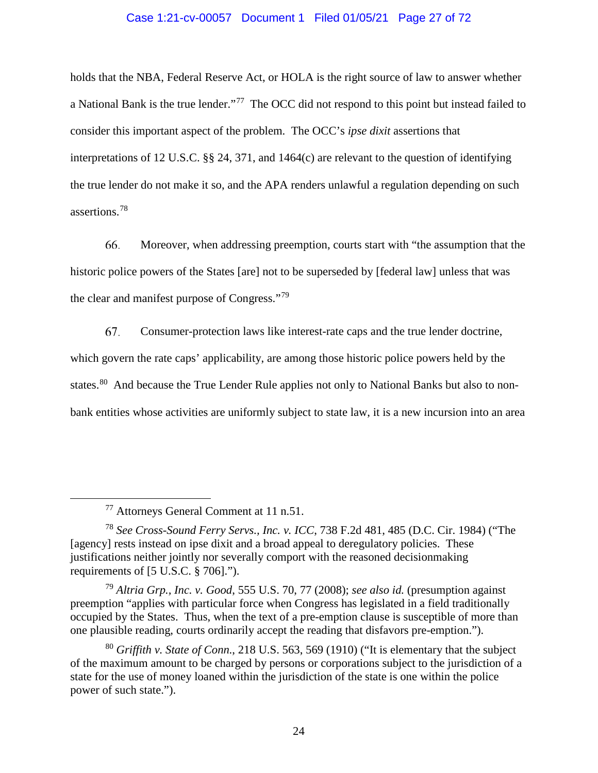#### Case 1:21-cv-00057 Document 1 Filed 01/05/21 Page 27 of 72

holds that the NBA, Federal Reserve Act, or HOLA is the right source of law to answer whether a National Bank is the true lender."[77](#page-26-0) The OCC did not respond to this point but instead failed to consider this important aspect of the problem. The OCC's *ipse dixit* assertions that interpretations of 12 U.S.C. §§ 24, 371, and 1464(c) are relevant to the question of identifying the true lender do not make it so, and the APA renders unlawful a regulation depending on such assertions.[78](#page-26-1)

66. Moreover, when addressing preemption, courts start with "the assumption that the historic police powers of the States [are] not to be superseded by [federal law] unless that was the clear and manifest purpose of Congress."[79](#page-26-2)

67. Consumer-protection laws like interest-rate caps and the true lender doctrine, which govern the rate caps' applicability, are among those historic police powers held by the states.<sup>[80](#page-26-3)</sup> And because the True Lender Rule applies not only to National Banks but also to nonbank entities whose activities are uniformly subject to state law, it is a new incursion into an area

 <sup>77</sup> Attorneys General Comment at 11 n.51.

<span id="page-26-1"></span><span id="page-26-0"></span><sup>78</sup> *See Cross-Sound Ferry Servs., Inc. v. ICC*, 738 F.2d 481, 485 (D.C. Cir. 1984) ("The [agency] rests instead on ipse dixit and a broad appeal to deregulatory policies. These justifications neither jointly nor severally comport with the reasoned decisionmaking requirements of [5 U.S.C. § 706].").

<span id="page-26-2"></span><sup>79</sup> *Altria Grp., Inc. v. Good*, 555 U.S. 70, 77 (2008); *see also id.* (presumption against preemption "applies with particular force when Congress has legislated in a field traditionally occupied by the States. Thus, when the text of a pre-emption clause is susceptible of more than one plausible reading, courts ordinarily accept the reading that disfavors pre-emption.").

<span id="page-26-3"></span><sup>80</sup> *Griffith v. State of Conn.*, 218 U.S. 563, 569 (1910) ("It is elementary that the subject of the maximum amount to be charged by persons or corporations subject to the jurisdiction of a state for the use of money loaned within the jurisdiction of the state is one within the police power of such state.").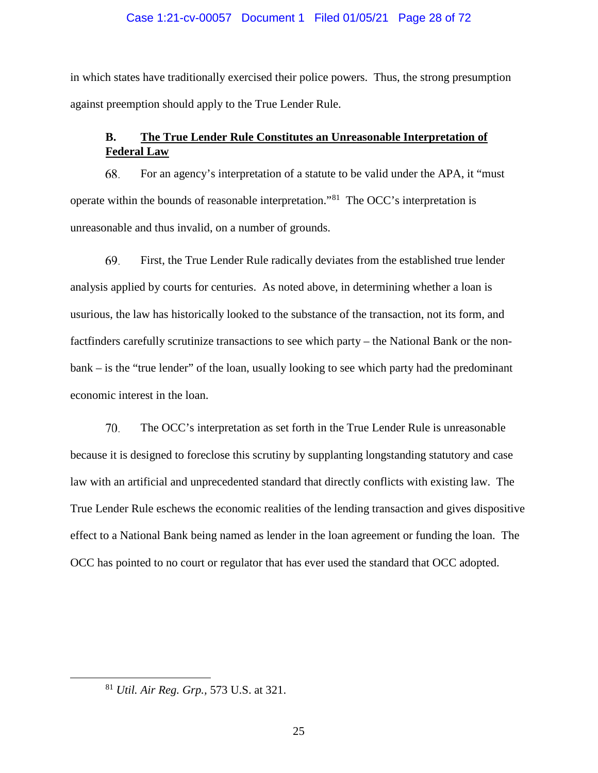#### Case 1:21-cv-00057 Document 1 Filed 01/05/21 Page 28 of 72

in which states have traditionally exercised their police powers. Thus, the strong presumption against preemption should apply to the True Lender Rule.

# <span id="page-27-0"></span>**B. The True Lender Rule Constitutes an Unreasonable Interpretation of Federal Law**

68. For an agency's interpretation of a statute to be valid under the APA, it "must operate within the bounds of reasonable interpretation."[81](#page-27-1) The OCC's interpretation is unreasonable and thus invalid, on a number of grounds.

69. First, the True Lender Rule radically deviates from the established true lender analysis applied by courts for centuries. As noted above, in determining whether a loan is usurious, the law has historically looked to the substance of the transaction, not its form, and factfinders carefully scrutinize transactions to see which party – the National Bank or the nonbank – is the "true lender" of the loan, usually looking to see which party had the predominant economic interest in the loan.

70. The OCC's interpretation as set forth in the True Lender Rule is unreasonable because it is designed to foreclose this scrutiny by supplanting longstanding statutory and case law with an artificial and unprecedented standard that directly conflicts with existing law. The True Lender Rule eschews the economic realities of the lending transaction and gives dispositive effect to a National Bank being named as lender in the loan agreement or funding the loan. The OCC has pointed to no court or regulator that has ever used the standard that OCC adopted.

<span id="page-27-1"></span> <sup>81</sup> *Util. Air Reg. Grp.,* 573 U.S. at 321.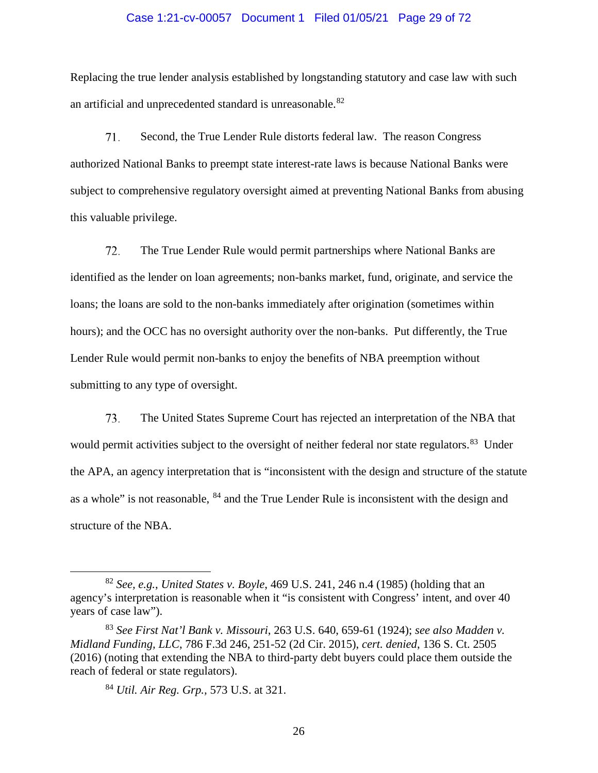#### Case 1:21-cv-00057 Document 1 Filed 01/05/21 Page 29 of 72

Replacing the true lender analysis established by longstanding statutory and case law with such an artificial and unprecedented standard is unreasonable.<sup>[82](#page-28-0)</sup>

71. Second, the True Lender Rule distorts federal law. The reason Congress authorized National Banks to preempt state interest-rate laws is because National Banks were subject to comprehensive regulatory oversight aimed at preventing National Banks from abusing this valuable privilege.

72. The True Lender Rule would permit partnerships where National Banks are identified as the lender on loan agreements; non-banks market, fund, originate, and service the loans; the loans are sold to the non-banks immediately after origination (sometimes within hours); and the OCC has no oversight authority over the non-banks. Put differently, the True Lender Rule would permit non-banks to enjoy the benefits of NBA preemption without submitting to any type of oversight.

73. The United States Supreme Court has rejected an interpretation of the NBA that would permit activities subject to the oversight of neither federal nor state regulators.<sup>83</sup> Under the APA, an agency interpretation that is "inconsistent with the design and structure of the statute as a whole" is not reasonable, [84](#page-28-2) and the True Lender Rule is inconsistent with the design and structure of the NBA.

<span id="page-28-0"></span> <sup>82</sup> *See, e.g.*, *United States v. Boyle*, 469 U.S. 241, 246 n.4 (1985) (holding that an agency's interpretation is reasonable when it "is consistent with Congress' intent, and over 40 years of case law").

<span id="page-28-2"></span><span id="page-28-1"></span><sup>83</sup> *See First Nat'l Bank v. Missouri*, 263 U.S. 640, 659-61 (1924); *see also Madden v. Midland Funding, LLC*, 786 F.3d 246, 251-52 (2d Cir. 2015), *cert. denied*, 136 S. Ct. 2505 (2016) (noting that extending the NBA to third-party debt buyers could place them outside the reach of federal or state regulators).

<sup>84</sup> *Util. Air Reg. Grp.,* 573 U.S. at 321.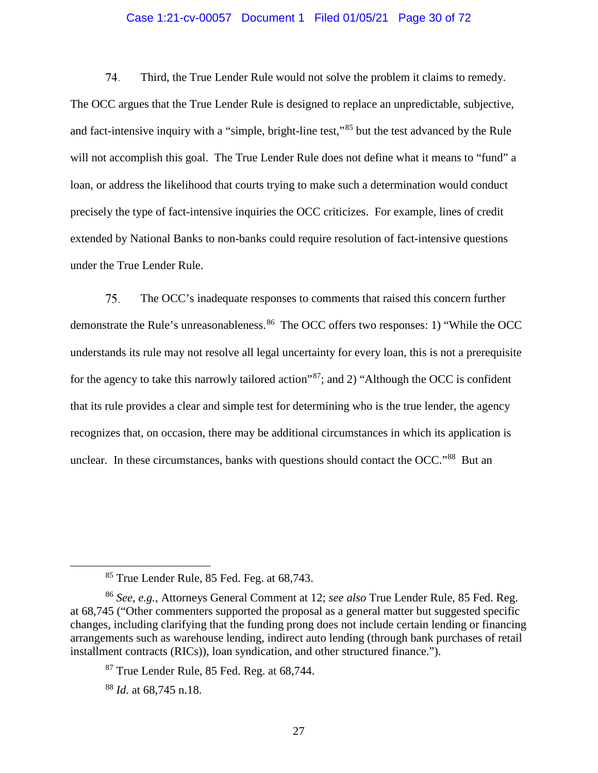#### Case 1:21-cv-00057 Document 1 Filed 01/05/21 Page 30 of 72

74. Third, the True Lender Rule would not solve the problem it claims to remedy. The OCC argues that the True Lender Rule is designed to replace an unpredictable, subjective, and fact-intensive inquiry with a "simple, bright-line test,"[85](#page-29-0) but the test advanced by the Rule will not accomplish this goal. The True Lender Rule does not define what it means to "fund" a loan, or address the likelihood that courts trying to make such a determination would conduct precisely the type of fact-intensive inquiries the OCC criticizes. For example, lines of credit extended by National Banks to non-banks could require resolution of fact-intensive questions under the True Lender Rule.

75. The OCC's inadequate responses to comments that raised this concern further demonstrate the Rule's unreasonableness.<sup>[86](#page-29-1)</sup> The OCC offers two responses: 1) "While the OCC understands its rule may not resolve all legal uncertainty for every loan, this is not a prerequisite for the agency to take this narrowly tailored action"[87;](#page-29-2) and 2) "Although the OCC is confident that its rule provides a clear and simple test for determining who is the true lender, the agency recognizes that, on occasion, there may be additional circumstances in which its application is unclear. In these circumstances, banks with questions should contact the OCC."<sup>88</sup> But an

 <sup>85</sup> True Lender Rule, 85 Fed. Feg. at 68,743.

<span id="page-29-2"></span><span id="page-29-1"></span><span id="page-29-0"></span><sup>86</sup> *See, e.g.*, Attorneys General Comment at 12; *see also* True Lender Rule, 85 Fed. Reg. at 68,745 ("Other commenters supported the proposal as a general matter but suggested specific changes, including clarifying that the funding prong does not include certain lending or financing arrangements such as warehouse lending, indirect auto lending (through bank purchases of retail installment contracts (RICs)), loan syndication, and other structured finance.").

 $87$  True Lender Rule, 85 Fed. Reg. at 68,744.

<span id="page-29-3"></span><sup>88</sup> *Id.* at 68,745 n.18.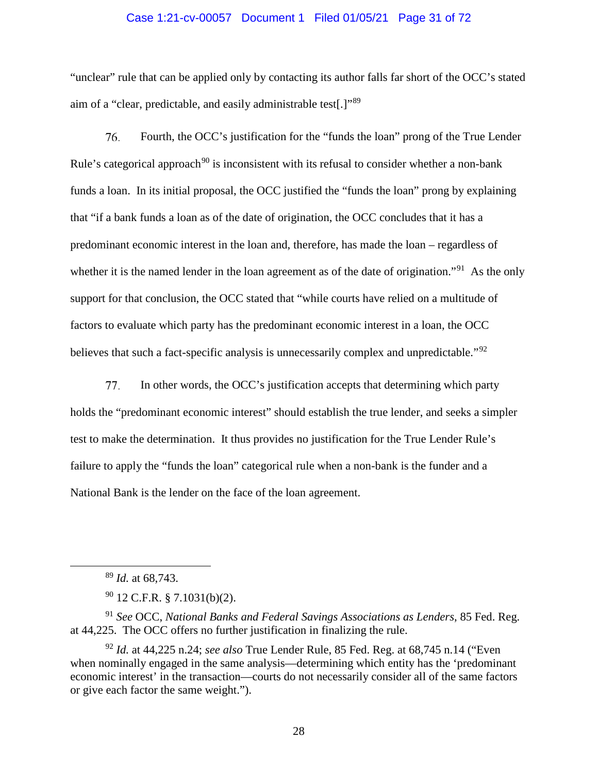#### Case 1:21-cv-00057 Document 1 Filed 01/05/21 Page 31 of 72

"unclear" rule that can be applied only by contacting its author falls far short of the OCC's stated aim of a "clear, predictable, and easily administrable test[.]"[89](#page-30-0)

76. Fourth, the OCC's justification for the "funds the loan" prong of the True Lender Rule's categorical approach<sup>[90](#page-30-1)</sup> is inconsistent with its refusal to consider whether a non-bank funds a loan. In its initial proposal, the OCC justified the "funds the loan" prong by explaining that "if a bank funds a loan as of the date of origination, the OCC concludes that it has a predominant economic interest in the loan and, therefore, has made the loan – regardless of whether it is the named lender in the loan agreement as of the date of origination."<sup>[91](#page-30-2)</sup> As the only support for that conclusion, the OCC stated that "while courts have relied on a multitude of factors to evaluate which party has the predominant economic interest in a loan, the OCC believes that such a fact-specific analysis is unnecessarily complex and unpredictable."<sup>[92](#page-30-3)</sup>

In other words, the OCC's justification accepts that determining which party 77. holds the "predominant economic interest" should establish the true lender, and seeks a simpler test to make the determination. It thus provides no justification for the True Lender Rule's failure to apply the "funds the loan" categorical rule when a non-bank is the funder and a National Bank is the lender on the face of the loan agreement.

<span id="page-30-2"></span><span id="page-30-1"></span><span id="page-30-0"></span><sup>91</sup> *See* OCC, *National Banks and Federal Savings Associations as Lenders*, 85 Fed. Reg. at 44,225. The OCC offers no further justification in finalizing the rule.

 <sup>89</sup> *Id.* at 68,743.

 $90$  12 C.F.R. § 7.1031(b)(2).

<span id="page-30-3"></span><sup>92</sup> *Id.* at 44,225 n.24; *see also* True Lender Rule, 85 Fed. Reg. at 68,745 n.14 ("Even when nominally engaged in the same analysis—determining which entity has the 'predominant' economic interest' in the transaction—courts do not necessarily consider all of the same factors or give each factor the same weight.").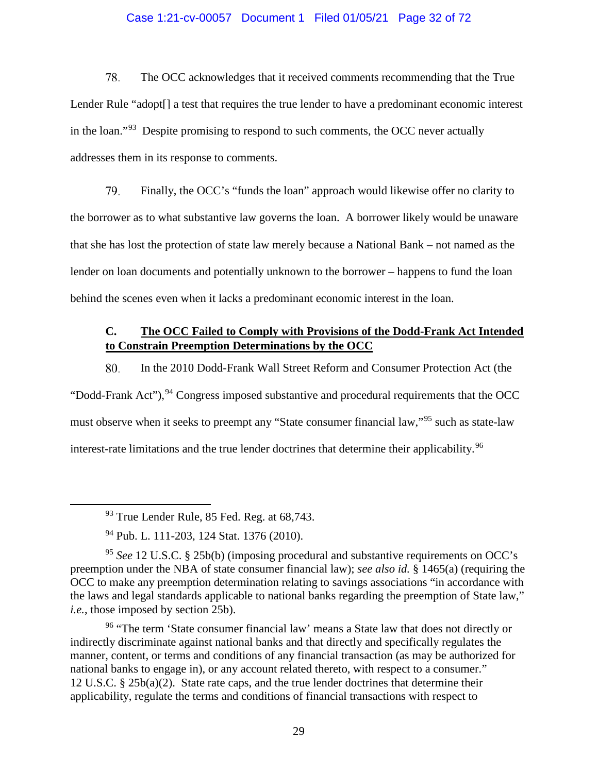#### Case 1:21-cv-00057 Document 1 Filed 01/05/21 Page 32 of 72

78. The OCC acknowledges that it received comments recommending that the True Lender Rule "adopt<sup>[]</sup> a test that requires the true lender to have a predominant economic interest in the loan."[93](#page-31-1) Despite promising to respond to such comments, the OCC never actually addresses them in its response to comments.

79. Finally, the OCC's "funds the loan" approach would likewise offer no clarity to the borrower as to what substantive law governs the loan. A borrower likely would be unaware that she has lost the protection of state law merely because a National Bank – not named as the lender on loan documents and potentially unknown to the borrower – happens to fund the loan behind the scenes even when it lacks a predominant economic interest in the loan.

# <span id="page-31-0"></span>**C. The OCC Failed to Comply with Provisions of the Dodd-Frank Act Intended to Constrain Preemption Determinations by the OCC**

80. In the 2010 Dodd-Frank Wall Street Reform and Consumer Protection Act (the "Dodd-Frank Act"),  $94$  Congress imposed substantive and procedural requirements that the OCC must observe when it seeks to preempt any "State consumer financial law,"<sup>[95](#page-31-3)</sup> such as state-law interest-rate limitations and the true lender doctrines that determine their applicability. [96](#page-31-4)

<span id="page-31-4"></span><sup>96</sup> "The term 'State consumer financial law' means a State law that does not directly or indirectly discriminate against national banks and that directly and specifically regulates the manner, content, or terms and conditions of any financial transaction (as may be authorized for national banks to engage in), or any account related thereto, with respect to a consumer." 12 U.S.C. § 25b(a)(2). State rate caps, and the true lender doctrines that determine their applicability, regulate the terms and conditions of financial transactions with respect to

<sup>&</sup>lt;sup>93</sup> True Lender Rule, 85 Fed. Reg. at 68,743.

<sup>94</sup> Pub. L. 111-203, 124 Stat. 1376 (2010).

<span id="page-31-3"></span><span id="page-31-2"></span><span id="page-31-1"></span><sup>95</sup> *See* 12 U.S.C. § 25b(b) (imposing procedural and substantive requirements on OCC's preemption under the NBA of state consumer financial law); *see also id.* § 1465(a) (requiring the OCC to make any preemption determination relating to savings associations "in accordance with the laws and legal standards applicable to national banks regarding the preemption of State law," *i.e.*, those imposed by section 25b).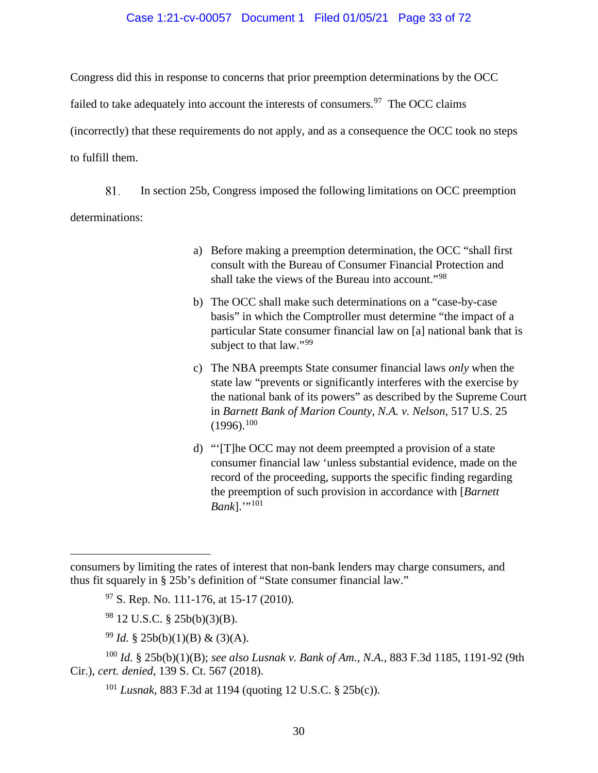#### Case 1:21-cv-00057 Document 1 Filed 01/05/21 Page 33 of 72

Congress did this in response to concerns that prior preemption determinations by the OCC

failed to take adequately into account the interests of consumers.<sup>[97](#page-32-0)</sup> The OCC claims

(incorrectly) that these requirements do not apply, and as a consequence the OCC took no steps to fulfill them.

81. In section 25b, Congress imposed the following limitations on OCC preemption determinations:

- a) Before making a preemption determination, the OCC "shall first consult with the Bureau of Consumer Financial Protection and shall take the views of the Bureau into account."[98](#page-32-1)
- b) The OCC shall make such determinations on a "case-by-case basis" in which the Comptroller must determine "the impact of a particular State consumer financial law on [a] national bank that is subject to that law."<sup>[99](#page-32-2)</sup>
- c) The NBA preempts State consumer financial laws *only* when the state law "prevents or significantly interferes with the exercise by the national bank of its powers" as described by the Supreme Court in *Barnett Bank of Marion County, N.A. v. Nelson*, 517 U.S. 25  $(1996).^{100}$  $(1996).^{100}$  $(1996).^{100}$
- d) "'[T]he OCC may not deem preempted a provision of a state consumer financial law 'unless substantial evidence, made on the record of the proceeding, supports the specific finding regarding the preemption of such provision in accordance with [*Barnett*   $Bank$ ]."<sup>[101](#page-32-4)</sup>

 $97$  S. Rep. No. 111-176, at 15-17 (2010).

<sup>98</sup> 12 U.S.C. § 25b(b)(3)(B).

 $\overline{a}$ 

<sup>99</sup> *Id.* § 25b(b)(1)(B) & (3)(A).

<sup>101</sup> *Lusnak*, 883 F.3d at 1194 (quoting 12 U.S.C. § 25b(c)).

<span id="page-32-0"></span>consumers by limiting the rates of interest that non-bank lenders may charge consumers, and thus fit squarely in § 25b's definition of "State consumer financial law."

<span id="page-32-4"></span><span id="page-32-3"></span><span id="page-32-2"></span><span id="page-32-1"></span><sup>100</sup> *Id.* § 25b(b)(1)(B); *see also Lusnak v. Bank of Am., N.A.*, 883 F.3d 1185, 1191-92 (9th Cir.), *cert. denied*, 139 S. Ct. 567 (2018).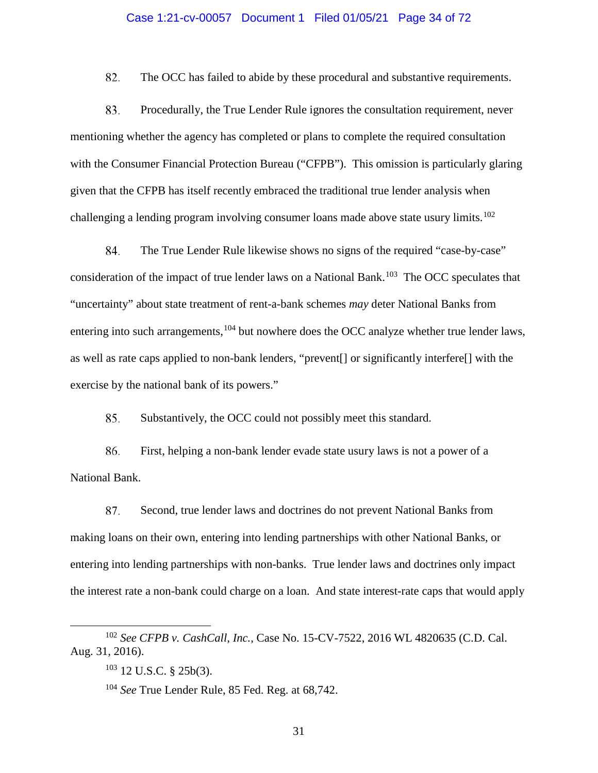#### Case 1:21-cv-00057 Document 1 Filed 01/05/21 Page 34 of 72

82. The OCC has failed to abide by these procedural and substantive requirements.

83. Procedurally, the True Lender Rule ignores the consultation requirement, never mentioning whether the agency has completed or plans to complete the required consultation with the Consumer Financial Protection Bureau ("CFPB"). This omission is particularly glaring given that the CFPB has itself recently embraced the traditional true lender analysis when challenging a lending program involving consumer loans made above state usury limits.<sup>[102](#page-33-0)</sup>

84. The True Lender Rule likewise shows no signs of the required "case-by-case" consideration of the impact of true lender laws on a National Bank.<sup>[103](#page-33-1)</sup> The OCC speculates that "uncertainty" about state treatment of rent-a-bank schemes *may* deter National Banks from entering into such arrangements,  $104$  but nowhere does the OCC analyze whether true lender laws, as well as rate caps applied to non-bank lenders, "prevent[] or significantly interfere[] with the exercise by the national bank of its powers."

85. Substantively, the OCC could not possibly meet this standard.

86. First, helping a non-bank lender evade state usury laws is not a power of a National Bank.

87. Second, true lender laws and doctrines do not prevent National Banks from making loans on their own, entering into lending partnerships with other National Banks, or entering into lending partnerships with non-banks. True lender laws and doctrines only impact the interest rate a non-bank could charge on a loan. And state interest-rate caps that would apply

<span id="page-33-2"></span><span id="page-33-1"></span><span id="page-33-0"></span> <sup>102</sup> *See CFPB v. CashCall, Inc.*, Case No. 15-CV-7522, 2016 WL 4820635 (C.D. Cal. Aug. 31, 2016).

<sup>103</sup> 12 U.S.C. § 25b(3).

<sup>104</sup> *See* True Lender Rule, 85 Fed. Reg. at 68,742.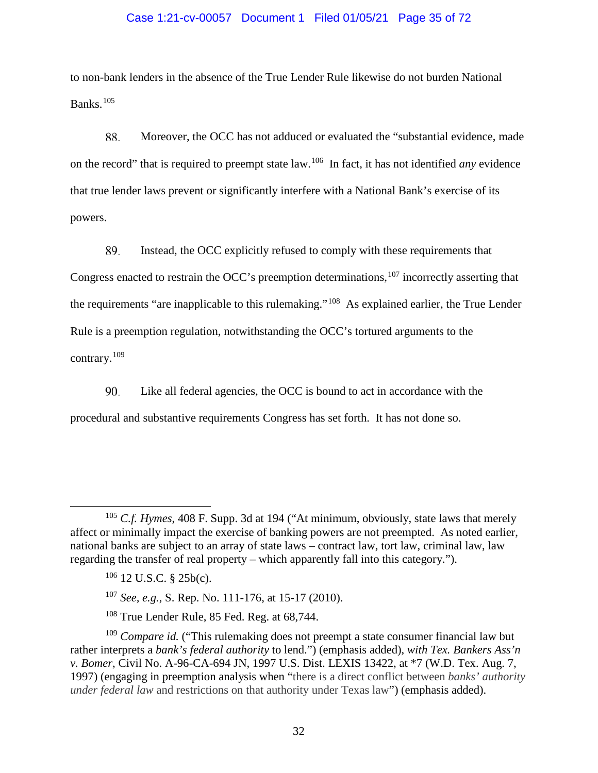#### Case 1:21-cv-00057 Document 1 Filed 01/05/21 Page 35 of 72

to non-bank lenders in the absence of the True Lender Rule likewise do not burden National Banks. [105](#page-34-0) 

88. Moreover, the OCC has not adduced or evaluated the "substantial evidence, made on the record" that is required to preempt state law.[106](#page-34-1) In fact, it has not identified *any* evidence that true lender laws prevent or significantly interfere with a National Bank's exercise of its powers.

89. Instead, the OCC explicitly refused to comply with these requirements that Congress enacted to restrain the OCC's preemption determinations,  $107$  incorrectly asserting that the requirements "are inapplicable to this rulemaking."[108](#page-34-3) As explained earlier, the True Lender Rule is a preemption regulation, notwithstanding the OCC's tortured arguments to the contrary.[109](#page-34-4)

90. Like all federal agencies, the OCC is bound to act in accordance with the procedural and substantive requirements Congress has set forth. It has not done so.

<span id="page-34-0"></span> <sup>105</sup> *C.f. Hymes*, 408 F. Supp. 3d at 194 ("At minimum, obviously, state laws that merely affect or minimally impact the exercise of banking powers are not preempted. As noted earlier, national banks are subject to an array of state laws – contract law, tort law, criminal law, law regarding the transfer of real property – which apparently fall into this category.").

 $106$  12 U.S.C. § 25b(c).

<sup>107</sup> *See, e.g.*, S. Rep. No. 111-176, at 15-17 (2010).

<sup>108</sup> True Lender Rule, 85 Fed. Reg. at 68,744.

<span id="page-34-4"></span><span id="page-34-3"></span><span id="page-34-2"></span><span id="page-34-1"></span><sup>109</sup> *Compare id.* ("This rulemaking does not preempt a state consumer financial law but rather interprets a *bank's federal authority* to lend.") (emphasis added), *with Tex. Bankers Ass'n v. Bomer*, Civil No. A-96-CA-694 JN, 1997 U.S. Dist. LEXIS 13422, at \*7 (W.D. Tex. Aug. 7, 1997) (engaging in preemption analysis when "there is a direct conflict between *banks' authority under federal law* and restrictions on that authority under Texas law") (emphasis added).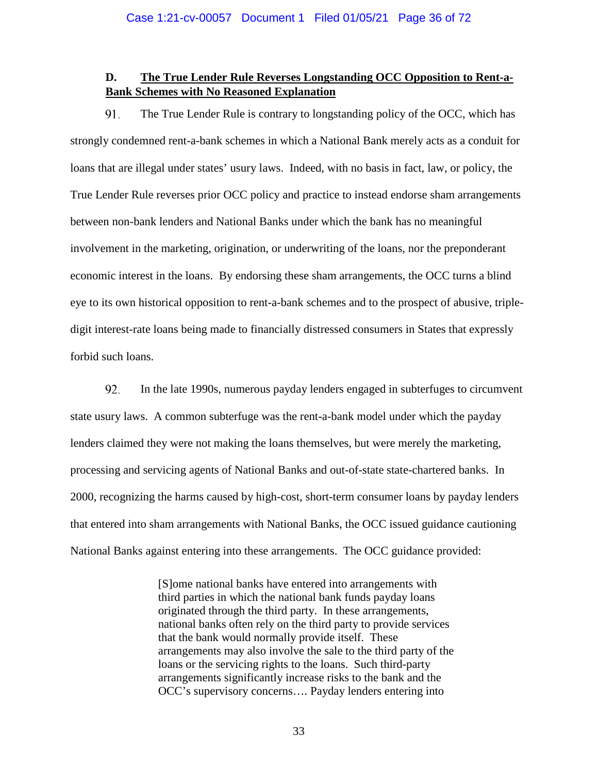# <span id="page-35-0"></span>**D. The True Lender Rule Reverses Longstanding OCC Opposition to Rent-a-Bank Schemes with No Reasoned Explanation**

91. The True Lender Rule is contrary to longstanding policy of the OCC, which has strongly condemned rent-a-bank schemes in which a National Bank merely acts as a conduit for loans that are illegal under states' usury laws. Indeed, with no basis in fact, law, or policy, the True Lender Rule reverses prior OCC policy and practice to instead endorse sham arrangements between non-bank lenders and National Banks under which the bank has no meaningful involvement in the marketing, origination, or underwriting of the loans, nor the preponderant economic interest in the loans. By endorsing these sham arrangements, the OCC turns a blind eye to its own historical opposition to rent-a-bank schemes and to the prospect of abusive, tripledigit interest-rate loans being made to financially distressed consumers in States that expressly forbid such loans.

92. In the late 1990s, numerous payday lenders engaged in subterfuges to circumvent state usury laws. A common subterfuge was the rent-a-bank model under which the payday lenders claimed they were not making the loans themselves, but were merely the marketing, processing and servicing agents of National Banks and out-of-state state-chartered banks. In 2000, recognizing the harms caused by high-cost, short-term consumer loans by payday lenders that entered into sham arrangements with National Banks, the OCC issued guidance cautioning National Banks against entering into these arrangements. The OCC guidance provided:

> [S]ome national banks have entered into arrangements with third parties in which the national bank funds payday loans originated through the third party. In these arrangements, national banks often rely on the third party to provide services that the bank would normally provide itself. These arrangements may also involve the sale to the third party of the loans or the servicing rights to the loans. Such third-party arrangements significantly increase risks to the bank and the OCC's supervisory concerns…. Payday lenders entering into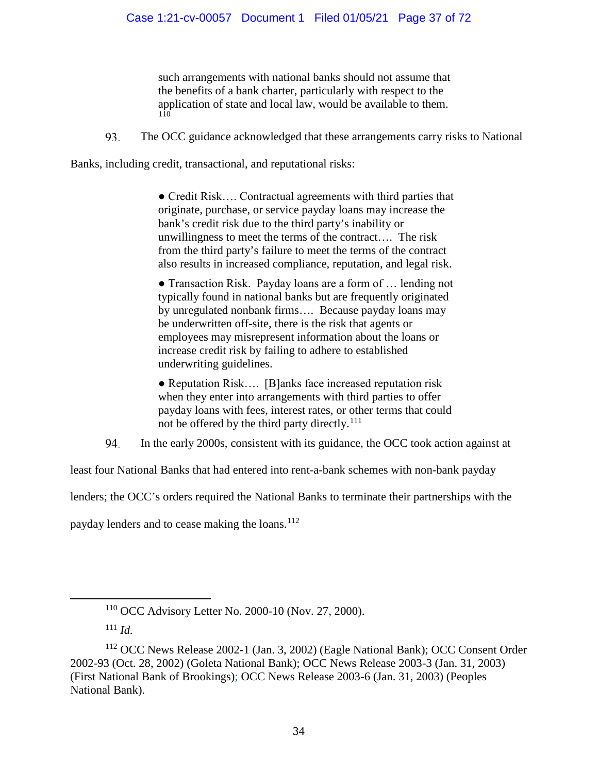such arrangements with national banks should not assume that the benefits of a bank charter, particularly with respect to the application of state and local law, would be available to them. [110](#page-36-0)

93. The OCC guidance acknowledged that these arrangements carry risks to National

Banks, including credit, transactional, and reputational risks:

● Credit Risk…. Contractual agreements with third parties that originate, purchase, or service payday loans may increase the bank's credit risk due to the third party's inability or unwillingness to meet the terms of the contract…. The risk from the third party's failure to meet the terms of the contract also results in increased compliance, reputation, and legal risk.

• Transaction Risk. Payday loans are a form of ... lending not typically found in national banks but are frequently originated by unregulated nonbank firms…. Because payday loans may be underwritten off-site, there is the risk that agents or employees may misrepresent information about the loans or increase credit risk by failing to adhere to established underwriting guidelines.

• Reputation Risk.... [B]anks face increased reputation risk when they enter into arrangements with third parties to offer payday loans with fees, interest rates, or other terms that could not be offered by the third party directly.<sup>[111](#page-36-1)</sup>

94. In the early 2000s, consistent with its guidance, the OCC took action against at

least four National Banks that had entered into rent-a-bank schemes with non-bank payday

lenders; the OCC's orders required the National Banks to terminate their partnerships with the

payday lenders and to cease making the loans.<sup>112</sup>

 <sup>110</sup> [OCC Advisory Letter No. 2000-10](https://occ.gov/news-issuances/advisory-letters/2000/advisory-letter-2000-10.pdf) (Nov. 27, 2000).

<sup>111</sup> *Id.*

<span id="page-36-2"></span><span id="page-36-1"></span><span id="page-36-0"></span><sup>112</sup> OCC News Release 2002-1 (Jan. 3, 2002) (Eagle National Bank); OCC Consent Order 2002-93 (Oct. 28, 2002) (Goleta National Bank); OCC News Release 2003-3 (Jan. 31, 2003) (First National Bank of Brookings); OCC News Release 2003-6 (Jan. 31, 2003) (Peoples National Bank).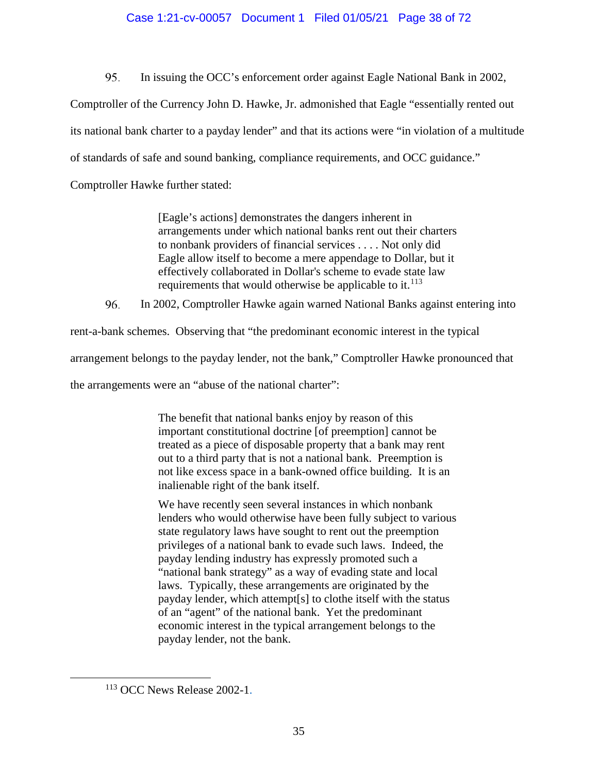# Case 1:21-cv-00057 Document 1 Filed 01/05/21 Page 38 of 72

95. In issuing the OCC's enforcement order against Eagle National Bank in 2002,

Comptroller of the Currency John D. Hawke, Jr. admonished that Eagle "essentially rented out

its national bank charter to a payday lender" and that its actions were "in violation of a multitude

of standards of safe and sound banking, compliance requirements, and OCC guidance."

Comptroller Hawke further stated:

[Eagle's actions] demonstrates the dangers inherent in arrangements under which national banks rent out their charters to nonbank providers of financial services . . . . Not only did Eagle allow itself to become a mere appendage to Dollar, but it effectively collaborated in Dollar's scheme to evade state law requirements that would otherwise be applicable to it. $^{113}$ 

96. In 2002, Comptroller Hawke again warned National Banks against entering into

rent-a-bank schemes. Observing that "the predominant economic interest in the typical

arrangement belongs to the payday lender, not the bank," Comptroller Hawke pronounced that

the arrangements were an "abuse of the national charter":

The benefit that national banks enjoy by reason of this important constitutional doctrine [of preemption] cannot be treated as a piece of disposable property that a bank may rent out to a third party that is not a national bank. Preemption is not like excess space in a bank-owned office building. It is an inalienable right of the bank itself.

We have recently seen several instances in which nonbank lenders who would otherwise have been fully subject to various state regulatory laws have sought to rent out the preemption privileges of a national bank to evade such laws. Indeed, the payday lending industry has expressly promoted such a "national bank strategy" as a way of evading state and local laws. Typically, these arrangements are originated by the payday lender, which attempt[s] to clothe itself with the status of an "agent" of the national bank. Yet the predominant economic interest in the typical arrangement belongs to the payday lender, not the bank.

<span id="page-37-0"></span> <sup>113</sup> OCC News Release 2002-1.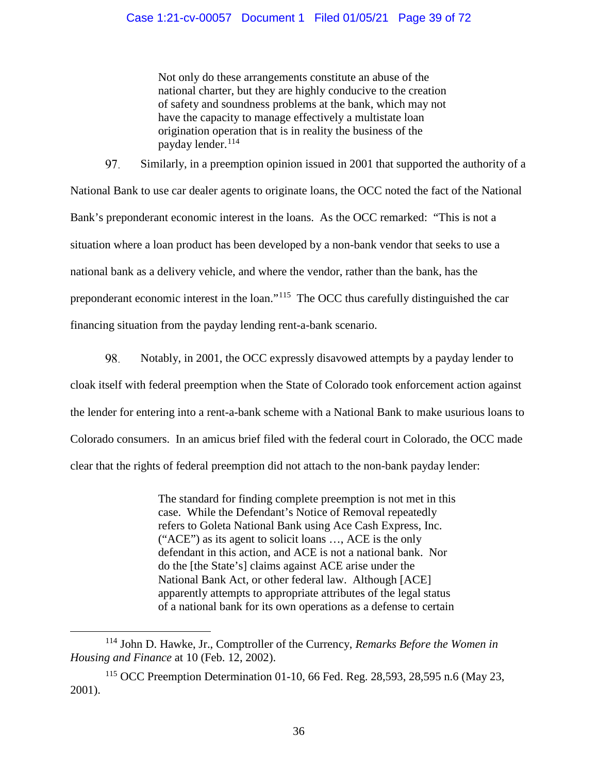# Case 1:21-cv-00057 Document 1 Filed 01/05/21 Page 39 of 72

Not only do these arrangements constitute an abuse of the national charter, but they are highly conducive to the creation of safety and soundness problems at the bank, which may not have the capacity to manage effectively a multistate loan origination operation that is in reality the business of the payday lender.<sup>[114](#page-38-0)</sup>

97. Similarly, in a preemption opinion issued in 2001 that supported the authority of a National Bank to use car dealer agents to originate loans, the OCC noted the fact of the National Bank's preponderant economic interest in the loans. As the OCC remarked: "This is not a situation where a loan product has been developed by a non-bank vendor that seeks to use a national bank as a delivery vehicle, and where the vendor, rather than the bank, has the preponderant economic interest in the loan."[115](#page-38-1) The OCC thus carefully distinguished the car financing situation from the payday lending rent-a-bank scenario.

98. Notably, in 2001, the OCC expressly disavowed attempts by a payday lender to cloak itself with federal preemption when the State of Colorado took enforcement action against the lender for entering into a rent-a-bank scheme with a National Bank to make usurious loans to Colorado consumers. In an amicus brief filed with the federal court in Colorado, the OCC made clear that the rights of federal preemption did not attach to the non-bank payday lender:

> The standard for finding complete preemption is not met in this case. While the Defendant's Notice of Removal repeatedly refers to Goleta National Bank using Ace Cash Express, Inc. ("ACE") as its agent to solicit loans …, ACE is the only defendant in this action, and ACE is not a national bank. Nor do the [the State's] claims against ACE arise under the National Bank Act, or other federal law. Although [ACE] apparently attempts to appropriate attributes of the legal status of a national bank for its own operations as a defense to certain

<span id="page-38-0"></span> <sup>114</sup> John D. Hawke, Jr., Comptroller of the Currency, *Remarks Before the Women in Housing and Finance* at 10 (Feb. 12, 2002).

<span id="page-38-1"></span><sup>115</sup> OCC Preemption Determination 01-10, 66 Fed. Reg. 28,593, 28,595 n.6 (May 23, 2001).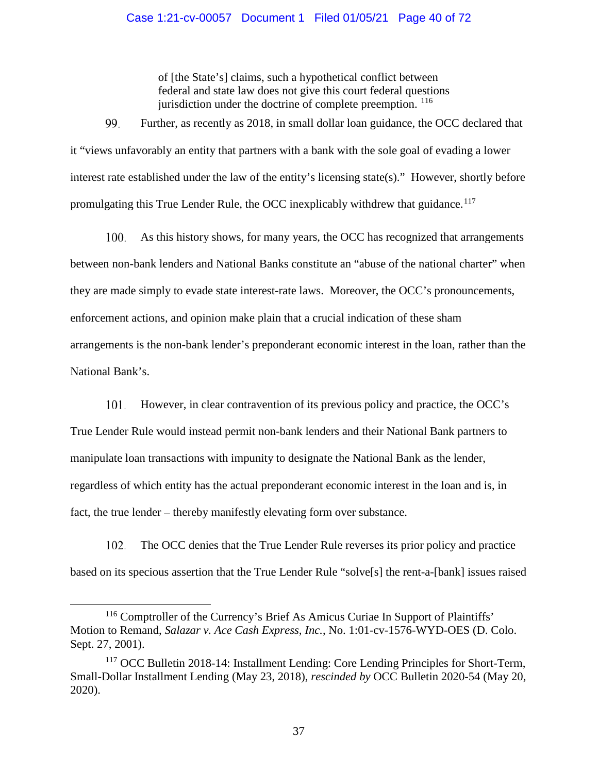## Case 1:21-cv-00057 Document 1 Filed 01/05/21 Page 40 of 72

of [the State's] claims, such a hypothetical conflict between federal and state law does not give this court federal questions jurisdiction under the doctrine of complete preemption. <sup>[116](#page-39-0)</sup>

99. Further, as recently as 2018, in small dollar loan guidance, the OCC declared that it "views unfavorably an entity that partners with a bank with the sole goal of evading a lower interest rate established under the law of the entity's licensing state(s)." However, shortly before promulgating this True Lender Rule, the OCC inexplicably withdrew that guidance.<sup>[117](#page-39-1)</sup>

As this history shows, for many years, the OCC has recognized that arrangements 100. between non-bank lenders and National Banks constitute an "abuse of the national charter" when they are made simply to evade state interest-rate laws. Moreover, the OCC's pronouncements, enforcement actions, and opinion make plain that a crucial indication of these sham arrangements is the non-bank lender's preponderant economic interest in the loan, rather than the National Bank's.

 $101.$ However, in clear contravention of its previous policy and practice, the OCC's

True Lender Rule would instead permit non-bank lenders and their National Bank partners to manipulate loan transactions with impunity to designate the National Bank as the lender, regardless of which entity has the actual preponderant economic interest in the loan and is, in fact, the true lender – thereby manifestly elevating form over substance.

102. The OCC denies that the True Lender Rule reverses its prior policy and practice based on its specious assertion that the True Lender Rule "solve[s] the rent-a-[bank] issues raised

<span id="page-39-0"></span> <sup>116</sup> Comptroller of the Currency's Brief As Amicus Curiae In Support of Plaintiffs' Motion to Remand, *Salazar v. Ace Cash Express, Inc.*, No. 1:01-cv-1576-WYD-OES (D. Colo. Sept. 27, 2001).

<span id="page-39-1"></span><sup>&</sup>lt;sup>117</sup> OCC Bulletin 2018-14: Installment Lending: Core Lending Principles for Short-Term, [Small-Dollar Installment Lending](https://www.occ.gov/news-issuances/bulletins/2018/bulletin-2018-14.html) (May 23, 2018), *rescinded by* [OCC Bulletin 2020-54](https://www.occ.gov/news-issuances/bulletins/2020/bulletin-2020-54.html) (May 20, 2020).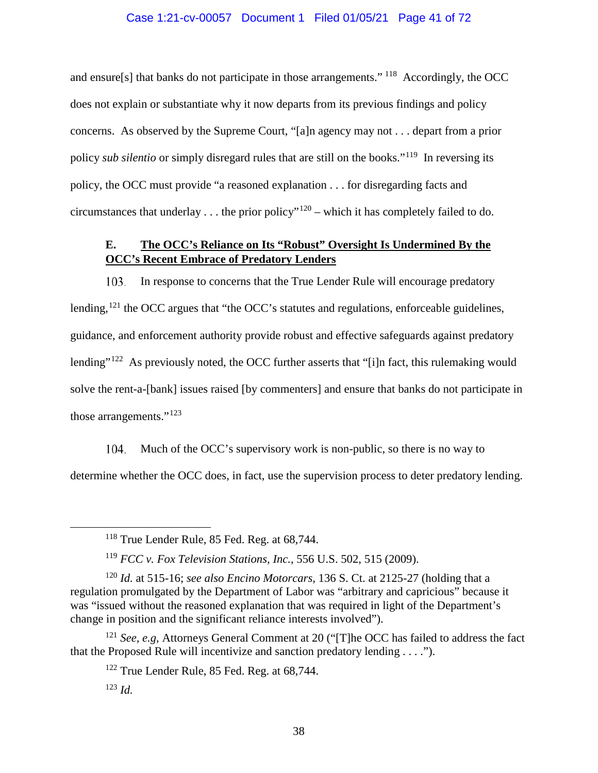## Case 1:21-cv-00057 Document 1 Filed 01/05/21 Page 41 of 72

and ensure[s] that banks do not participate in those arrangements." [118](#page-40-0) Accordingly, the OCC does not explain or substantiate why it now departs from its previous findings and policy concerns. As observed by the Supreme Court, "[a]n agency may not . . . depart from a prior policy *sub silentio* or simply disregard rules that are still on the books."[119](#page-40-1) In reversing its policy, the OCC must provide "a reasoned explanation . . . for disregarding facts and circumstances that underlay ... the prior policy"<sup>[120](#page-40-2)</sup> – which it has completely failed to do.

# **E. The OCC's Reliance on Its "Robust" Oversight Is Undermined By the OCC's Recent Embrace of Predatory Lenders**

In response to concerns that the True Lender Rule will encourage predatory 103. lending,<sup>[121](#page-40-3)</sup> the OCC argues that "the OCC's statutes and regulations, enforceable guidelines, guidance, and enforcement authority provide robust and effective safeguards against predatory lending"<sup>[122](#page-40-4)</sup> As previously noted, the OCC further asserts that "[i]n fact, this rulemaking would solve the rent-a-[bank] issues raised [by commenters] and ensure that banks do not participate in those arrangements."<sup>[123](#page-40-5)</sup>

104. Much of the OCC's supervisory work is non-public, so there is no way to determine whether the OCC does, in fact, use the supervision process to deter predatory lending.

 <sup>118</sup> True Lender Rule, 85 Fed. Reg. at 68,744.

<sup>119</sup> *FCC v. Fox Television Stations, Inc.*, 556 U.S. 502, 515 (2009).

<span id="page-40-2"></span><span id="page-40-1"></span><span id="page-40-0"></span><sup>120</sup> *Id.* at 515-16; *see also Encino Motorcars*, 136 S. Ct. at 2125-27 (holding that a regulation promulgated by the Department of Labor was "arbitrary and capricious" because it was "issued without the reasoned explanation that was required in light of the Department's change in position and the significant reliance interests involved").

<span id="page-40-5"></span><span id="page-40-4"></span><span id="page-40-3"></span><sup>121</sup> *See, e.g*, Attorneys General Comment at 20 ("[T]he OCC has failed to address the fact that the Proposed Rule will incentivize and sanction predatory lending . . . .").

<sup>&</sup>lt;sup>122</sup> True Lender Rule, 85 Fed. Reg. at 68,744.

<sup>123</sup> *Id.*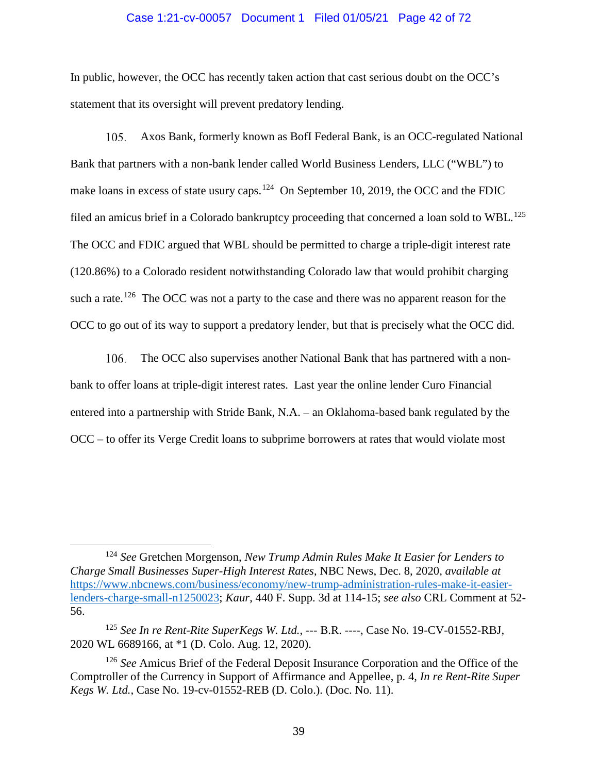### Case 1:21-cv-00057 Document 1 Filed 01/05/21 Page 42 of 72

In public, however, the OCC has recently taken action that cast serious doubt on the OCC's statement that its oversight will prevent predatory lending.

105. Axos Bank, formerly known as BofI Federal Bank, is an OCC-regulated National Bank that partners with a non-bank lender called World Business Lenders, LLC ("WBL") to make loans in excess of state usury caps.<sup>124</sup> On September 10, 2019, the OCC and the FDIC filed an amicus brief in a Colorado bankruptcy proceeding that concerned a loan sold to WBL.<sup>[125](#page-41-1)</sup> The OCC and FDIC argued that WBL should be permitted to charge a triple-digit interest rate (120.86%) to a Colorado resident notwithstanding Colorado law that would prohibit charging such a rate.<sup>[126](#page-41-2)</sup> The OCC was not a party to the case and there was no apparent reason for the OCC to go out of its way to support a predatory lender, but that is precisely what the OCC did.

106. The OCC also supervises another National Bank that has partnered with a nonbank to offer loans at triple-digit interest rates. Last year the online lender Curo Financial entered into a partnership with Stride Bank, N.A. – an Oklahoma-based bank regulated by the OCC – to offer its Verge Credit loans to subprime borrowers at rates that would violate most

<span id="page-41-0"></span> <sup>124</sup> *See* Gretchen Morgenson, *New Trump Admin Rules Make It Easier for Lenders to Charge Small Businesses Super-High Interest Rates*, NBC News, Dec. 8, 2020, *available at* [https://www.nbcnews.com/business/economy/new-trump-administration-rules-make-it-easier](https://www.nbcnews.com/business/economy/new-trump-administration-rules-make-it-easier-lenders-charge-small-n1250023)[lenders-charge-small-n1250023;](https://www.nbcnews.com/business/economy/new-trump-administration-rules-make-it-easier-lenders-charge-small-n1250023) *Kaur*, 440 F. Supp. 3d at 114-15; *see also* CRL Comment at 52- 56.

<span id="page-41-1"></span><sup>125</sup> *See In re Rent-Rite SuperKegs W. Ltd.*, --- B.R. ----, Case No. 19-CV-01552-RBJ, 2020 WL 6689166, at \*1 (D. Colo. Aug. 12, 2020).

<span id="page-41-2"></span><sup>126</sup> *See* Amicus Brief of the Federal Deposit Insurance Corporation and the Office of the Comptroller of the Currency in Support of Affirmance and Appellee, p. 4, *In re Rent-Rite Super Kegs W. Ltd.*, Case No. 19-cv-01552-REB (D. Colo.). (Doc. No. 11).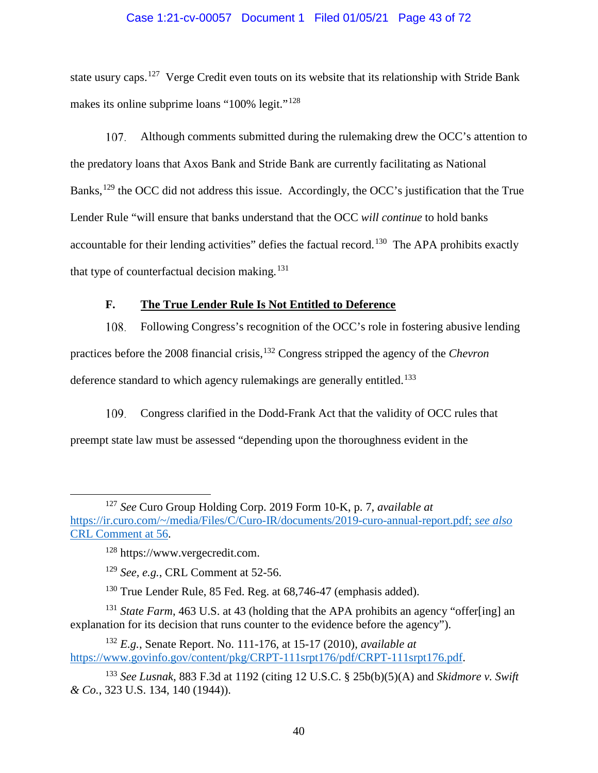### Case 1:21-cv-00057 Document 1 Filed 01/05/21 Page 43 of 72

state usury caps.<sup>127</sup> Verge Credit even touts on its website that its relationship with Stride Bank makes its online subprime loans "100% legit."<sup>[128](#page-42-1)</sup>

107. Although comments submitted during the rulemaking drew the OCC's attention to the predatory loans that Axos Bank and Stride Bank are currently facilitating as National Banks,<sup>[129](#page-42-2)</sup> the OCC did not address this issue. Accordingly, the OCC's justification that the True Lender Rule "will ensure that banks understand that the OCC *will continue* to hold banks accountable for their lending activities" defies the factual record.<sup>[130](#page-42-3)</sup> The APA prohibits exactly that type of counterfactual decision making.<sup>[131](#page-42-4)</sup>

# **F. The True Lender Rule Is Not Entitled to Deference**

108. Following Congress's recognition of the OCC's role in fostering abusive lending practices before the 2008 financial crisis,[132](#page-42-5) Congress stripped the agency of the *Chevron* deference standard to which agency rulemakings are generally entitled.<sup>[133](#page-42-6)</sup>

109. Congress clarified in the Dodd-Frank Act that the validity of OCC rules that preempt state law must be assessed "depending upon the thoroughness evident in the

<span id="page-42-1"></span><span id="page-42-0"></span> <sup>127</sup> *See* Curo Group Holding Corp. 2019 Form 10-K, p. 7, *available at* [https://ir.curo.com/~/media/Files/C/Curo-IR/documents/2019-curo-annual-report.pdf;](https://ir.curo.com/%7E/media/Files/C/Curo-IR/documents/2019-curo-annual-report.pdf) *see also* CRL Comment at 56.

<sup>128</sup> https://www.vergecredit.com.

<sup>129</sup> *See, e.g.*, CRL Comment at 52-56.

<sup>&</sup>lt;sup>130</sup> True Lender Rule, 85 Fed. Reg. at 68,746-47 (emphasis added).

<span id="page-42-4"></span><span id="page-42-3"></span><span id="page-42-2"></span><sup>&</sup>lt;sup>131</sup> *State Farm*, 463 U.S. at 43 (holding that the APA prohibits an agency "offer[ing] an explanation for its decision that runs counter to the evidence before the agency").

<span id="page-42-5"></span><sup>132</sup> *E.g.*, Senate Report. No. 111-176, at 15-17 (2010), *available at* [https://www.govinfo.gov/content/pkg/CRPT-111srpt176/pdf/CRPT-111srpt176.pdf.](https://www.govinfo.gov/content/pkg/CRPT-111srpt176/pdf/CRPT-111srpt176.pdf)

<span id="page-42-6"></span><sup>133</sup> *See Lusnak*, 883 F.3d at 1192 (citing 12 U.S.C. § 25b(b)(5)(A) and *Skidmore v. Swift & Co.*, 323 U.S. 134, 140 (1944)).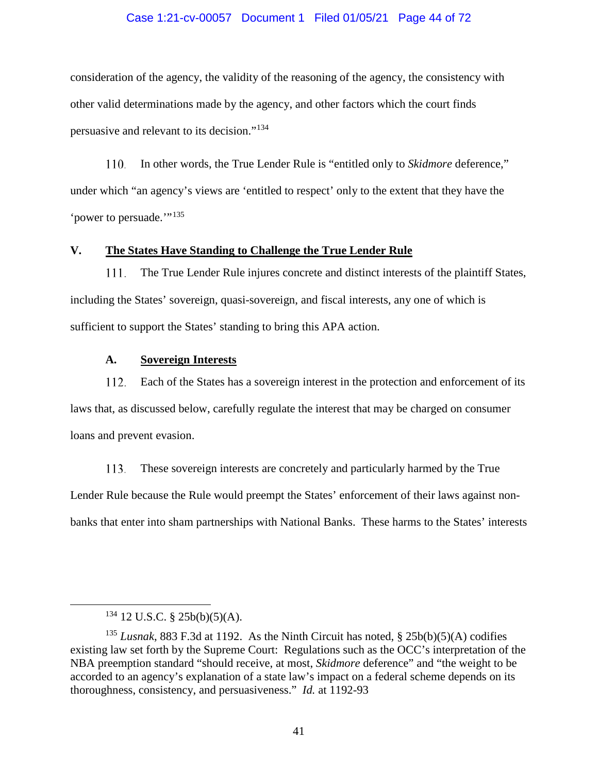### Case 1:21-cv-00057 Document 1 Filed 01/05/21 Page 44 of 72

consideration of the agency, the validity of the reasoning of the agency, the consistency with other valid determinations made by the agency, and other factors which the court finds persuasive and relevant to its decision."[134](#page-43-0)

110. In other words, the True Lender Rule is "entitled only to *Skidmore* deference," under which "an agency's views are 'entitled to respect' only to the extent that they have the 'power to persuade."<sup>[135](#page-43-1)</sup>

### **V. The States Have Standing to Challenge the True Lender Rule**

111. The True Lender Rule injures concrete and distinct interests of the plaintiff States, including the States' sovereign, quasi-sovereign, and fiscal interests, any one of which is sufficient to support the States' standing to bring this APA action.

## **A. Sovereign Interests**

112. Each of the States has a sovereign interest in the protection and enforcement of its laws that, as discussed below, carefully regulate the interest that may be charged on consumer loans and prevent evasion.

113. These sovereign interests are concretely and particularly harmed by the True Lender Rule because the Rule would preempt the States' enforcement of their laws against nonbanks that enter into sham partnerships with National Banks. These harms to the States' interests

 <sup>134</sup> 12 U.S.C. § 25b(b)(5)(A).

<span id="page-43-1"></span><span id="page-43-0"></span><sup>&</sup>lt;sup>135</sup> *Lusnak*, 883 F.3d at 1192. As the Ninth Circuit has noted,  $\S$  25b(b)(5)(A) codifies existing law set forth by the Supreme Court: Regulations such as the OCC's interpretation of the NBA preemption standard "should receive, at most, *Skidmore* deference" and "the weight to be accorded to an agency's explanation of a state law's impact on a federal scheme depends on its thoroughness, consistency, and persuasiveness." *Id.* at 1192-93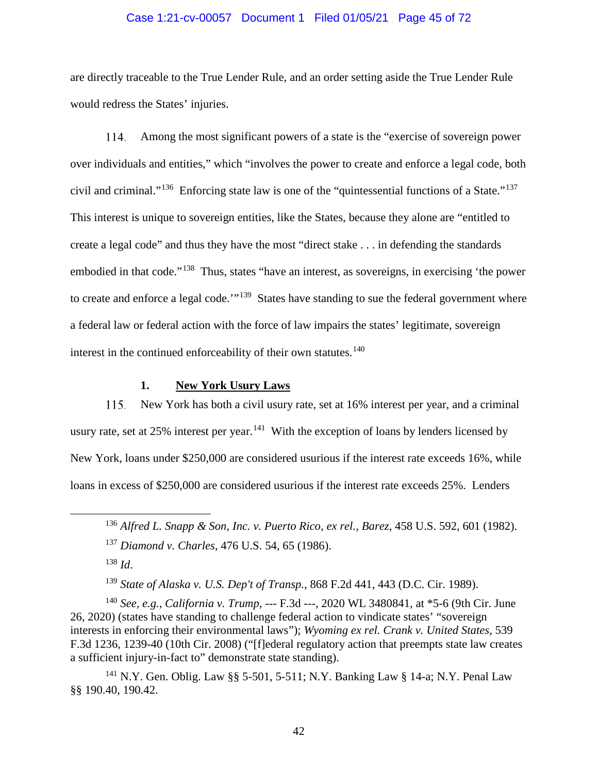### Case 1:21-cv-00057 Document 1 Filed 01/05/21 Page 45 of 72

are directly traceable to the True Lender Rule, and an order setting aside the True Lender Rule would redress the States' injuries.

 $114$ Among the most significant powers of a state is the "exercise of sovereign power over individuals and entities," which "involves the power to create and enforce a legal code, both civil and criminal."[136](#page-44-0) Enforcing state law is one of the "quintessential functions of a State."[137](#page-44-1) This interest is unique to sovereign entities, like the States, because they alone are "entitled to create a legal code" and thus they have the most "direct stake . . . in defending the standards embodied in that code."[138](#page-44-2) Thus, states "have an interest, as sovereigns, in exercising 'the power to create and enforce a legal code.'"<sup>139</sup> States have standing to sue the federal government where a federal law or federal action with the force of law impairs the states' legitimate, sovereign interest in the continued enforceability of their own statutes.<sup>[140](#page-44-4)</sup>

# **1. New York Usury Laws**

115. New York has both a civil usury rate, set at 16% interest per year, and a criminal usury rate, set at 25% interest per year.<sup>141</sup> With the exception of loans by lenders licensed by New York, loans under \$250,000 are considered usurious if the interest rate exceeds 16%, while loans in excess of \$250,000 are considered usurious if the interest rate exceeds 25%. Lenders

<sup>139</sup> *State of Alaska v. U.S. Dep't of Transp.*, 868 F.2d 441, 443 (D.C. Cir. 1989).

<span id="page-44-4"></span><span id="page-44-3"></span><span id="page-44-2"></span><span id="page-44-1"></span><span id="page-44-0"></span><sup>140</sup> *See, e.g.*, *California v. Trump*, --- F.3d ---, 2020 WL 3480841, at \*5-6 (9th Cir. June 26, 2020) (states have standing to challenge federal action to vindicate states' "sovereign interests in enforcing their environmental laws"); *Wyoming ex rel. Crank v. United States*, 539 F.3d 1236, 1239-40 (10th Cir. 2008) ("[f]ederal regulatory action that preempts state law creates a sufficient injury-in-fact to" demonstrate state standing).

<span id="page-44-5"></span><sup>141</sup> N.Y. Gen. Oblig. Law §§ 5-501, 5-511; N.Y. Banking Law § 14-a; N.Y. Penal Law §§ 190.40, 190.42.

 <sup>136</sup> *Alfred L. Snapp & Son, Inc. v. Puerto Rico, ex rel., Barez*, 458 U.S. 592, 601 (1982).

<sup>137</sup> *Diamond v. Charles*, 476 U.S. 54, 65 (1986).

<sup>138</sup> *Id*.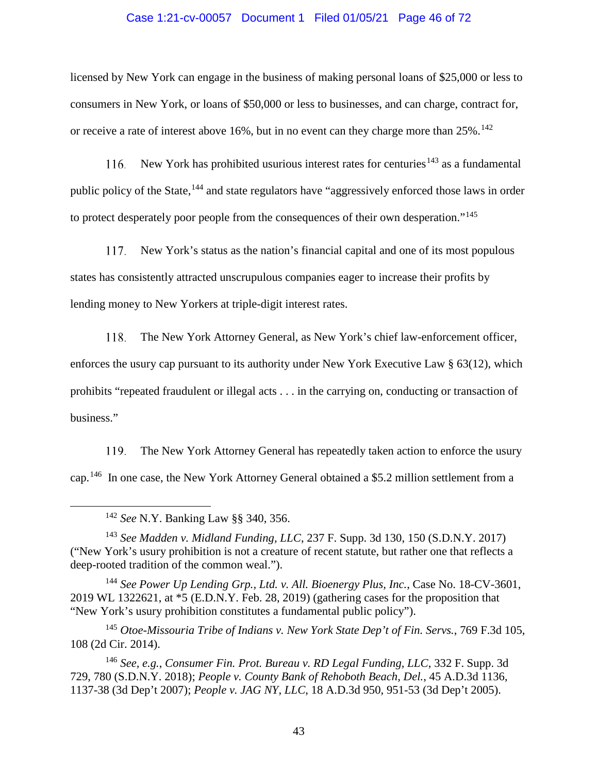### Case 1:21-cv-00057 Document 1 Filed 01/05/21 Page 46 of 72

licensed by New York can engage in the business of making personal loans of \$25,000 or less to consumers in New York, or loans of \$50,000 or less to businesses, and can charge, contract for, or receive a rate of interest above 16%, but in no event can they charge more than  $25\%$ .<sup>[142](#page-45-0)</sup>

New York has prohibited usurious interest rates for centuries<sup>[143](#page-45-1)</sup> as a fundamental 116. public policy of the State,<sup>[144](#page-45-2)</sup> and state regulators have "aggressively enforced those laws in order to protect desperately poor people from the consequences of their own desperation."<sup>[145](#page-45-3)</sup>

New York's status as the nation's financial capital and one of its most populous 117. states has consistently attracted unscrupulous companies eager to increase their profits by lending money to New Yorkers at triple-digit interest rates.

118. The New York Attorney General, as New York's chief law-enforcement officer,

enforces the usury cap pursuant to its authority under New York Executive Law § 63(12), which prohibits "repeated fraudulent or illegal acts . . . in the carrying on, conducting or transaction of business."

119. The New York Attorney General has repeatedly taken action to enforce the usury cap.[146](#page-45-4) In one case, the New York Attorney General obtained a \$5.2 million settlement from a

142 *See* N.Y. Banking Law §§ 340, 356.

<span id="page-45-1"></span><span id="page-45-0"></span><sup>143</sup> *See Madden v. Midland Funding, LLC*, 237 F. Supp. 3d 130, 150 (S.D.N.Y. 2017) ("New York's usury prohibition is not a creature of recent statute, but rather one that reflects a deep-rooted tradition of the common weal.").

<span id="page-45-2"></span><sup>144</sup> *See Power Up Lending Grp., Ltd. v. All. Bioenergy Plus, Inc.*, Case No. 18-CV-3601, 2019 WL 1322621, at \*5 (E.D.N.Y. Feb. 28, 2019) (gathering cases for the proposition that "New York's usury prohibition constitutes a fundamental public policy").

<span id="page-45-3"></span><sup>145</sup> *Otoe-Missouria Tribe of Indians v. New York State Dep't of Fin. Servs.*, 769 F.3d 105, 108 (2d Cir. 2014).

<span id="page-45-4"></span><sup>146</sup> *See, e.g.*, *Consumer Fin. Prot. Bureau v. RD Legal Funding, LLC*, 332 F. Supp. 3d 729, 780 (S.D.N.Y. 2018); *People v. County Bank of Rehoboth Beach, Del.*, 45 A.D.3d 1136, 1137-38 (3d Dep't 2007); *People v. JAG NY, LLC*, 18 A.D.3d 950, 951-53 (3d Dep't 2005).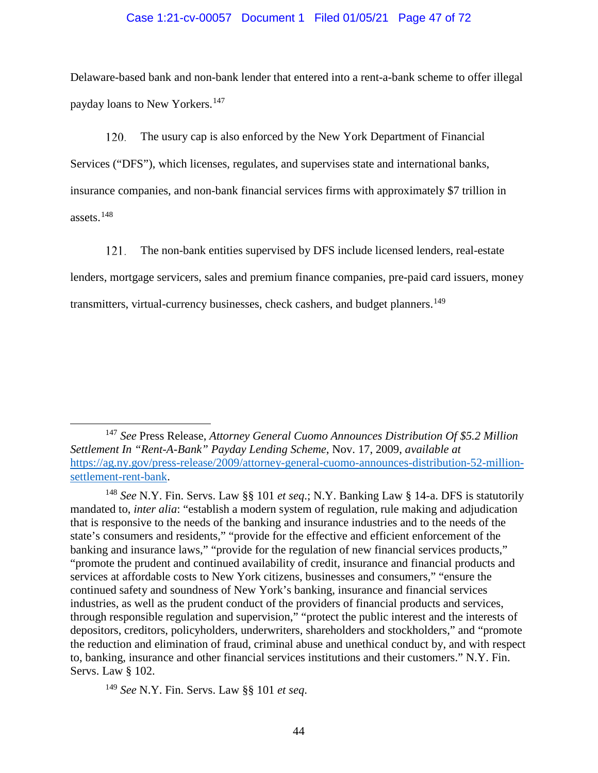### Case 1:21-cv-00057 Document 1 Filed 01/05/21 Page 47 of 72

Delaware-based bank and non-bank lender that entered into a rent-a-bank scheme to offer illegal payday loans to New Yorkers.[147](#page-46-0)

120. The usury cap is also enforced by the New York Department of Financial Services ("DFS"), which licenses, regulates, and supervises state and international banks, insurance companies, and non-bank financial services firms with approximately \$7 trillion in assets.[148](#page-46-1)

The non-bank entities supervised by DFS include licensed lenders, real-estate 121. lenders, mortgage servicers, sales and premium finance companies, pre-paid card issuers, money transmitters, virtual-currency businesses, check cashers, and budget planners.<sup>[149](#page-46-2)</sup>

<span id="page-46-2"></span><sup>149</sup> *See* N.Y. Fin. Servs. Law §§ 101 *et seq*.

<span id="page-46-0"></span> <sup>147</sup> *See* Press Release, *Attorney General Cuomo Announces Distribution Of \$5.2 Million Settlement In "Rent-A-Bank" Payday Lending Scheme*, Nov. 17, 2009, *available at* [https://ag.ny.gov/press-release/2009/attorney-general-cuomo-announces-distribution-52-million](https://ag.ny.gov/press-release/2009/attorney-general-cuomo-announces-distribution-52-million-settlement-rent-bank)[settlement-rent-bank.](https://ag.ny.gov/press-release/2009/attorney-general-cuomo-announces-distribution-52-million-settlement-rent-bank)

<span id="page-46-1"></span><sup>148</sup> *See* N.Y. Fin. Servs. Law §§ 101 *et seq*.; N.Y. Banking Law § 14-a. DFS is statutorily mandated to, *inter alia*: "establish a modern system of regulation, rule making and adjudication that is responsive to the needs of the banking and insurance industries and to the needs of the state's consumers and residents," "provide for the effective and efficient enforcement of the banking and insurance laws," "provide for the regulation of new financial services products," "promote the prudent and continued availability of credit, insurance and financial products and services at affordable costs to New York citizens, businesses and consumers," "ensure the continued safety and soundness of New York's banking, insurance and financial services industries, as well as the prudent conduct of the providers of financial products and services, through responsible regulation and supervision," "protect the public interest and the interests of depositors, creditors, policyholders, underwriters, shareholders and stockholders," and "promote the reduction and elimination of fraud, criminal abuse and unethical conduct by, and with respect to, banking, insurance and other financial services institutions and their customers." N.Y. Fin. Servs. Law § 102.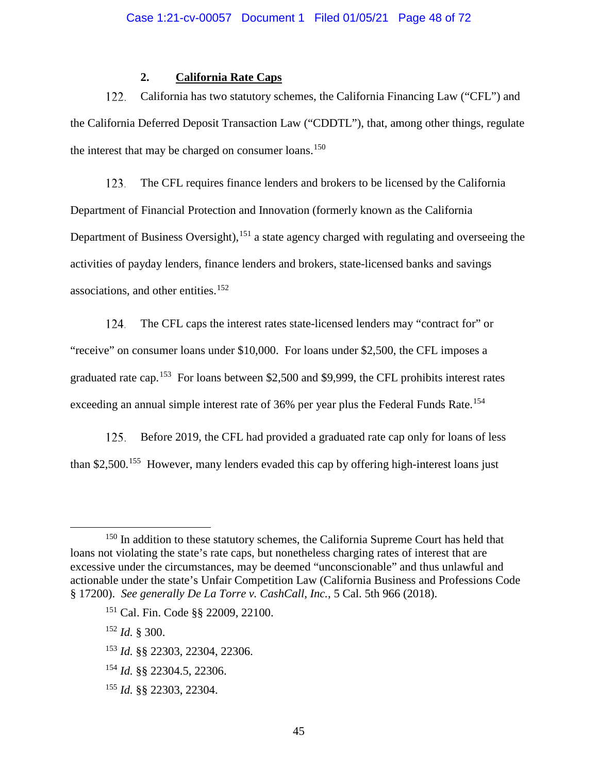# **2. California Rate Caps**

122. California has two statutory schemes, the California Financing Law ("CFL") and the California Deferred Deposit Transaction Law ("CDDTL"), that, among other things, regulate the interest that may be charged on consumer loans.<sup>[150](#page-47-0)</sup>

123. The CFL requires finance lenders and brokers to be licensed by the California Department of Financial Protection and Innovation (formerly known as the California Department of Business Oversight), <sup>[151](#page-47-1)</sup> a state agency charged with regulating and overseeing the activities of payday lenders, finance lenders and brokers, state-licensed banks and savings associations, and other entities.<sup>[152](#page-47-2)</sup>

124. The CFL caps the interest rates state-licensed lenders may "contract for" or "receive" on consumer loans under \$10,000. For loans under \$2,500, the CFL imposes a graduated rate cap.[153](#page-47-3) For loans between \$2,500 and \$9,999, the CFL prohibits interest rates exceeding an annual simple interest rate of 36% per year plus the Federal Funds Rate.<sup>[154](#page-47-4)</sup>

Before 2019, the CFL had provided a graduated rate cap only for loans of less 125. than \$2,500.[155](#page-47-5) However, many lenders evaded this cap by offering high-interest loans just

<span id="page-47-2"></span><sup>152</sup> *Id.* § 300.

- <span id="page-47-3"></span><sup>153</sup> *Id.* §§ 22303, 22304, 22306.
- <span id="page-47-4"></span><sup>154</sup> *Id.* §§ 22304.5, 22306.
- <span id="page-47-5"></span><sup>155</sup> *Id.* §§ 22303, 22304.

<span id="page-47-1"></span><span id="page-47-0"></span><sup>&</sup>lt;sup>150</sup> In addition to these statutory schemes, the California Supreme Court has held that loans not violating the state's rate caps, but nonetheless charging rates of interest that are excessive under the circumstances, may be deemed "unconscionable" and thus unlawful and actionable under the state's Unfair Competition Law (California Business and Professions Code § 17200). *See generally De La Torre v. CashCall, Inc.*, 5 Cal. 5th 966 (2018).

<sup>151</sup> Cal. Fin. Code §§ 22009, 22100.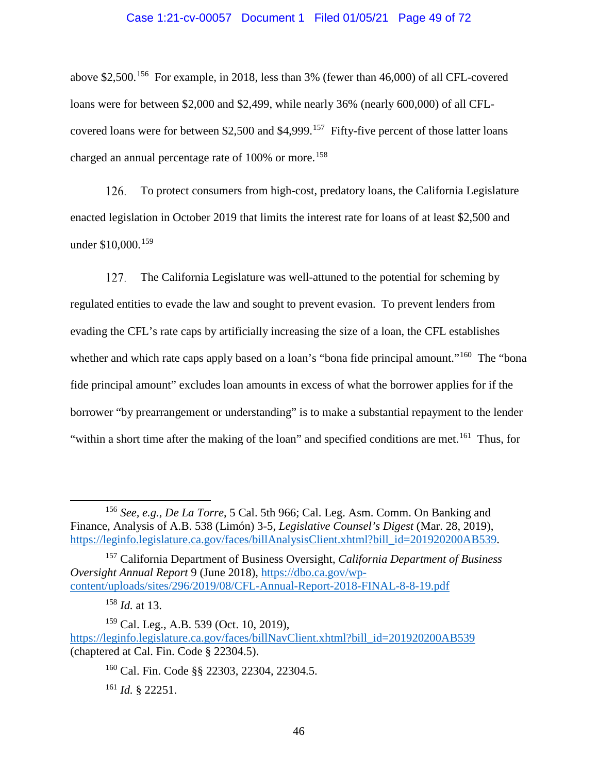### Case 1:21-cv-00057 Document 1 Filed 01/05/21 Page 49 of 72

above \$2,500.[156](#page-48-0) For example, in 2018, less than 3% (fewer than 46,000) of all CFL-covered loans were for between \$2,000 and \$2,499, while nearly 36% (nearly 600,000) of all CFL-covered loans were for between \$2,500 and \$4,999.<sup>[157](#page-48-1)</sup> Fifty-five percent of those latter loans charged an annual percentage rate of  $100\%$  or more.<sup>[158](#page-48-2)</sup>

126. To protect consumers from high-cost, predatory loans, the California Legislature enacted legislation in October 2019 that limits the interest rate for loans of at least \$2,500 and under \$10,000.<sup>[159](#page-48-3)</sup>

127. The California Legislature was well-attuned to the potential for scheming by regulated entities to evade the law and sought to prevent evasion. To prevent lenders from evading the CFL's rate caps by artificially increasing the size of a loan, the CFL establishes whether and which rate caps apply based on a loan's "bona fide principal amount."<sup>[160](#page-48-4)</sup> The "bona" fide principal amount" excludes loan amounts in excess of what the borrower applies for if the borrower "by prearrangement or understanding" is to make a substantial repayment to the lender "within a short time after the making of the loan" and specified conditions are met.<sup>[161](#page-48-5)</sup> Thus, for

<sup>160</sup> Cal. Fin. Code §§ 22303, 22304, 22304.5.

<span id="page-48-0"></span> <sup>156</sup> *See, e.g.*, *De La Torre*, 5 Cal. 5th 966; Cal. Leg. Asm. Comm. On Banking and Finance, Analysis of A.B. 538 (Limón) 3-5, *Legislative Counsel's Digest* (Mar. 28, 2019), [https://leginfo.legislature.ca.gov/faces/billAnalysisClient.xhtml?bill\\_id=201920200AB539.](https://leginfo.legislature.ca.gov/faces/billAnalysisClient.xhtml?bill_id=201920200AB539)

<span id="page-48-1"></span><sup>157</sup> California Department of Business Oversight, *California Department of Business Oversight Annual Report* 9 (June 2018), [https://dbo.ca.gov/wp](https://dbo.ca.gov/wp-content/uploads/sites/296/2019/08/CFL-Annual-Report-2018-FINAL-8-8-19.pdf)[content/uploads/sites/296/2019/08/CFL-Annual-Report-2018-FINAL-8-8-19.pdf](https://dbo.ca.gov/wp-content/uploads/sites/296/2019/08/CFL-Annual-Report-2018-FINAL-8-8-19.pdf)

<sup>158</sup> *Id.* at 13.

<span id="page-48-5"></span><span id="page-48-4"></span><span id="page-48-3"></span><span id="page-48-2"></span><sup>159</sup> Cal. Leg., A.B. 539 (Oct. 10, 2019), [https://leginfo.legislature.ca.gov/faces/billNavClient.xhtml?bill\\_id=201920200AB539](https://leginfo.legislature.ca.gov/faces/billNavClient.xhtml?bill_id=201920200AB539) (chaptered at Cal. Fin. Code § 22304.5).

<sup>161</sup> *Id.* § 22251.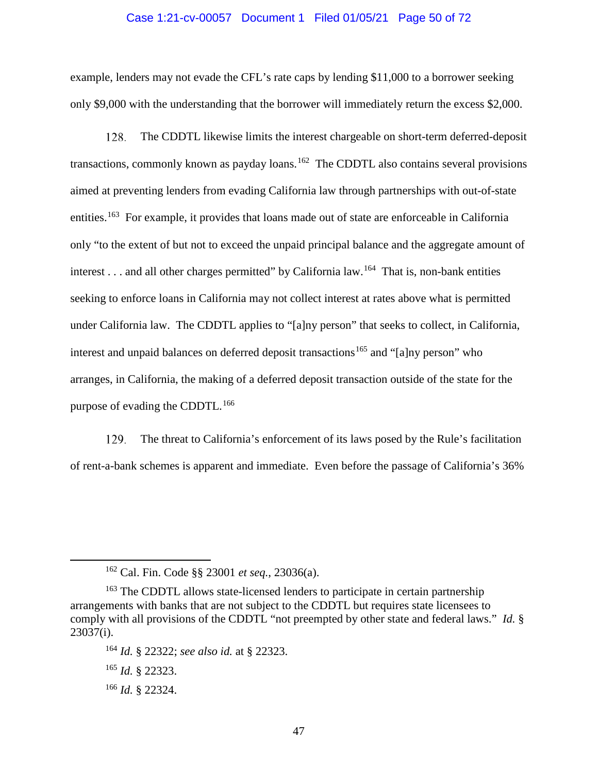### Case 1:21-cv-00057 Document 1 Filed 01/05/21 Page 50 of 72

example, lenders may not evade the CFL's rate caps by lending \$11,000 to a borrower seeking only \$9,000 with the understanding that the borrower will immediately return the excess \$2,000.

128. The CDDTL likewise limits the interest chargeable on short-term deferred-deposit transactions, commonly known as payday loans.<sup>[162](#page-49-0)</sup> The CDDTL also contains several provisions aimed at preventing lenders from evading California law through partnerships with out-of-state entities.<sup>[163](#page-49-1)</sup> For example, it provides that loans made out of state are enforceable in California only "to the extent of but not to exceed the unpaid principal balance and the aggregate amount of interest . . . and all other charges permitted" by California law.<sup>[164](#page-49-2)</sup> That is, non-bank entities seeking to enforce loans in California may not collect interest at rates above what is permitted under California law. The CDDTL applies to "[a]ny person" that seeks to collect, in California, interest and unpaid balances on deferred deposit transactions<sup>[165](#page-49-3)</sup> and "[a]ny person" who arranges, in California, the making of a deferred deposit transaction outside of the state for the purpose of evading the CDDTL.<sup>[166](#page-49-4)</sup>

129. The threat to California's enforcement of its laws posed by the Rule's facilitation of rent-a-bank schemes is apparent and immediate. Even before the passage of California's 36%

<span id="page-49-4"></span><sup>166</sup> *Id.* § 22324.

 <sup>162</sup> Cal. Fin. Code §§ <sup>23001</sup>*et seq.*, 23036(a).

<span id="page-49-2"></span><span id="page-49-1"></span><span id="page-49-0"></span><sup>&</sup>lt;sup>163</sup> The CDDTL allows state-licensed lenders to participate in certain partnership arrangements with banks that are not subject to the CDDTL but requires state licensees to comply with all provisions of the CDDTL "not preempted by other state and federal laws." *Id.* § 23037(i).

<sup>164</sup> *Id.* § 22322; *see also id.* at § 22323.

<span id="page-49-3"></span><sup>165</sup> *Id.* § 22323.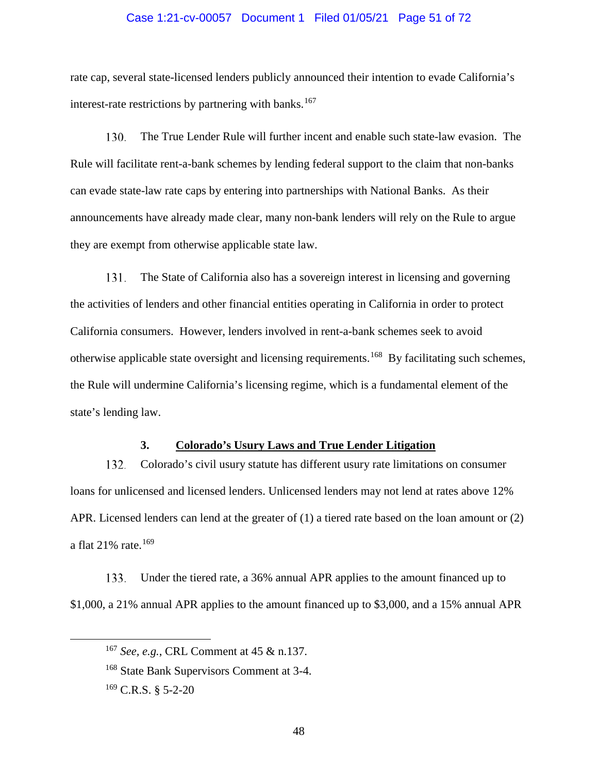### Case 1:21-cv-00057 Document 1 Filed 01/05/21 Page 51 of 72

rate cap, several state-licensed lenders publicly announced their intention to evade California's interest-rate restrictions by partnering with banks.<sup>[167](#page-50-0)</sup>

130. The True Lender Rule will further incent and enable such state-law evasion. The Rule will facilitate rent-a-bank schemes by lending federal support to the claim that non-banks can evade state-law rate caps by entering into partnerships with National Banks. As their announcements have already made clear, many non-bank lenders will rely on the Rule to argue they are exempt from otherwise applicable state law.

131. The State of California also has a sovereign interest in licensing and governing the activities of lenders and other financial entities operating in California in order to protect California consumers. However, lenders involved in rent-a-bank schemes seek to avoid otherwise applicable state oversight and licensing requirements.[168](#page-50-1) By facilitating such schemes, the Rule will undermine California's licensing regime, which is a fundamental element of the state's lending law.

### **3. Colorado's Usury Laws and True Lender Litigation**

132. Colorado's civil usury statute has different usury rate limitations on consumer loans for unlicensed and licensed lenders. Unlicensed lenders may not lend at rates above 12% APR. Licensed lenders can lend at the greater of (1) a tiered rate based on the loan amount or (2) a flat 21% rate.<sup>[169](#page-50-2)</sup>

<span id="page-50-0"></span>Under the tiered rate, a 36% annual APR applies to the amount financed up to 133. \$1,000, a 21% annual APR applies to the amount financed up to \$3,000, and a 15% annual APR

 <sup>167</sup> *See, e.g.*, CRL Comment at 45 & n.137.

<span id="page-50-1"></span><sup>&</sup>lt;sup>168</sup> State Bank Supervisors Comment at 3-4.

<span id="page-50-2"></span> $169$  C.R.S. § 5-2-20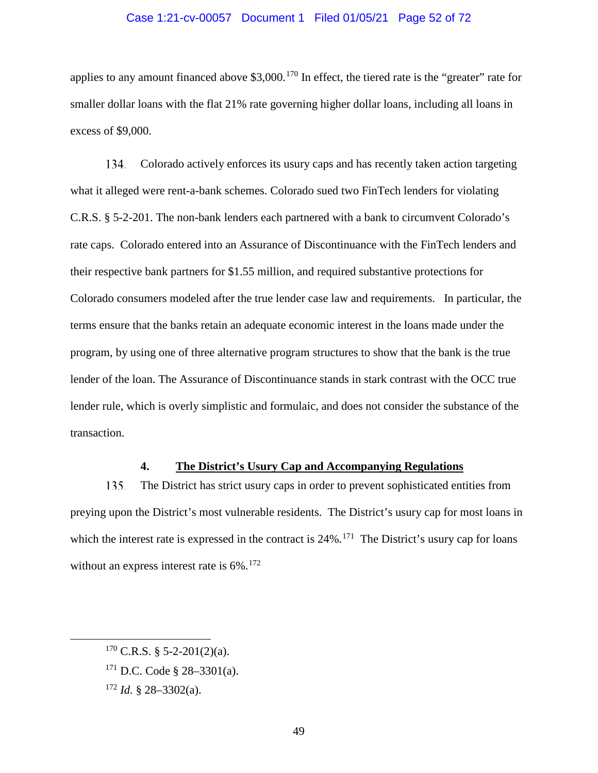### Case 1:21-cv-00057 Document 1 Filed 01/05/21 Page 52 of 72

applies to any amount financed above  $$3,000$ .<sup>[170](#page-51-0)</sup> In effect, the tiered rate is the "greater" rate for smaller dollar loans with the flat 21% rate governing higher dollar loans, including all loans in excess of \$9,000.

134. Colorado actively enforces its usury caps and has recently taken action targeting what it alleged were rent-a-bank schemes. Colorado sued two FinTech lenders for violating C.R.S. § 5-2-201. The non-bank lenders each partnered with a bank to circumvent Colorado's rate caps. Colorado entered into an Assurance of Discontinuance with the FinTech lenders and their respective bank partners for \$1.55 million, and required substantive protections for Colorado consumers modeled after the true lender case law and requirements. In particular, the terms ensure that the banks retain an adequate economic interest in the loans made under the program, by using one of three alternative program structures to show that the bank is the true lender of the loan. The Assurance of Discontinuance stands in stark contrast with the OCC true lender rule, which is overly simplistic and formulaic, and does not consider the substance of the transaction.

### **4. The District's Usury Cap and Accompanying Regulations**

The District has strict usury caps in order to prevent sophisticated entities from 135. preying upon the District's most vulnerable residents. The District's usury cap for most loans in which the interest rate is expressed in the contract is  $24\%$ .<sup>[171](#page-51-1)</sup> The District's usury cap for loans without an express interest rate is  $6\%$ .<sup>[172](#page-51-2)</sup>

<span id="page-51-0"></span> $170$  C.R.S. § 5-2-201(2)(a).

<span id="page-51-1"></span> $171$  D.C. Code § 28–3301(a).

<span id="page-51-2"></span> $172$  *Id.* § 28–3302(a).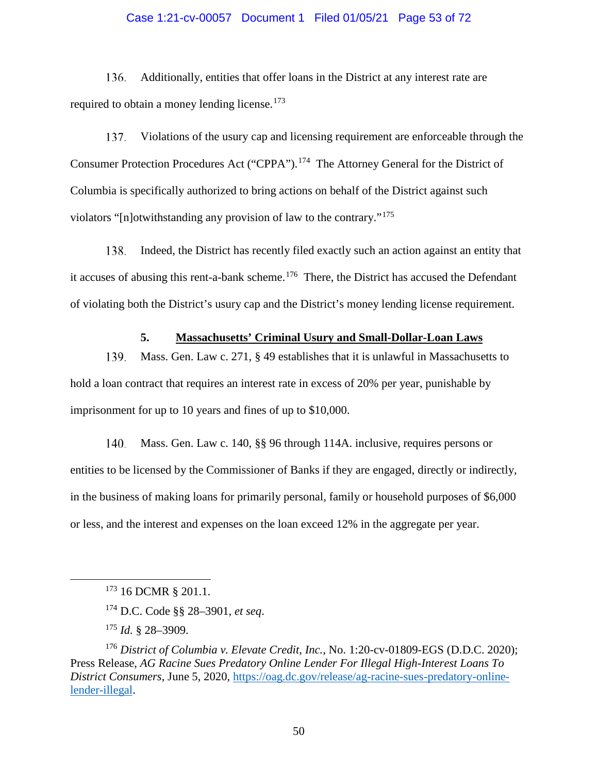### Case 1:21-cv-00057 Document 1 Filed 01/05/21 Page 53 of 72

136. Additionally, entities that offer loans in the District at any interest rate are required to obtain a money lending license.<sup>[173](#page-52-0)</sup>

137. Violations of the usury cap and licensing requirement are enforceable through the Consumer Protection Procedures Act ("CPPA").[174](#page-52-1) The Attorney General for the District of Columbia is specifically authorized to bring actions on behalf of the District against such violators "[n]otwithstanding any provision of law to the contrary."[175](#page-52-2)

138. Indeed, the District has recently filed exactly such an action against an entity that it accuses of abusing this rent-a-bank scheme.<sup>[176](#page-52-3)</sup> There, the District has accused the Defendant of violating both the District's usury cap and the District's money lending license requirement.

## **5. Massachusetts' Criminal Usury and Small-Dollar-Loan Laws**

139. Mass. Gen. Law c. 271, § 49 establishes that it is unlawful in Massachusetts to hold a loan contract that requires an interest rate in excess of 20% per year, punishable by imprisonment for up to 10 years and fines of up to \$10,000.

Mass. Gen. Law c. 140, §§ 96 through 114A. inclusive, requires persons or 140. entities to be licensed by the Commissioner of Banks if they are engaged, directly or indirectly, in the business of making loans for primarily personal, family or household purposes of \$6,000 or less, and the interest and expenses on the loan exceed 12% in the aggregate per year.

<sup>&</sup>lt;sup>173</sup> 16 DCMR § 201.1.

<sup>174</sup> D.C. Code §§ 28–3901, *et seq*.

<sup>175</sup> *Id.* § 28–3909.

<span id="page-52-3"></span><span id="page-52-2"></span><span id="page-52-1"></span><span id="page-52-0"></span><sup>176</sup> *District of Columbia v. Elevate Credit, Inc.*, No. 1:20-cv-01809-EGS (D.D.C. 2020); Press Release, *AG Racine Sues Predatory Online Lender For Illegal High-Interest Loans To District Consumers*, June 5, 2020, [https://oag.dc.gov/release/ag-racine-sues-predatory-online](https://oag.dc.gov/release/ag-racine-sues-predatory-online-lender-illegal)[lender-illegal.](https://oag.dc.gov/release/ag-racine-sues-predatory-online-lender-illegal)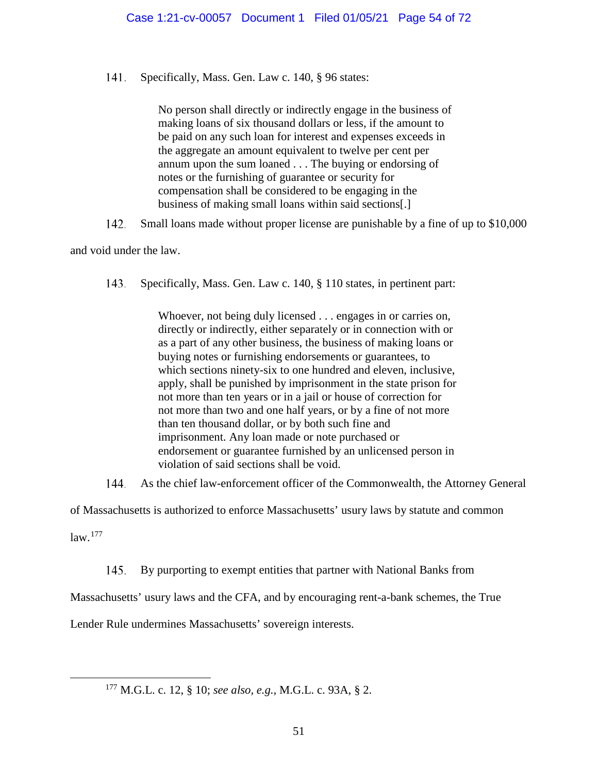141. Specifically, Mass. Gen. Law c. 140, § 96 states:

> No person shall directly or indirectly engage in the business of making loans of six thousand dollars or less, if the amount to be paid on any such loan for interest and expenses exceeds in the aggregate an amount equivalent to twelve per cent per annum upon the sum loaned . . . The buying or endorsing of notes or the furnishing of guarantee or security for compensation shall be considered to be engaging in the business of making small loans within said sections[.]

142. Small loans made without proper license are punishable by a fine of up to \$10,000

and void under the law.

143. Specifically, Mass. Gen. Law c. 140, § 110 states, in pertinent part:

> Whoever, not being duly licensed . . . engages in or carries on, directly or indirectly, either separately or in connection with or as a part of any other business, the business of making loans or buying notes or furnishing endorsements or guarantees, to which sections ninety-six to one hundred and eleven, inclusive, apply, shall be punished by imprisonment in the state prison for not more than ten years or in a jail or house of correction for not more than two and one half years, or by a fine of not more than ten thousand dollar, or by both such fine and imprisonment. Any loan made or note purchased or endorsement or guarantee furnished by an unlicensed person in violation of said sections shall be void.

144. As the chief law-enforcement officer of the Commonwealth, the Attorney General

of Massachusetts is authorized to enforce Massachusetts' usury laws by statute and common

 $law.<sup>177</sup>$  $law.<sup>177</sup>$  $law.<sup>177</sup>$ 

145. By purporting to exempt entities that partner with National Banks from

Massachusetts' usury laws and the CFA, and by encouraging rent-a-bank schemes, the True

<span id="page-53-0"></span>Lender Rule undermines Massachusetts' sovereign interests.

177 M.G.L. c. 12, § 10; *see also, e.g.,* M.G.L. c. 93A, § 2.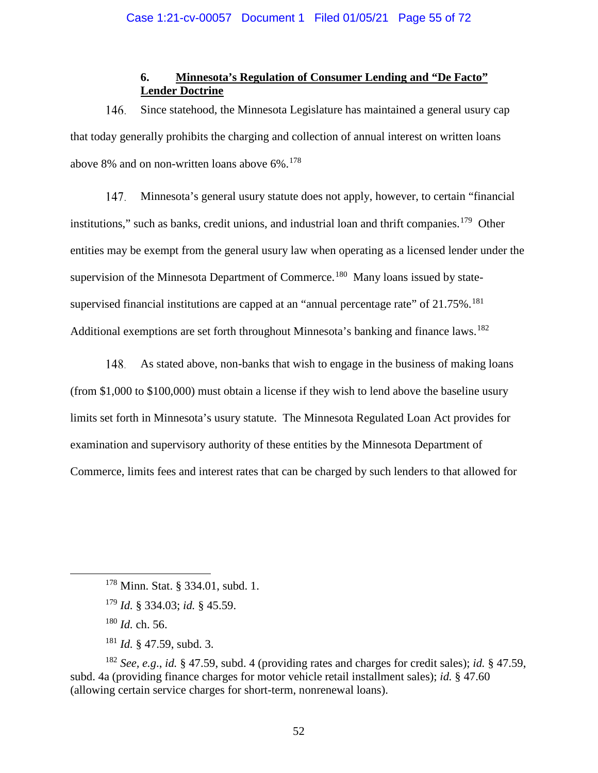# **6. Minnesota's Regulation of Consumer Lending and "De Facto" Lender Doctrine**

Since statehood, the Minnesota Legislature has maintained a general usury cap 146. that today generally prohibits the charging and collection of annual interest on written loans above 8% and on non-written loans above  $6\%$ .<sup>[178](#page-54-0)</sup>

147. Minnesota's general usury statute does not apply, however, to certain "financial institutions," such as banks, credit unions, and industrial loan and thrift companies.<sup>179</sup> Other entities may be exempt from the general usury law when operating as a licensed lender under the supervision of the Minnesota Department of Commerce.<sup>180</sup> Many loans issued by statesupervised financial institutions are capped at an "annual percentage rate" of  $21.75\%$ .<sup>181</sup> Additional exemptions are set forth throughout Minnesota's banking and finance laws.<sup>[182](#page-54-4)</sup>

148. As stated above, non-banks that wish to engage in the business of making loans (from \$1,000 to \$100,000) must obtain a license if they wish to lend above the baseline usury limits set forth in Minnesota's usury statute. The Minnesota Regulated Loan Act provides for examination and supervisory authority of these entities by the Minnesota Department of Commerce, limits fees and interest rates that can be charged by such lenders to that allowed for

<sup>181</sup> *Id.* § 47.59, subd. 3.

<span id="page-54-0"></span><sup>&</sup>lt;sup>178</sup> Minn. Stat. § 334.01, subd. 1.

<sup>179</sup> *Id.* § 334.03; *id.* § 45.59.

<sup>180</sup> *Id.* ch. 56.

<span id="page-54-4"></span><span id="page-54-3"></span><span id="page-54-2"></span><span id="page-54-1"></span><sup>182</sup> *See, e.g*., *id.* § 47.59, subd. 4 (providing rates and charges for credit sales); *id.* § 47.59, subd. 4a (providing finance charges for motor vehicle retail installment sales); *id.* § 47.60 (allowing certain service charges for short-term, nonrenewal loans).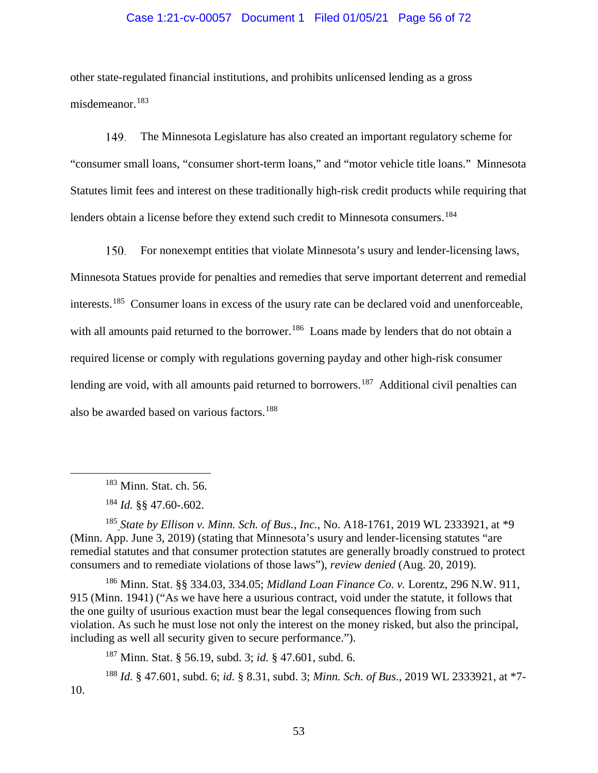### Case 1:21-cv-00057 Document 1 Filed 01/05/21 Page 56 of 72

other state-regulated financial institutions, and prohibits unlicensed lending as a gross misdemeanor.[183](#page-55-0)

149. The Minnesota Legislature has also created an important regulatory scheme for "consumer small loans, "consumer short-term loans," and "motor vehicle title loans." Minnesota Statutes limit fees and interest on these traditionally high-risk credit products while requiring that lenders obtain a license before they extend such credit to Minnesota consumers.<sup>[184](#page-55-1)</sup>

150. For nonexempt entities that violate Minnesota's usury and lender-licensing laws, Minnesota Statues provide for penalties and remedies that serve important deterrent and remedial interests.[185](#page-55-2) Consumer loans in excess of the usury rate can be declared void and unenforceable, with all amounts paid returned to the borrower.<sup>[186](#page-55-3)</sup> Loans made by lenders that do not obtain a required license or comply with regulations governing payday and other high-risk consumer lending are void, with all amounts paid returned to borrowers.<sup>[187](#page-55-4)</sup> Additional civil penalties can also be awarded based on various factors.<sup>[188](#page-55-5)</sup>

<span id="page-55-2"></span><span id="page-55-1"></span><span id="page-55-0"></span><sup>185</sup> *State by Ellison v. Minn. Sch. of Bus., Inc.*, No. A18-1761, 2019 WL 2333921, at \*9 (Minn. App. June 3, 2019) (stating that Minnesota's usury and lender-licensing statutes "are remedial statutes and that consumer protection statutes are generally broadly construed to protect consumers and to remediate violations of those laws"), *review denied* (Aug. 20, 2019).

<span id="page-55-3"></span><sup>186</sup> Minn. Stat. §§ 334.03, 334.05; *Midland Loan Finance Co. v.* Lorentz, 296 N.W. 911, 915 (Minn. 1941) ("As we have here a usurious contract, void under the statute, it follows that the one guilty of usurious exaction must bear the legal consequences flowing from such violation. As such he must lose not only the interest on the money risked, but also the principal, including as well all security given to secure performance.").

<sup>187</sup> Minn. Stat. § 56.19, subd. 3; *id.* § 47.601, subd. 6.

<span id="page-55-5"></span><span id="page-55-4"></span><sup>188</sup> *Id.* § 47.601, subd. 6; *id.* § 8.31, subd. 3; *Minn. Sch. of Bus*., 2019 WL 2333921, at \*7- 10.

 <sup>183</sup> Minn. Stat. ch. 56.

<sup>184</sup> *Id.* §§ 47.60-.602.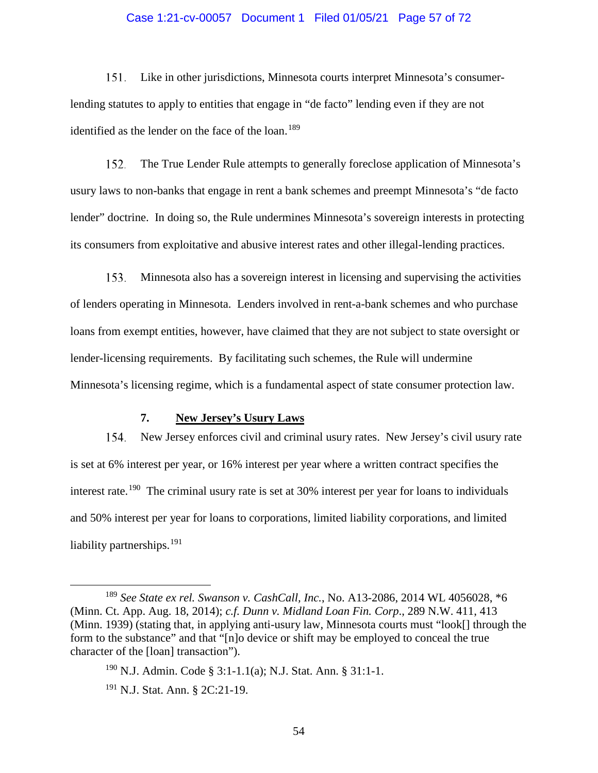### Case 1:21-cv-00057 Document 1 Filed 01/05/21 Page 57 of 72

151. Like in other jurisdictions, Minnesota courts interpret Minnesota's consumerlending statutes to apply to entities that engage in "de facto" lending even if they are not identified as the lender on the face of the loan.<sup>[189](#page-56-0)</sup>

152. The True Lender Rule attempts to generally foreclose application of Minnesota's usury laws to non-banks that engage in rent a bank schemes and preempt Minnesota's "de facto lender" doctrine. In doing so, the Rule undermines Minnesota's sovereign interests in protecting its consumers from exploitative and abusive interest rates and other illegal-lending practices.

153. Minnesota also has a sovereign interest in licensing and supervising the activities of lenders operating in Minnesota. Lenders involved in rent-a-bank schemes and who purchase loans from exempt entities, however, have claimed that they are not subject to state oversight or lender-licensing requirements. By facilitating such schemes, the Rule will undermine Minnesota's licensing regime, which is a fundamental aspect of state consumer protection law.

### **7. New Jersey's Usury Laws**

154. New Jersey enforces civil and criminal usury rates. New Jersey's civil usury rate is set at 6% interest per year, or 16% interest per year where a written contract specifies the interest rate.[190](#page-56-1) The criminal usury rate is set at 30% interest per year for loans to individuals and 50% interest per year for loans to corporations, limited liability corporations, and limited liability partnerships.<sup>[191](#page-56-2)</sup>

<span id="page-56-1"></span><span id="page-56-0"></span> <sup>189</sup> *See State ex rel. Swanson v. CashCall, Inc.*, No. A13-2086, 2014 WL 4056028, \*6 (Minn. Ct. App. Aug. 18, 2014); *c.f. Dunn v. Midland Loan Fin. Corp*., 289 N.W. 411, 413 (Minn. 1939) (stating that, in applying anti-usury law, Minnesota courts must "look[] through the form to the substance" and that "[n]o device or shift may be employed to conceal the true character of the [loan] transaction").

<sup>&</sup>lt;sup>190</sup> N.J. Admin. Code § 3:1-1.1(a); N.J. Stat. Ann. § 31:1-1.

<span id="page-56-2"></span><sup>191</sup> N.J. Stat. Ann. § 2C:21-19.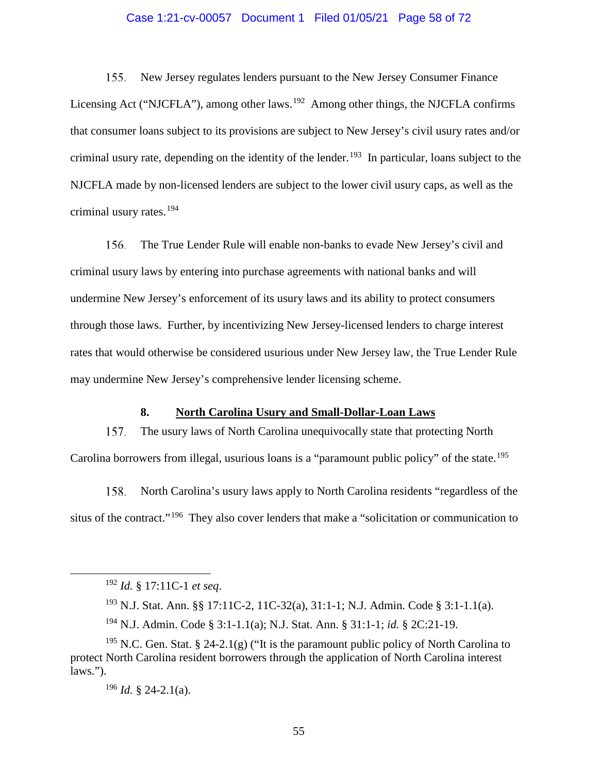### Case 1:21-cv-00057 Document 1 Filed 01/05/21 Page 58 of 72

 $155.$ New Jersey regulates lenders pursuant to the New Jersey Consumer Finance Licensing Act ("NJCFLA"), among other laws.<sup>[192](#page-57-0)</sup> Among other things, the NJCFLA confirms that consumer loans subject to its provisions are subject to New Jersey's civil usury rates and/or criminal usury rate, depending on the identity of the lender.<sup>[193](#page-57-1)</sup> In particular, loans subject to the NJCFLA made by non-licensed lenders are subject to the lower civil usury caps, as well as the criminal usury rates.[194](#page-57-2)

156. The True Lender Rule will enable non-banks to evade New Jersey's civil and criminal usury laws by entering into purchase agreements with national banks and will undermine New Jersey's enforcement of its usury laws and its ability to protect consumers through those laws. Further, by incentivizing New Jersey-licensed lenders to charge interest rates that would otherwise be considered usurious under New Jersey law, the True Lender Rule may undermine New Jersey's comprehensive lender licensing scheme.

### **8. North Carolina Usury and Small-Dollar-Loan Laws**

157. The usury laws of North Carolina unequivocally state that protecting North Carolina borrowers from illegal, usurious loans is a "paramount public policy" of the state.<sup>[195](#page-57-3)</sup>

158. North Carolina's usury laws apply to North Carolina residents "regardless of the situs of the contract."<sup>[196](#page-57-4)</sup> They also cover lenders that make a "solicitation or communication to

<sup>196</sup> *Id.* § 24-2.1(a).

 <sup>192</sup> *Id.* § 17:11C-1 *et seq*.

<sup>193</sup> N.J. Stat. Ann. §§ 17:11C-2, 11C-32(a), 31:1-1; N.J. Admin. Code § 3:1-1.1(a).

<sup>194</sup> N.J. Admin. Code § 3:1-1.1(a); N.J. Stat. Ann. § 31:1-1; *id.* § 2C:21-19.

<span id="page-57-4"></span><span id="page-57-3"></span><span id="page-57-2"></span><span id="page-57-1"></span><span id="page-57-0"></span><sup>&</sup>lt;sup>195</sup> N.C. Gen. Stat. § 24-2.1(g) ("It is the paramount public policy of North Carolina to protect North Carolina resident borrowers through the application of North Carolina interest laws.").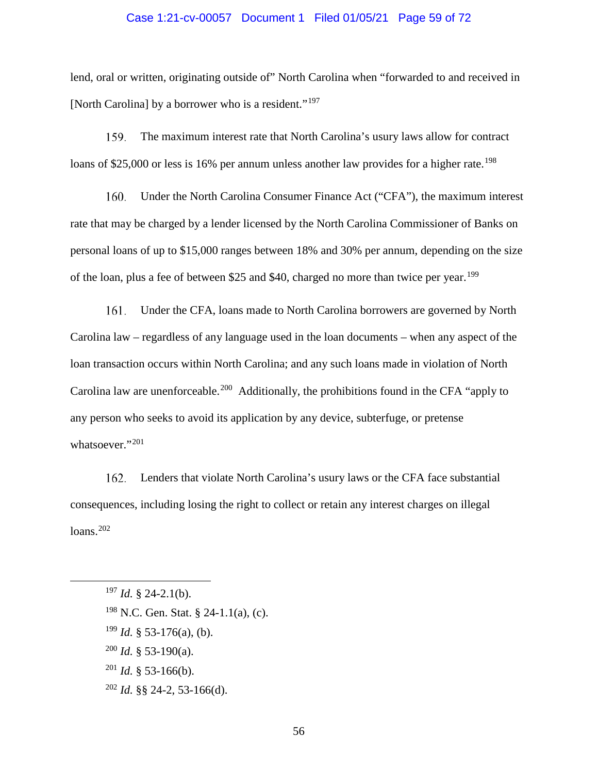### Case 1:21-cv-00057 Document 1 Filed 01/05/21 Page 59 of 72

lend, oral or written, originating outside of" North Carolina when "forwarded to and received in [North Carolina] by a borrower who is a resident."<sup>[197](#page-58-0)</sup>

159. The maximum interest rate that North Carolina's usury laws allow for contract loans of \$25,000 or less is 16% per annum unless another law provides for a higher rate.<sup>[198](#page-58-1)</sup>

160. Under the North Carolina Consumer Finance Act ("CFA"), the maximum interest rate that may be charged by a lender licensed by the North Carolina Commissioner of Banks on personal loans of up to \$15,000 ranges between 18% and 30% per annum, depending on the size of the loan, plus a fee of between \$25 and \$40, charged no more than twice per year.<sup>[199](#page-58-2)</sup>

161. Under the CFA, loans made to North Carolina borrowers are governed by North Carolina law – regardless of any language used in the loan documents – when any aspect of the loan transaction occurs within North Carolina; and any such loans made in violation of North Carolina law are unenforceable.<sup>[200](#page-58-3)</sup> Additionally, the prohibitions found in the CFA "apply to any person who seeks to avoid its application by any device, subterfuge, or pretense whatsoever."<sup>[201](#page-58-4)</sup>

Lenders that violate North Carolina's usury laws or the CFA face substantial 162. consequences, including losing the right to collect or retain any interest charges on illegal loans. [202](#page-58-5)

<span id="page-58-0"></span>197 *Id.* § 24-2.1(b).

- <span id="page-58-2"></span> $199$  *Id.* § 53-176(a), (b).
- <span id="page-58-3"></span> $200$  *Id.* § 53-190(a).
- <span id="page-58-4"></span> $201$  *Id.* § 53-166(b).
- <span id="page-58-5"></span><sup>202</sup> *Id.* §§ 24-2, 53-166(d).

<span id="page-58-1"></span><sup>198</sup> N.C. Gen. Stat. § 24-1.1(a), (c).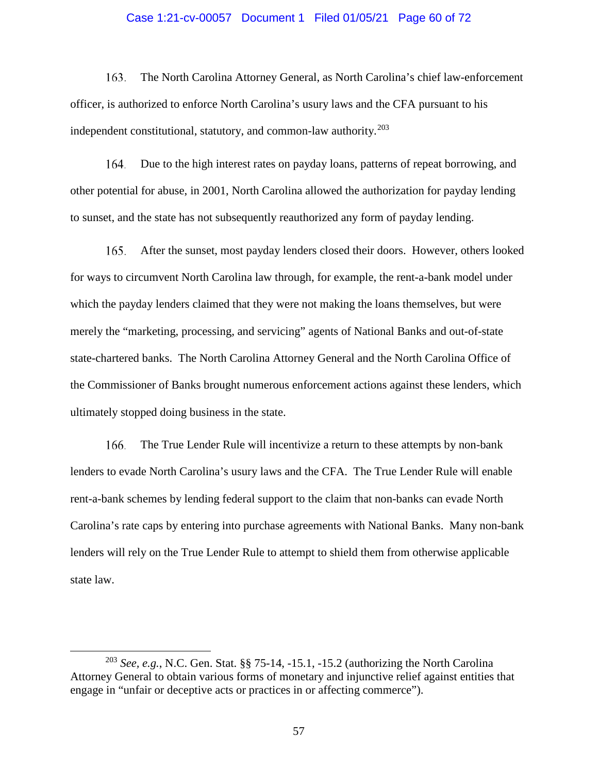### Case 1:21-cv-00057 Document 1 Filed 01/05/21 Page 60 of 72

163. The North Carolina Attorney General, as North Carolina's chief law-enforcement officer, is authorized to enforce North Carolina's usury laws and the CFA pursuant to his independent constitutional, statutory, and common-law authority. $203$ 

164. Due to the high interest rates on payday loans, patterns of repeat borrowing, and other potential for abuse, in 2001, North Carolina allowed the authorization for payday lending to sunset, and the state has not subsequently reauthorized any form of payday lending.

After the sunset, most payday lenders closed their doors. However, others looked 165. for ways to circumvent North Carolina law through, for example, the rent-a-bank model under which the payday lenders claimed that they were not making the loans themselves, but were merely the "marketing, processing, and servicing" agents of National Banks and out-of-state state-chartered banks. The North Carolina Attorney General and the North Carolina Office of the Commissioner of Banks brought numerous enforcement actions against these lenders, which ultimately stopped doing business in the state.

166. The True Lender Rule will incentivize a return to these attempts by non-bank lenders to evade North Carolina's usury laws and the CFA. The True Lender Rule will enable rent-a-bank schemes by lending federal support to the claim that non-banks can evade North Carolina's rate caps by entering into purchase agreements with National Banks. Many non-bank lenders will rely on the True Lender Rule to attempt to shield them from otherwise applicable state law.

<span id="page-59-0"></span> <sup>203</sup> *See, e.g.*, N.C. Gen. Stat. §§ 75-14, -15.1, -15.2 (authorizing the North Carolina Attorney General to obtain various forms of monetary and injunctive relief against entities that engage in "unfair or deceptive acts or practices in or affecting commerce").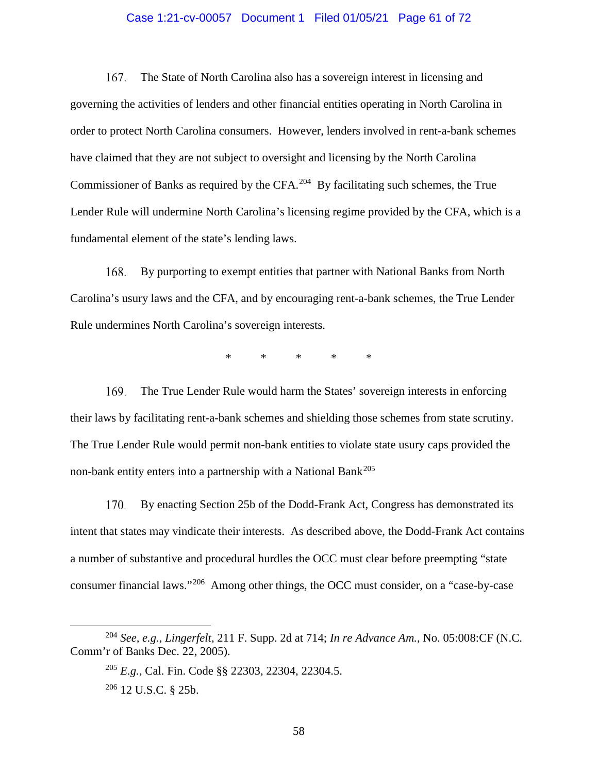### Case 1:21-cv-00057 Document 1 Filed 01/05/21 Page 61 of 72

The State of North Carolina also has a sovereign interest in licensing and 167. governing the activities of lenders and other financial entities operating in North Carolina in order to protect North Carolina consumers. However, lenders involved in rent-a-bank schemes have claimed that they are not subject to oversight and licensing by the North Carolina Commissioner of Banks as required by the CFA.<sup>204</sup> By facilitating such schemes, the True Lender Rule will undermine North Carolina's licensing regime provided by the CFA, which is a fundamental element of the state's lending laws.

168. By purporting to exempt entities that partner with National Banks from North Carolina's usury laws and the CFA, and by encouraging rent-a-bank schemes, the True Lender Rule undermines North Carolina's sovereign interests.

\* \* \* \* \*

169. The True Lender Rule would harm the States' sovereign interests in enforcing their laws by facilitating rent-a-bank schemes and shielding those schemes from state scrutiny. The True Lender Rule would permit non-bank entities to violate state usury caps provided the non-bank entity enters into a partnership with a National Bank<sup>[205](#page-60-1)</sup>

170. By enacting Section 25b of the Dodd-Frank Act, Congress has demonstrated its intent that states may vindicate their interests. As described above, the Dodd-Frank Act contains a number of substantive and procedural hurdles the OCC must clear before preempting "state consumer financial laws."[206](#page-60-2) Among other things, the OCC must consider, on a "case-by-case

<span id="page-60-2"></span><span id="page-60-1"></span><span id="page-60-0"></span> <sup>204</sup> *See, e.g.*, *Lingerfelt*, 211 F. Supp. 2d at 714; *In re Advance Am.*, No. 05:008:CF (N.C. Comm'r of Banks Dec. 22, 2005).

<sup>205</sup> *E.g.*, Cal. Fin. Code §§ 22303, 22304, 22304.5. <sup>206</sup> 12 U.S.C. § 25b.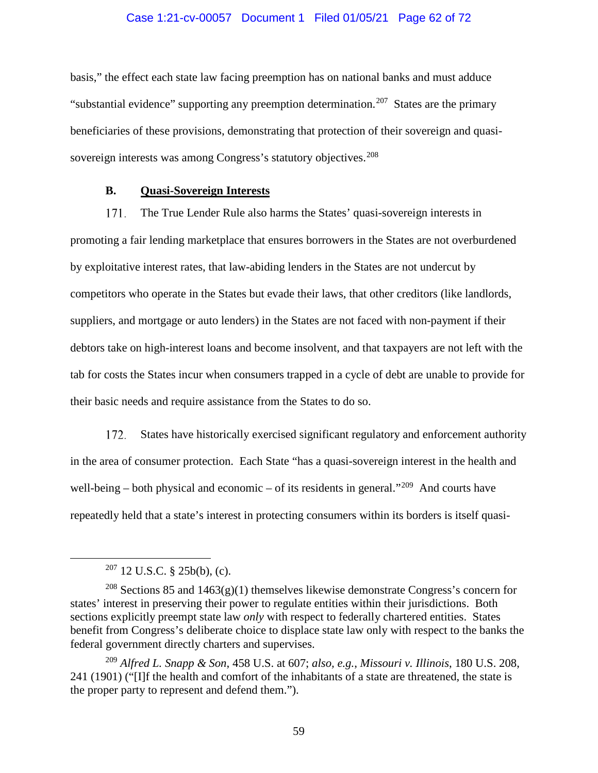### Case 1:21-cv-00057 Document 1 Filed 01/05/21 Page 62 of 72

basis," the effect each state law facing preemption has on national banks and must adduce "substantial evidence" supporting any preemption determination.<sup>[207](#page-61-0)</sup> States are the primary beneficiaries of these provisions, demonstrating that protection of their sovereign and quasi-sovereign interests was among Congress's statutory objectives.<sup>[208](#page-61-1)</sup>

## **B. Quasi-Sovereign Interests**

171. The True Lender Rule also harms the States' quasi-sovereign interests in promoting a fair lending marketplace that ensures borrowers in the States are not overburdened by exploitative interest rates, that law-abiding lenders in the States are not undercut by competitors who operate in the States but evade their laws, that other creditors (like landlords, suppliers, and mortgage or auto lenders) in the States are not faced with non-payment if their debtors take on high-interest loans and become insolvent, and that taxpayers are not left with the tab for costs the States incur when consumers trapped in a cycle of debt are unable to provide for their basic needs and require assistance from the States to do so.

172. States have historically exercised significant regulatory and enforcement authority in the area of consumer protection. Each State "has a quasi-sovereign interest in the health and well-being – both physical and economic – of its residents in general."<sup>[209](#page-61-2)</sup> And courts have repeatedly held that a state's interest in protecting consumers within its borders is itself quasi-

 $207$  12 U.S.C. § 25b(b), (c).

<span id="page-61-1"></span><span id="page-61-0"></span><sup>&</sup>lt;sup>208</sup> Sections 85 and 1463(g)(1) themselves likewise demonstrate Congress's concern for states' interest in preserving their power to regulate entities within their jurisdictions. Both sections explicitly preempt state law *only* with respect to federally chartered entities. States benefit from Congress's deliberate choice to displace state law only with respect to the banks the federal government directly charters and supervises.

<span id="page-61-2"></span><sup>209</sup> *Alfred L. Snapp & Son*, 458 U.S. at 607; *also, e.g.*, *Missouri v. Illinois*, 180 U.S. 208, 241 (1901) ("[I]f the health and comfort of the inhabitants of a state are threatened, the state is the proper party to represent and defend them.").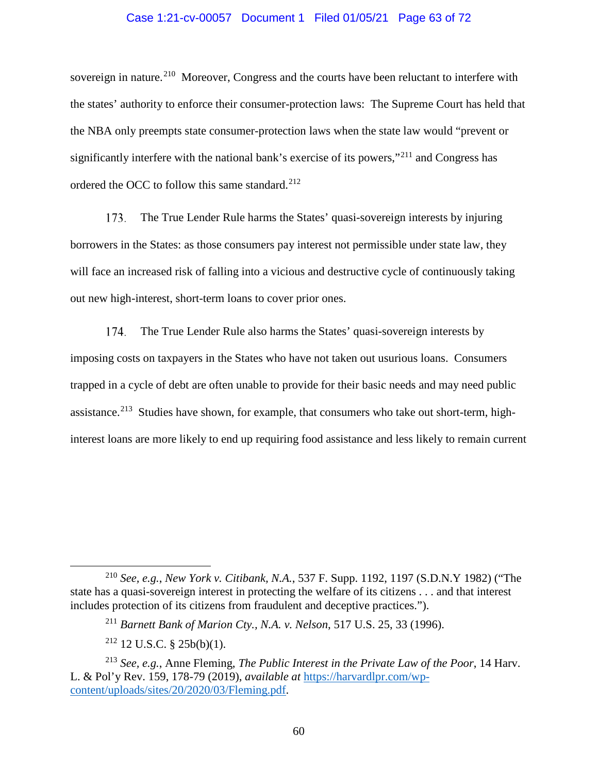### Case 1:21-cv-00057 Document 1 Filed 01/05/21 Page 63 of 72

sovereign in nature.<sup>210</sup> Moreover, Congress and the courts have been reluctant to interfere with the states' authority to enforce their consumer-protection laws: The Supreme Court has held that the NBA only preempts state consumer-protection laws when the state law would "prevent or significantly interfere with the national bank's exercise of its powers,"<sup>[211](#page-62-1)</sup> and Congress has ordered the OCC to follow this same standard.<sup>[212](#page-62-2)</sup>

The True Lender Rule harms the States' quasi-sovereign interests by injuring 173. borrowers in the States: as those consumers pay interest not permissible under state law, they will face an increased risk of falling into a vicious and destructive cycle of continuously taking out new high-interest, short-term loans to cover prior ones.

The True Lender Rule also harms the States' quasi-sovereign interests by 174. imposing costs on taxpayers in the States who have not taken out usurious loans. Consumers trapped in a cycle of debt are often unable to provide for their basic needs and may need public assistance.<sup>213</sup> Studies have shown, for example, that consumers who take out short-term, highinterest loans are more likely to end up requiring food assistance and less likely to remain current

<span id="page-62-0"></span> <sup>210</sup> *See, e.g.*, *New York v. Citibank, N.A.*, 537 F. Supp. 1192, 1197 (S.D.N.Y 1982) ("The state has a quasi-sovereign interest in protecting the welfare of its citizens . . . and that interest includes protection of its citizens from fraudulent and deceptive practices.").

<sup>211</sup> *Barnett Bank of Marion Cty., N.A. v. Nelson*, 517 U.S. 25, 33 (1996).

 $212$  12 U.S.C. § 25b(b)(1).

<span id="page-62-3"></span><span id="page-62-2"></span><span id="page-62-1"></span><sup>213</sup> *See, e.g.*, Anne Fleming, *The Public Interest in the Private Law of the Poor*, 14 Harv. L. & Pol'y Rev. 159, 178-79 (2019), *available at* [https://harvardlpr.com/wp](https://harvardlpr.com/wp-content/uploads/sites/20/2020/03/Fleming.pdf)[content/uploads/sites/20/2020/03/Fleming.pdf.](https://harvardlpr.com/wp-content/uploads/sites/20/2020/03/Fleming.pdf)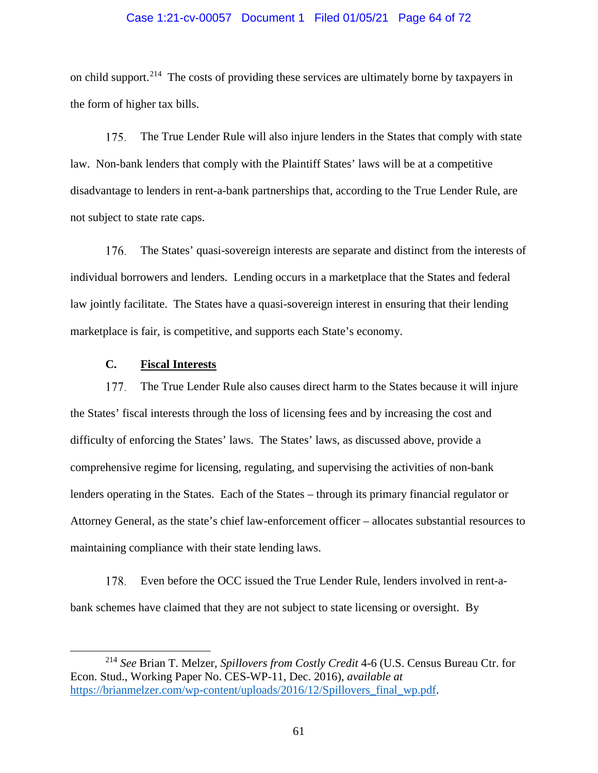### Case 1:21-cv-00057 Document 1 Filed 01/05/21 Page 64 of 72

on child support.[214](#page-63-0) The costs of providing these services are ultimately borne by taxpayers in the form of higher tax bills.

175. The True Lender Rule will also injure lenders in the States that comply with state law. Non-bank lenders that comply with the Plaintiff States' laws will be at a competitive disadvantage to lenders in rent-a-bank partnerships that, according to the True Lender Rule, are not subject to state rate caps.

176. The States' quasi-sovereign interests are separate and distinct from the interests of individual borrowers and lenders. Lending occurs in a marketplace that the States and federal law jointly facilitate. The States have a quasi-sovereign interest in ensuring that their lending marketplace is fair, is competitive, and supports each State's economy.

### **C. Fiscal Interests**

177. The True Lender Rule also causes direct harm to the States because it will injure the States' fiscal interests through the loss of licensing fees and by increasing the cost and difficulty of enforcing the States' laws. The States' laws, as discussed above, provide a comprehensive regime for licensing, regulating, and supervising the activities of non-bank lenders operating in the States. Each of the States – through its primary financial regulator or Attorney General, as the state's chief law-enforcement officer – allocates substantial resources to maintaining compliance with their state lending laws.

Even before the OCC issued the True Lender Rule, lenders involved in rent-a-178. bank schemes have claimed that they are not subject to state licensing or oversight. By

<span id="page-63-0"></span> <sup>214</sup> *See* Brian T. Melzer, *Spillovers from Costly Credit* 4-6 (U.S. Census Bureau Ctr. for Econ. Stud., Working Paper No. CES-WP-11, Dec. 2016), *available at* [https://brianmelzer.com/wp-content/uploads/2016/12/Spillovers\\_final\\_wp.pdf.](https://brianmelzer.com/wp-content/uploads/2016/12/Spillovers_final_wp.pdf)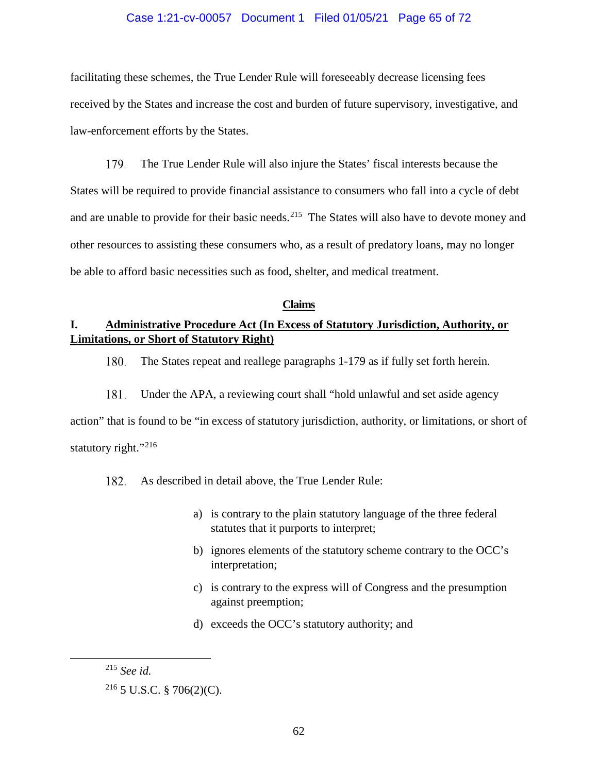### Case 1:21-cv-00057 Document 1 Filed 01/05/21 Page 65 of 72

facilitating these schemes, the True Lender Rule will foreseeably decrease licensing fees received by the States and increase the cost and burden of future supervisory, investigative, and law-enforcement efforts by the States.

179. The True Lender Rule will also injure the States' fiscal interests because the States will be required to provide financial assistance to consumers who fall into a cycle of debt and are unable to provide for their basic needs.<sup>[215](#page-64-0)</sup> The States will also have to devote money and other resources to assisting these consumers who, as a result of predatory loans, may no longer be able to afford basic necessities such as food, shelter, and medical treatment.

#### **Claims**

# **I. Administrative Procedure Act (In Excess of Statutory Jurisdiction, Authority, or Limitations, or Short of Statutory Right)**

180. The States repeat and reallege paragraphs 1-179 as if fully set forth herein.

181. Under the APA, a reviewing court shall "hold unlawful and set aside agency action" that is found to be "in excess of statutory jurisdiction, authority, or limitations, or short of statutory right."<sup>[216](#page-64-1)</sup>

182. As described in detail above, the True Lender Rule:

- a) is contrary to the plain statutory language of the three federal statutes that it purports to interpret;
- b) ignores elements of the statutory scheme contrary to the OCC's interpretation;
- c) is contrary to the express will of Congress and the presumption against preemption;
- d) exceeds the OCC's statutory authority; and

<span id="page-64-0"></span> <sup>215</sup> *See id.*

<span id="page-64-1"></span><sup>216</sup> 5 U.S.C. § 706(2)(C).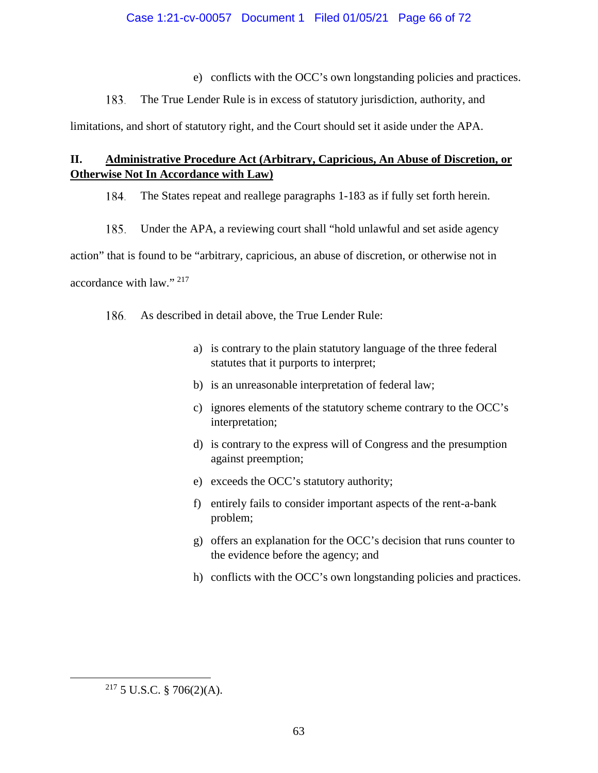e) conflicts with the OCC's own longstanding policies and practices.

183. The True Lender Rule is in excess of statutory jurisdiction, authority, and

limitations, and short of statutory right, and the Court should set it aside under the APA.

# **II. Administrative Procedure Act (Arbitrary, Capricious, An Abuse of Discretion, or Otherwise Not In Accordance with Law)**

184. The States repeat and reallege paragraphs 1-183 as if fully set forth herein.

185. Under the APA, a reviewing court shall "hold unlawful and set aside agency

action" that is found to be "arbitrary, capricious, an abuse of discretion, or otherwise not in accordance with law." [217](#page-65-0)

186. As described in detail above, the True Lender Rule:

- a) is contrary to the plain statutory language of the three federal statutes that it purports to interpret;
- b) is an unreasonable interpretation of federal law;
- c) ignores elements of the statutory scheme contrary to the OCC's interpretation;
- d) is contrary to the express will of Congress and the presumption against preemption;
- e) exceeds the OCC's statutory authority;
- f) entirely fails to consider important aspects of the rent-a-bank problem;
- g) offers an explanation for the OCC's decision that runs counter to the evidence before the agency; and
- h) conflicts with the OCC's own longstanding policies and practices.

<span id="page-65-0"></span> $2^{17}$  5 U.S.C. § 706(2)(A).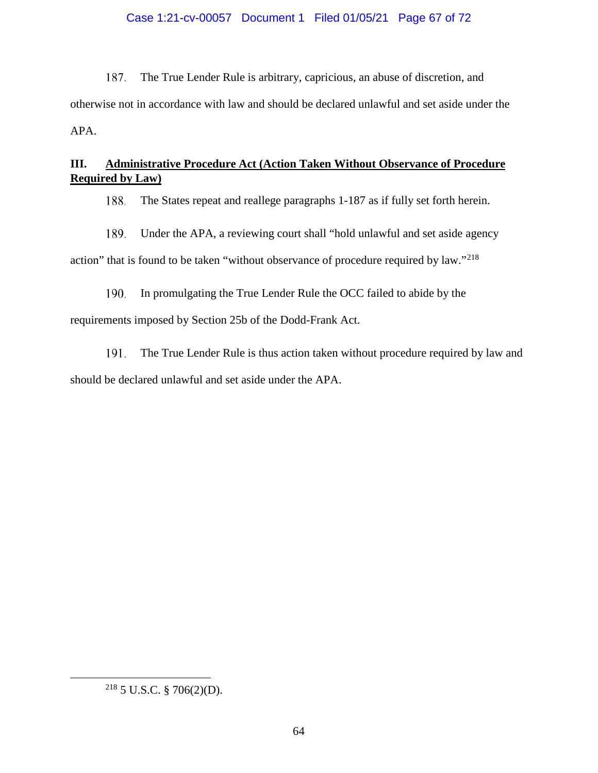# Case 1:21-cv-00057 Document 1 Filed 01/05/21 Page 67 of 72

187. The True Lender Rule is arbitrary, capricious, an abuse of discretion, and otherwise not in accordance with law and should be declared unlawful and set aside under the APA.

# **III. Administrative Procedure Act (Action Taken Without Observance of Procedure Required by Law)**

The States repeat and reallege paragraphs 1-187 as if fully set forth herein. 188.

189. Under the APA, a reviewing court shall "hold unlawful and set aside agency

action" that is found to be taken "without observance of procedure required by law."<sup>[218](#page-66-0)</sup>

190. In promulgating the True Lender Rule the OCC failed to abide by the requirements imposed by Section 25b of the Dodd-Frank Act.

191. The True Lender Rule is thus action taken without procedure required by law and should be declared unlawful and set aside under the APA.

<span id="page-66-0"></span> <sup>218</sup> 5 U.S.C. § 706(2)(D).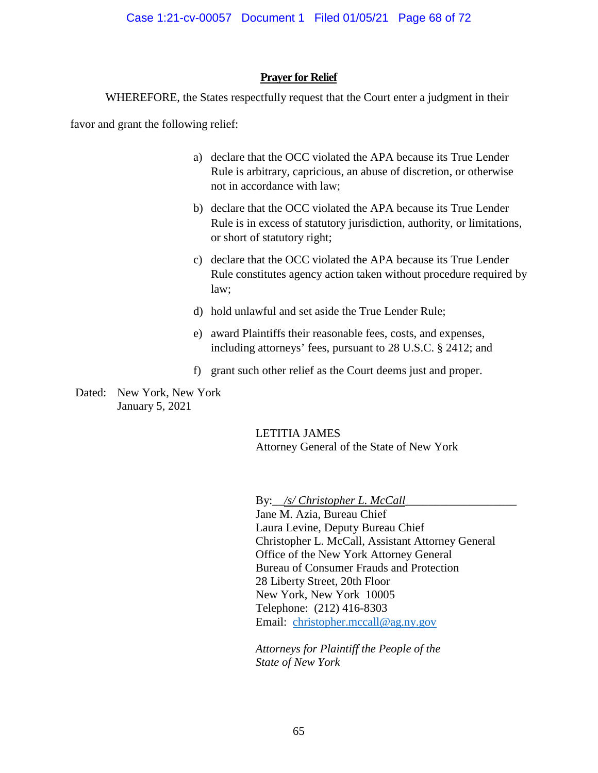## **Prayer for Relief**

WHEREFORE, the States respectfully request that the Court enter a judgment in their

favor and grant the following relief:

- a) declare that the OCC violated the APA because its True Lender Rule is arbitrary, capricious, an abuse of discretion, or otherwise not in accordance with law;
- b) declare that the OCC violated the APA because its True Lender Rule is in excess of statutory jurisdiction, authority, or limitations, or short of statutory right;
- c) declare that the OCC violated the APA because its True Lender Rule constitutes agency action taken without procedure required by law;
- d) hold unlawful and set aside the True Lender Rule;
- e) award Plaintiffs their reasonable fees, costs, and expenses, including attorneys' fees, pursuant to 28 U.S.C. § 2412; and
- f) grant such other relief as the Court deems just and proper.

Dated: New York, New York January 5, 2021

> LETITIA JAMES Attorney General of the State of New York

By:\_*\_/s/ Christopher L. McCall\_* 

Jane M. Azia, Bureau Chief Laura Levine, Deputy Bureau Chief Christopher L. McCall, Assistant Attorney General Office of the New York Attorney General Bureau of Consumer Frauds and Protection 28 Liberty Street, 20th Floor New York, New York 10005 Telephone: (212) 416-8303 Email: [christopher.mccall@ag.ny.gov](mailto:christopher.mccall@ag.ny.gov)

*Attorneys for Plaintiff the People of the State of New York*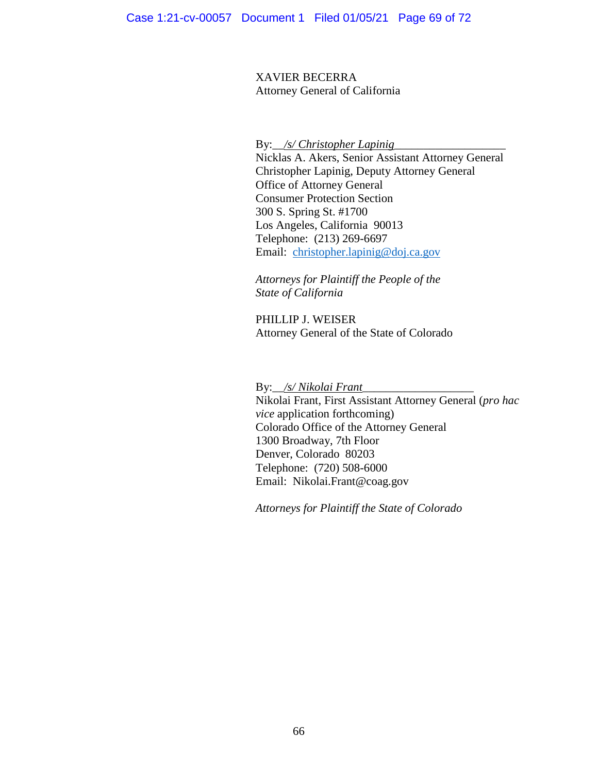XAVIER BECERRA Attorney General of California

By: *\_/s/ Christopher Lapinig* 

Nicklas A. Akers, Senior Assistant Attorney General Christopher Lapinig, Deputy Attorney General Office of Attorney General Consumer Protection Section 300 S. Spring St. #1700 Los Angeles, California 90013 Telephone: (213) 269-6697 Email: [christopher.lapinig@doj.ca.gov](mailto:christopher.lapinig@doj.ca.gov)

*Attorneys for Plaintiff the People of the State of California*

PHILLIP J. WEISER Attorney General of the State of Colorado

By:\_\_*/s/ Nikolai Frant*\_\_\_\_\_\_\_\_\_\_\_\_\_\_\_\_\_\_\_

Nikolai Frant, First Assistant Attorney General (*pro hac vice* application forthcoming) Colorado Office of the Attorney General 1300 Broadway, 7th Floor Denver, Colorado 80203 Telephone: (720) 508-6000 Email: Nikolai.Frant@coag.gov

*Attorneys for Plaintiff the State of Colorado*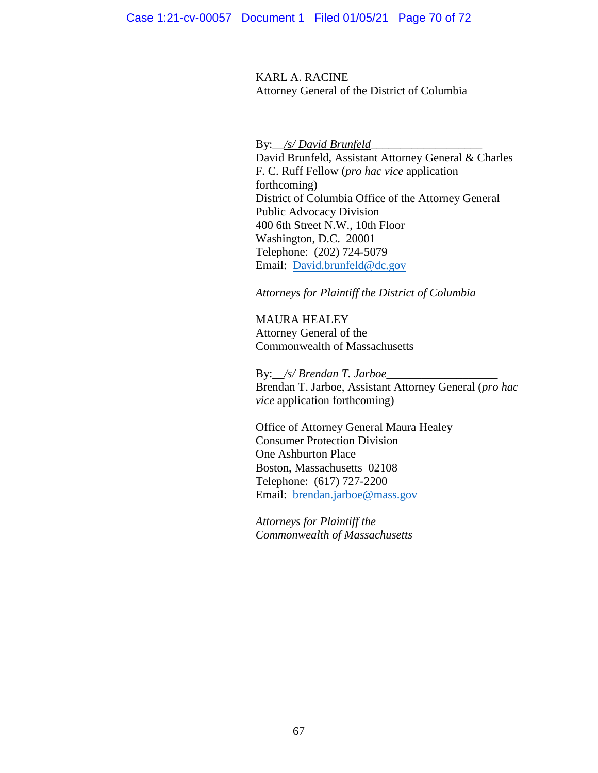KARL A. RACINE Attorney General of the District of Columbia

By:\_\_*/s/ David Brunfeld*\_\_\_\_\_\_\_\_\_\_\_\_\_\_\_\_\_\_\_

David Brunfeld, Assistant Attorney General & Charles F. C. Ruff Fellow (*pro hac vice* application forthcoming) District of Columbia Office of the Attorney General Public Advocacy Division 400 6th Street N.W., 10th Floor Washington, D.C. 20001 Telephone: (202) 724-5079 Email: [David.brunfeld@dc.gov](mailto:David.brunfeld@dc.gov)

*Attorneys for Plaintiff the District of Columbia*

MAURA HEALEY Attorney General of the Commonwealth of Massachusetts

By: /s/ Brendan T. Jarboe\_ Brendan T. Jarboe, Assistant Attorney General (*pro hac vice* application forthcoming)

Office of Attorney General Maura Healey Consumer Protection Division One Ashburton Place Boston, Massachusetts 02108 Telephone: (617) 727-2200 Email: [brendan.jarboe@mass.gov](mailto:brendan.jarboe@mass.gov)

*Attorneys for Plaintiff the Commonwealth of Massachusetts*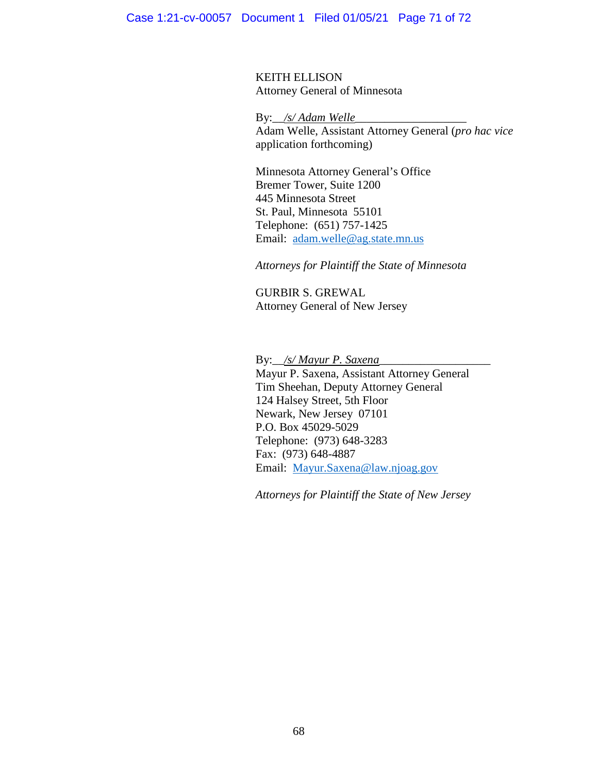KEITH ELLISON Attorney General of Minnesota

By:\_\_*/s/ Adam Welle*\_\_\_\_\_\_\_\_\_\_\_\_\_\_\_\_\_\_\_ Adam Welle, Assistant Attorney General (*pro hac vice* application forthcoming)

Minnesota Attorney General's Office Bremer Tower, Suite 1200 445 Minnesota Street St. Paul, Minnesota 55101 Telephone: (651) 757-1425 Email: [adam.welle@ag.state.mn.us](mailto:adam.welle@ag.state.mn.us)

*Attorneys for Plaintiff the State of Minnesota*

GURBIR S. GREWAL Attorney General of New Jersey

By:\_\_*/s/ Mayur P. Saxena*\_\_\_\_\_\_\_\_\_\_\_\_\_\_\_\_\_\_\_

Mayur P. Saxena, Assistant Attorney General Tim Sheehan, Deputy Attorney General 124 Halsey Street, 5th Floor Newark, New Jersey 07101 P.O. Box 45029-5029 Telephone: (973) 648-3283 Fax: (973) 648-4887 Email: [Mayur.Saxena@law.njoag.gov](mailto:Mayur.Saxena@law.njoag.gov)

*Attorneys for Plaintiff the State of New Jersey*